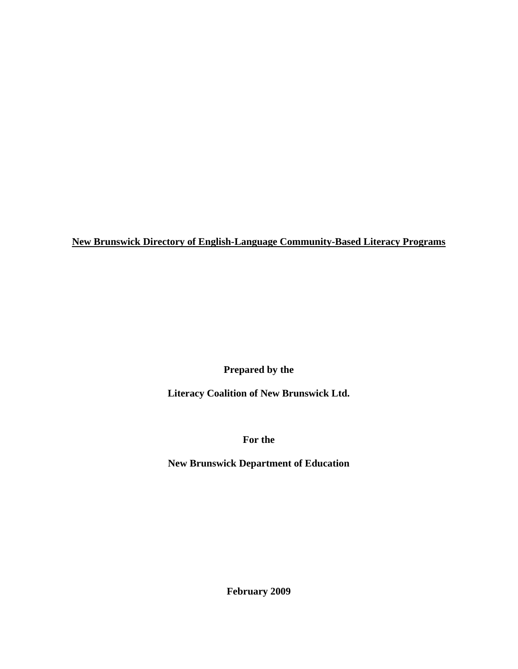**Prepared by the** 

**Literacy Coalition of New Brunswick Ltd.** 

**For the** 

**New Brunswick Department of Education** 

**February 2009**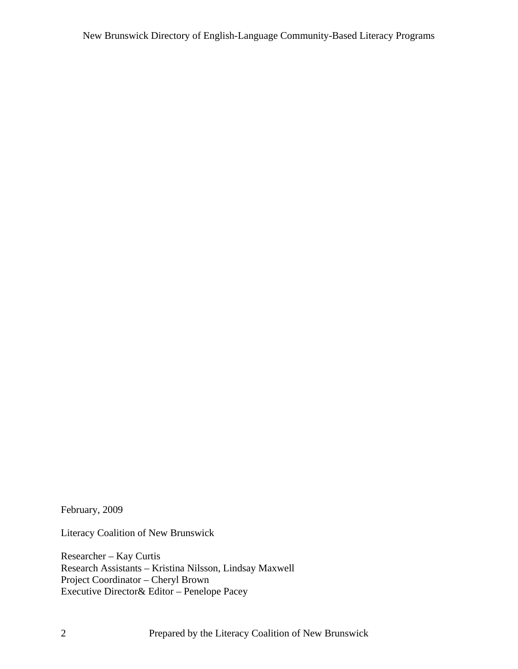February, 2009

Literacy Coalition of New Brunswick

Researcher – Kay Curtis Research Assistants – Kristina Nilsson, Lindsay Maxwell Project Coordinator – Cheryl Brown Executive Director& Editor – Penelope Pacey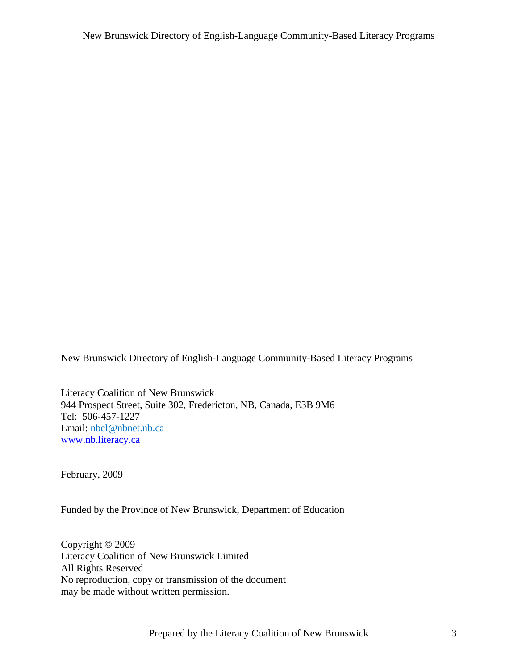Literacy Coalition of New Brunswick 944 Prospect Street, Suite 302, Fredericton, NB, Canada, E3B 9M6 Tel: 506-457-1227 Email: [nbcl@nbnet.nb.ca](mailto:nbcl@nbnet.nb.ca) [www.nb.literacy.ca](http://www.nb.literacy.ca) 

February, 2009

Funded by the Province of New Brunswick, Department of Education

Copyright © 2009 Literacy Coalition of New Brunswick Limited All Rights Reserved No reproduction, copy or transmission of the document may be made without written permission.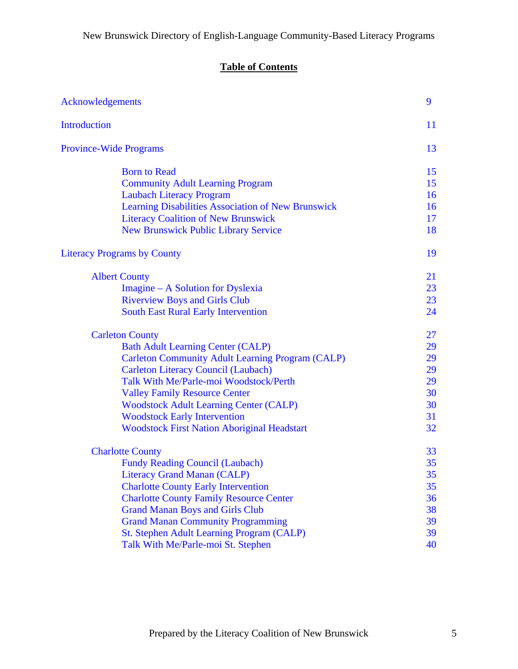# **Table of Contents**

| Acknowledgements                                        | 9  |
|---------------------------------------------------------|----|
| <b>Introduction</b>                                     | 11 |
| <b>Province-Wide Programs</b>                           | 13 |
| <b>Born to Read</b>                                     | 15 |
| <b>Community Adult Learning Program</b>                 | 15 |
| <b>Laubach Literacy Program</b>                         | 16 |
| Learning Disabilities Association of New Brunswick      | 16 |
| <b>Literacy Coalition of New Brunswick</b>              | 17 |
| <b>New Brunswick Public Library Service</b>             | 18 |
| <b>Literacy Programs by County</b>                      | 19 |
| <b>Albert County</b>                                    | 21 |
| Imagine – A Solution for Dyslexia                       | 23 |
| <b>Riverview Boys and Girls Club</b>                    | 23 |
| <b>South East Rural Early Intervention</b>              | 24 |
| <b>Carleton County</b>                                  | 27 |
| <b>Bath Adult Learning Center (CALP)</b>                | 29 |
| <b>Carleton Community Adult Learning Program (CALP)</b> | 29 |
| <b>Carleton Literacy Council (Laubach)</b>              | 29 |
| Talk With Me/Parle-moi Woodstock/Perth                  | 29 |
| <b>Valley Family Resource Center</b>                    | 30 |
| <b>Woodstock Adult Learning Center (CALP)</b>           | 30 |
| <b>Woodstock Early Intervention</b>                     | 31 |
| <b>Woodstock First Nation Aboriginal Headstart</b>      | 32 |
| <b>Charlotte County</b>                                 | 33 |
| <b>Fundy Reading Council (Laubach)</b>                  | 35 |
| <b>Literacy Grand Manan (CALP)</b>                      | 35 |
| <b>Charlotte County Early Intervention</b>              | 35 |
| <b>Charlotte County Family Resource Center</b>          | 36 |
| <b>Grand Manan Boys and Girls Club</b>                  | 38 |
| <b>Grand Manan Community Programming</b>                | 39 |
| St. Stephen Adult Learning Program (CALP)               | 39 |
| Talk With Me/Parle-moi St. Stephen                      | 40 |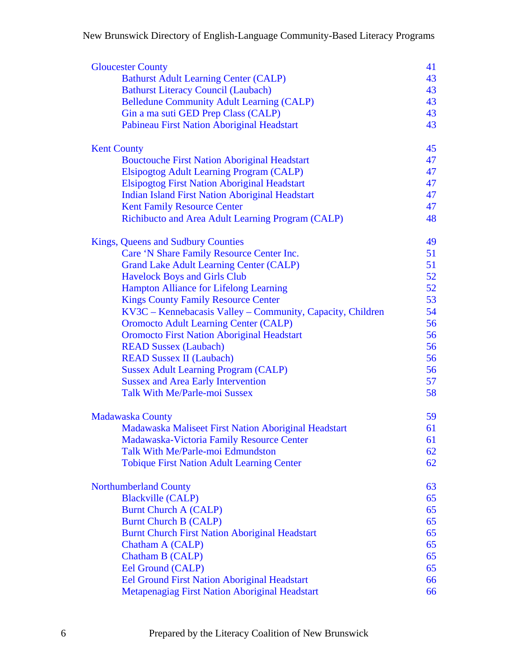| <b>Gloucester County</b>                                   | 41 |
|------------------------------------------------------------|----|
| <b>Bathurst Adult Learning Center (CALP)</b>               | 43 |
| <b>Bathurst Literacy Council (Laubach)</b>                 | 43 |
| <b>Belledune Community Adult Learning (CALP)</b>           | 43 |
| Gin a ma suti GED Prep Class (CALP)                        | 43 |
| Pabineau First Nation Aboriginal Headstart                 | 43 |
| <b>Kent County</b>                                         | 45 |
| <b>Bouctouche First Nation Aboriginal Headstart</b>        | 47 |
| Elsipogtog Adult Learning Program (CALP)                   | 47 |
| <b>Elsipogtog First Nation Aboriginal Headstart</b>        | 47 |
| <b>Indian Island First Nation Aboriginal Headstart</b>     | 47 |
| <b>Kent Family Resource Center</b>                         | 47 |
| Richibucto and Area Adult Learning Program (CALP)          | 48 |
| <b>Kings, Queens and Sudbury Counties</b>                  | 49 |
| Care 'N Share Family Resource Center Inc.                  | 51 |
| <b>Grand Lake Adult Learning Center (CALP)</b>             | 51 |
| <b>Havelock Boys and Girls Club</b>                        | 52 |
| <b>Hampton Alliance for Lifelong Learning</b>              | 52 |
| <b>Kings County Family Resource Center</b>                 | 53 |
| KV3C - Kennebacasis Valley - Community, Capacity, Children | 54 |
| <b>Oromocto Adult Learning Center (CALP)</b>               | 56 |
| <b>Oromocto First Nation Aboriginal Headstart</b>          | 56 |
| <b>READ Sussex (Laubach)</b>                               | 56 |
| <b>READ Sussex II (Laubach)</b>                            | 56 |
|                                                            | 56 |
| <b>Sussex Adult Learning Program (CALP)</b>                |    |
| <b>Sussex and Area Early Intervention</b>                  | 57 |
| <b>Talk With Me/Parle-moi Sussex</b>                       | 58 |
| <b>Madawaska County</b>                                    | 59 |
| Madawaska Maliseet First Nation Aboriginal Headstart       | 61 |
| Madawaska-Victoria Family Resource Center                  | 61 |
| Talk With Me/Parle-moi Edmundston                          | 62 |
| <b>Tobique First Nation Adult Learning Center</b>          | 62 |
| <b>Northumberland County</b>                               | 63 |
| <b>Blackville (CALP)</b>                                   | 65 |
| <b>Burnt Church A (CALP)</b>                               | 65 |
| <b>Burnt Church B (CALP)</b>                               | 65 |
| <b>Burnt Church First Nation Aboriginal Headstart</b>      | 65 |
| Chatham A (CALP)                                           | 65 |
| Chatham B (CALP)                                           | 65 |
| Eel Ground (CALP)                                          | 65 |
| <b>Eel Ground First Nation Aboriginal Headstart</b>        | 66 |
| Metapenagiag First Nation Aboriginal Headstart             | 66 |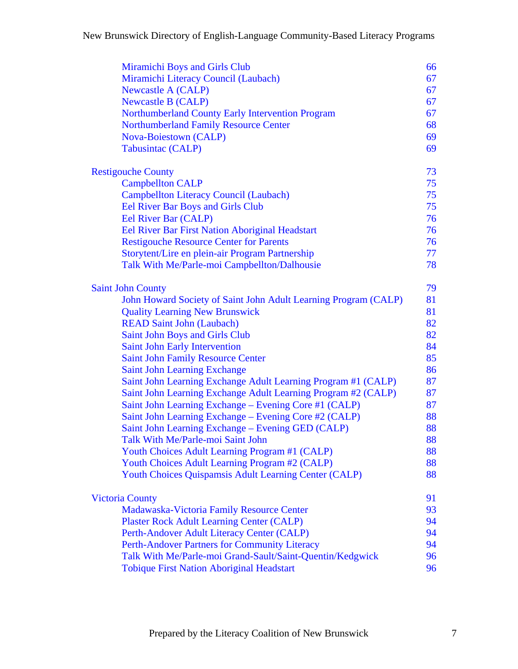| Miramichi Boys and Girls Club                                   | 66 |
|-----------------------------------------------------------------|----|
| Miramichi Literacy Council (Laubach)                            | 67 |
| <b>Newcastle A (CALP)</b>                                       | 67 |
| <b>Newcastle B (CALP)</b>                                       | 67 |
| Northumberland County Early Intervention Program                | 67 |
| <b>Northumberland Family Resource Center</b>                    | 68 |
| <b>Nova-Boiestown (CALP)</b>                                    | 69 |
| Tabusintac (CALP)                                               | 69 |
| <b>Restigouche County</b>                                       | 73 |
| <b>Campbellton CALP</b>                                         | 75 |
| Campbellton Literacy Council (Laubach)                          | 75 |
| <b>Eel River Bar Boys and Girls Club</b>                        | 75 |
| Eel River Bar (CALP)                                            | 76 |
| Eel River Bar First Nation Aboriginal Headstart                 | 76 |
| <b>Restigouche Resource Center for Parents</b>                  | 76 |
| Storytent/Lire en plein-air Program Partnership                 | 77 |
| Talk With Me/Parle-moi Campbellton/Dalhousie                    | 78 |
| <b>Saint John County</b>                                        | 79 |
| John Howard Society of Saint John Adult Learning Program (CALP) | 81 |
| <b>Quality Learning New Brunswick</b>                           | 81 |
| <b>READ Saint John (Laubach)</b>                                | 82 |
| Saint John Boys and Girls Club                                  | 82 |
| <b>Saint John Early Intervention</b>                            | 84 |
| <b>Saint John Family Resource Center</b>                        | 85 |
| Saint John Learning Exchange                                    | 86 |
| Saint John Learning Exchange Adult Learning Program #1 (CALP)   | 87 |
| Saint John Learning Exchange Adult Learning Program #2 (CALP)   | 87 |
| Saint John Learning Exchange – Evening Core #1 (CALP)           | 87 |
| Saint John Learning Exchange – Evening Core #2 (CALP)           | 88 |
| Saint John Learning Exchange – Evening GED (CALP)               | 88 |
| Talk With Me/Parle-moi Saint John                               | 88 |
| Youth Choices Adult Learning Program #1 (CALP)                  | 88 |
| Youth Choices Adult Learning Program #2 (CALP)                  | 88 |
| <b>Youth Choices Quispamsis Adult Learning Center (CALP)</b>    | 88 |
| <b>Victoria County</b>                                          | 91 |
| Madawaska-Victoria Family Resource Center                       | 93 |
| <b>Plaster Rock Adult Learning Center (CALP)</b>                | 94 |
| Perth-Andover Adult Literacy Center (CALP)                      | 94 |
| Perth-Andover Partners for Community Literacy                   | 94 |
| Talk With Me/Parle-moi Grand-Sault/Saint-Quentin/Kedgwick       | 96 |
| <b>Tobique First Nation Aboriginal Headstart</b>                | 96 |
|                                                                 |    |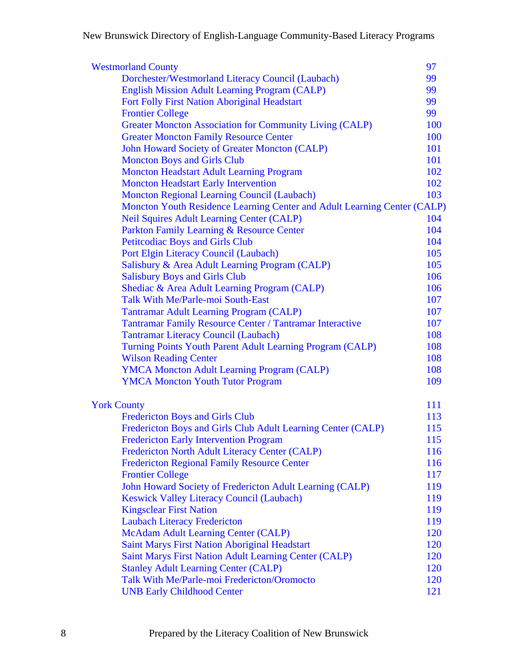| <b>Westmorland County</b>                                                | 97  |
|--------------------------------------------------------------------------|-----|
| Dorchester/Westmorland Literacy Council (Laubach)                        | 99  |
| <b>English Mission Adult Learning Program (CALP)</b>                     | 99  |
| Fort Folly First Nation Aboriginal Headstart                             | 99  |
| <b>Frontier College</b>                                                  | 99  |
| Greater Moncton Association for Community Living (CALP)                  | 100 |
| <b>Greater Moncton Family Resource Center</b>                            | 100 |
| John Howard Society of Greater Moncton (CALP)                            | 101 |
| <b>Moncton Boys and Girls Club</b>                                       | 101 |
| <b>Moncton Headstart Adult Learning Program</b>                          | 102 |
| <b>Moncton Headstart Early Intervention</b>                              | 102 |
| <b>Moncton Regional Learning Council (Laubach)</b>                       | 103 |
| Moncton Youth Residence Learning Center and Adult Learning Center (CALP) |     |
| <b>Neil Squires Adult Learning Center (CALP)</b>                         | 104 |
| Parkton Family Learning & Resource Center                                | 104 |
| <b>Petitcodiac Boys and Girls Club</b>                                   | 104 |
| Port Elgin Literacy Council (Laubach)                                    | 105 |
| Salisbury & Area Adult Learning Program (CALP)                           | 105 |
| <b>Salisbury Boys and Girls Club</b>                                     | 106 |
| Shediac & Area Adult Learning Program (CALP)                             | 106 |
| Talk With Me/Parle-moi South-East                                        | 107 |
| <b>Tantramar Adult Learning Program (CALP)</b>                           | 107 |
| <b>Tantramar Family Resource Center / Tantramar Interactive</b>          | 107 |
| <b>Tantramar Literacy Council (Laubach)</b>                              | 108 |
| Turning Points Youth Parent Adult Learning Program (CALP)                | 108 |
| <b>Wilson Reading Center</b>                                             | 108 |
| <b>YMCA Moncton Adult Learning Program (CALP)</b>                        | 108 |
| <b>YMCA Moncton Youth Tutor Program</b>                                  | 109 |
| <b>York County</b>                                                       | 111 |
| <b>Fredericton Boys and Girls Club</b>                                   | 113 |
| Fredericton Boys and Girls Club Adult Learning Center (CALP)             | 115 |
| <b>Fredericton Early Intervention Program</b>                            | 115 |
| Fredericton North Adult Literacy Center (CALP)                           | 116 |
| <b>Fredericton Regional Family Resource Center</b>                       | 116 |
| <b>Frontier College</b>                                                  | 117 |
| John Howard Society of Fredericton Adult Learning (CALP)                 | 119 |
| <b>Keswick Valley Literacy Council (Laubach)</b>                         | 119 |
| <b>Kingsclear First Nation</b>                                           | 119 |
| <b>Laubach Literacy Fredericton</b>                                      | 119 |
| <b>McAdam Adult Learning Center (CALP)</b>                               | 120 |
| <b>Saint Marys First Nation Aboriginal Headstart</b>                     | 120 |
| Saint Marys First Nation Adult Learning Center (CALP)                    | 120 |
| <b>Stanley Adult Learning Center (CALP)</b>                              | 120 |
| Talk With Me/Parle-moi Fredericton/Oromocto                              | 120 |
| <b>UNB Early Childhood Center</b>                                        | 121 |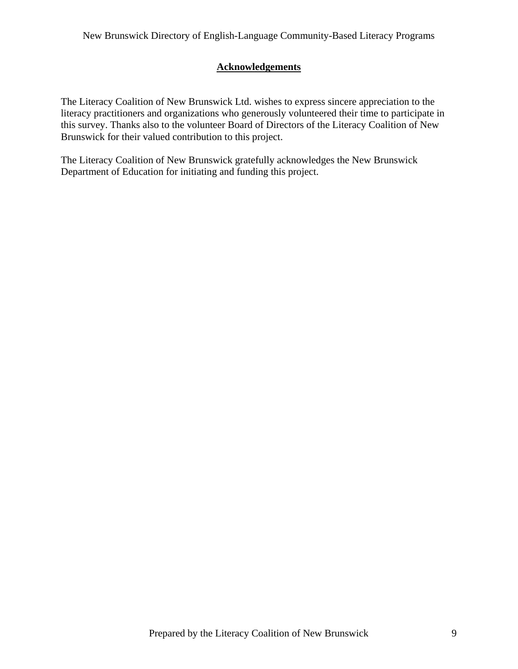## **Acknowledgements**

<span id="page-8-0"></span>The Literacy Coalition of New Brunswick Ltd. wishes to express sincere appreciation to the literacy practitioners and organizations who generously volunteered their time to participate in this survey. Thanks also to the volunteer Board of Directors of the Literacy Coalition of New Brunswick for their valued contribution to this project.

The Literacy Coalition of New Brunswick gratefully acknowledges the New Brunswick Department of Education for initiating and funding this project.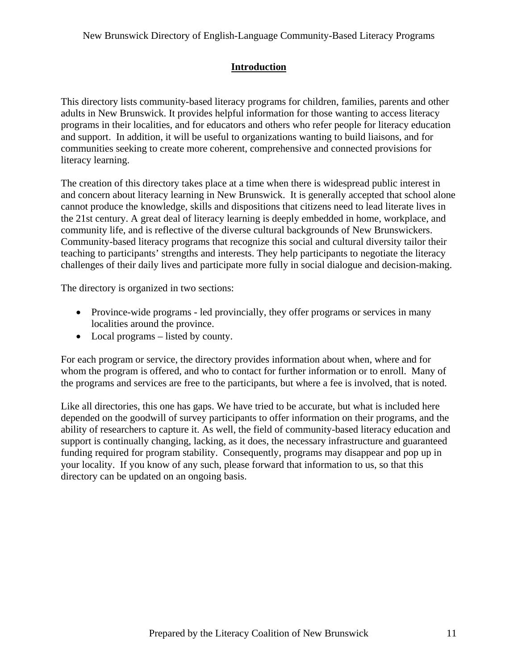## **Introduction**

<span id="page-10-0"></span>This directory lists community-based literacy programs for children, families, parents and other adults in New Brunswick. It provides helpful information for those wanting to access literacy programs in their localities, and for educators and others who refer people for literacy education and support. In addition, it will be useful to organizations wanting to build liaisons, and for communities seeking to create more coherent, comprehensive and connected provisions for literacy learning.

The creation of this directory takes place at a time when there is widespread public interest in and concern about literacy learning in New Brunswick. It is generally accepted that school alone cannot produce the knowledge, skills and dispositions that citizens need to lead literate lives in the 21st century. A great deal of literacy learning is deeply embedded in home, workplace, and community life, and is reflective of the diverse cultural backgrounds of New Brunswickers. Community-based literacy programs that recognize this social and cultural diversity tailor their teaching to participants' strengths and interests. They help participants to negotiate the literacy challenges of their daily lives and participate more fully in social dialogue and decision-making.

The directory is organized in two sections:

- Province-wide programs led provincially, they offer programs or services in many localities around the province.
- Local programs listed by county.

For each program or service, the directory provides information about when, where and for whom the program is offered, and who to contact for further information or to enroll. Many of the programs and services are free to the participants, but where a fee is involved, that is noted.

Like all directories, this one has gaps. We have tried to be accurate, but what is included here depended on the goodwill of survey participants to offer information on their programs, and the ability of researchers to capture it. As well, the field of community-based literacy education and support is continually changing, lacking, as it does, the necessary infrastructure and guaranteed funding required for program stability. Consequently, programs may disappear and pop up in your locality. If you know of any such, please forward that information to us, so that this directory can be updated on an ongoing basis.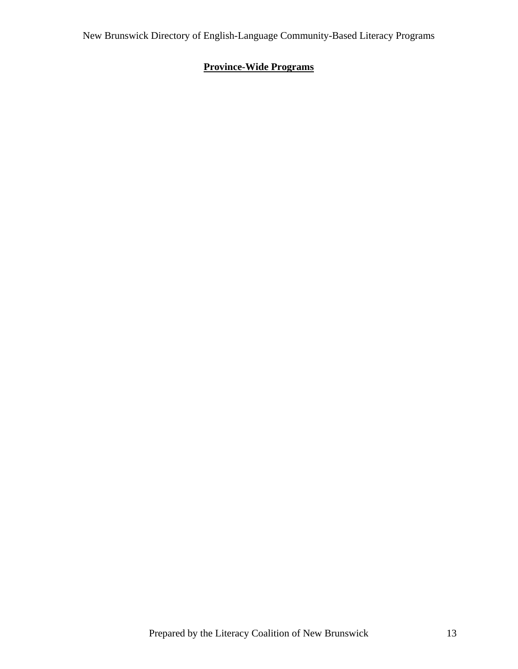# <span id="page-12-0"></span>**Province-Wide Programs**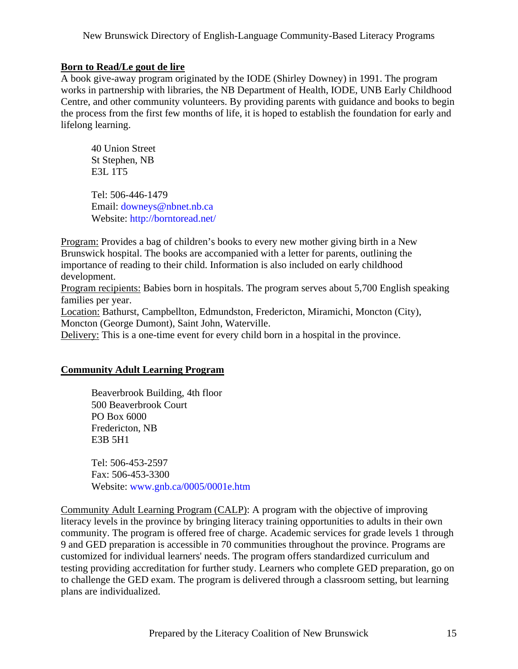#### <span id="page-14-0"></span>**Born to Read/Le gout de lire**

A book give-away program originated by the IODE (Shirley Downey) in 1991. The program works in partnership with libraries, the NB Department of Health, IODE, UNB Early Childhood Centre, and other community volunteers. By providing parents with guidance and books to begin the process from the first few months of life, it is hoped to establish the foundation for early and lifelong learning.

 40 Union Street St Stephen, NB E3L 1T5

 Tel: 506-446-1479 Email: [downeys@nbnet.nb.ca](mailto:downeys@nbnet.nb.ca) Website: <http://borntoread.net/>

Program: Provides a bag of children's books to every new mother giving birth in a New Brunswick hospital. The books are accompanied with a letter for parents, outlining the importance of reading to their child. Information is also included on early childhood development.

Program recipients: Babies born in hospitals. The program serves about 5,700 English speaking families per year.

Location: Bathurst, Campbellton, Edmundston, Fredericton, Miramichi, Moncton (City), Moncton (George Dumont), Saint John, Waterville.

Delivery: This is a one-time event for every child born in a hospital in the province.

### **Community Adult Learning Program**

 Beaverbrook Building, 4th floor 500 Beaverbrook Court PO Box 6000 Fredericton, NB E3B 5H1

 Tel: 506-453-2597 Fax: 506-453-3300 Website: [www.gnb.ca/0005/0001e.htm](http://www.gnb.ca/0005/0001e.htm)

Community Adult Learning Program (CALP): A program with the objective of improving literacy levels in the province by bringing literacy training opportunities to adults in their own community. The program is offered free of charge. Academic services for grade levels 1 through 9 and GED preparation is accessible in 70 communities throughout the province. Programs are customized for individual learners' needs. The program offers standardized curriculum and testing providing accreditation for further study. Learners who complete GED preparation, go on to challenge the GED exam. The program is delivered through a classroom setting, but learning plans are individualized.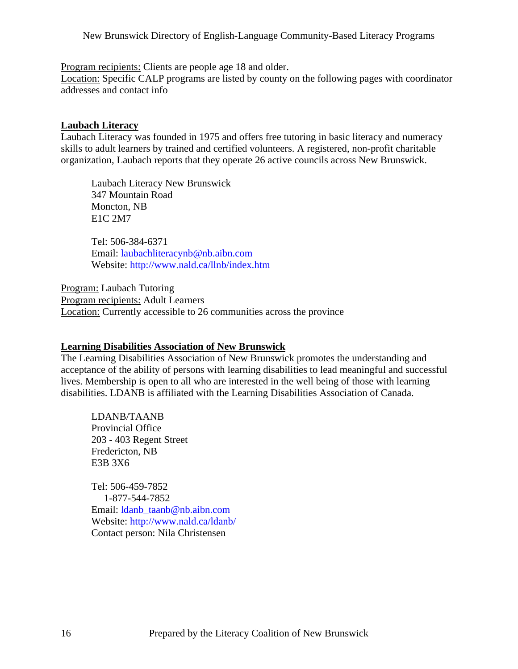<span id="page-15-0"></span>Program recipients: Clients are people age 18 and older.

Location: Specific CALP programs are listed by county on the following pages with coordinator addresses and contact info

#### **Laubach Literacy**

Laubach Literacy was founded in 1975 and offers free tutoring in basic literacy and numeracy skills to adult learners by trained and certified volunteers. A registered, non-profit charitable organization, Laubach reports that they operate 26 active councils across New Brunswick.

 Laubach Literacy New Brunswick 347 Mountain Road Moncton, NB E1C 2M7

 Tel: 506-384-6371 Email: [laubachliteracynb@nb.aibn.com](mailto:laubachliteracynb@nb.aibn.com)  Website: <http://www.nald.ca/llnb/index.htm>

Program: Laubach Tutoring Program recipients: Adult Learners Location: Currently accessible to 26 communities across the province

#### **Learning Disabilities Association of New Brunswick**

The Learning Disabilities Association of New Brunswick promotes the understanding and acceptance of the ability of persons with learning disabilities to lead meaningful and successful lives. Membership is open to all who are interested in the well being of those with learning disabilities. LDANB is affiliated with the Learning Disabilities Association of Canada.

 LDANB/TAANB Provincial Office 203 - 403 Regent Street Fredericton, NB E3B 3X6

 Tel: 506-459-7852 1-877-544-7852 Email: Idanb taanb@nb.aibn.com Website: <http://www.nald.ca/ldanb/> Contact person: Nila Christensen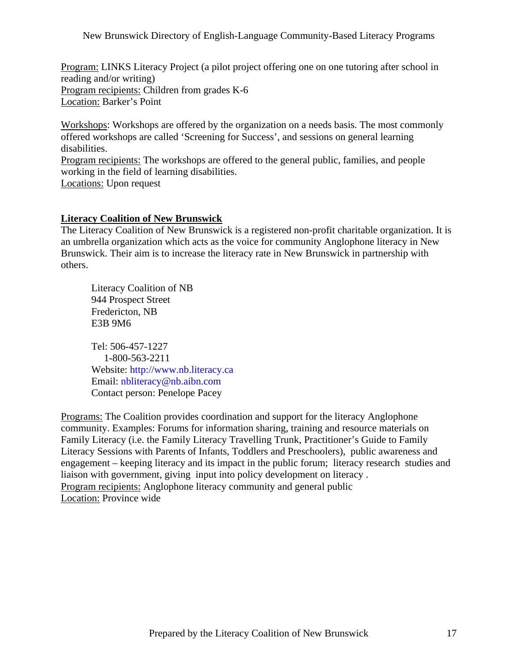<span id="page-16-0"></span>Program: LINKS Literacy Project (a pilot project offering one on one tutoring after school in reading and/or writing) Program recipients: Children from grades K-6 Location: Barker's Point

Workshops: Workshops are offered by the organization on a needs basis. The most commonly offered workshops are called 'Screening for Success', and sessions on general learning disabilities.

Program recipients: The workshops are offered to the general public, families, and people working in the field of learning disabilities. Locations: Upon request

**Literacy Coalition of New Brunswick**

The Literacy Coalition of New Brunswick is a registered non-profit charitable organization. It is an umbrella organization which acts as the voice for community Anglophone literacy in New Brunswick. Their aim is to increase the literacy rate in New Brunswick in partnership with others.

 Literacy Coalition of NB 944 Prospect Street Fredericton, NB E3B 9M6

 Tel: 506-457-1227 1-800-563-2211 Website: <http://www.nb.literacy.ca> Email: [nbliteracy@nb.aibn.com](mailto:nbliteracy@nb.aibn.com) Contact person: Penelope Pacey

Programs: The Coalition provides coordination and support for the literacy Anglophone community. Examples: Forums for information sharing, training and resource materials on Family Literacy (i.e. the Family Literacy Travelling Trunk, Practitioner's Guide to Family Literacy Sessions with Parents of Infants, Toddlers and Preschoolers), public awareness and engagement – keeping literacy and its impact in the public forum; literacy research studies and liaison with government, giving input into policy development on literacy . Program recipients: Anglophone literacy community and general public Location: Province wide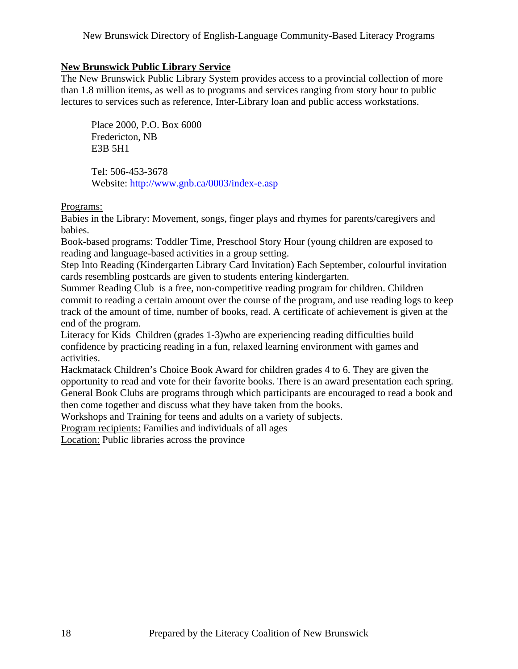### <span id="page-17-0"></span>**New Brunswick Public Library Service**

The New Brunswick Public Library System provides access to a provincial collection of more than 1.8 million items, as well as to programs and services ranging from story hour to public lectures to services such as reference, Inter-Library loan and public access workstations.

 Place 2000, P.O. Box 6000 Fredericton, NB E3B 5H1

 Tel: 506-453-3678 Website: <http://www.gnb.ca/0003/index-e.asp>

Programs:

Babies in the Library: Movement, songs, finger plays and rhymes for parents/caregivers and babies.

Book-based programs: Toddler Time, Preschool Story Hour (young children are exposed to reading and language-based activities in a group setting.

Step Into Reading (Kindergarten Library Card Invitation) Each September, colourful invitation cards resembling postcards are given to students entering kindergarten.

Summer Reading Club is a free, non-competitive reading program for children. Children commit to reading a certain amount over the course of the program, and use reading logs to keep track of the amount of time, number of books, read. A certificate of achievement is given at the end of the program.

Literacy for Kids Children (grades 1-3)who are experiencing reading difficulties build confidence by practicing reading in a fun, relaxed learning environment with games and activities.

Hackmatack Children's Choice Book Award for children grades 4 to 6. They are given the opportunity to read and vote for their favorite books. There is an award presentation each spring. General Book Clubs are programs through which participants are encouraged to read a book and then come together and discuss what they have taken from the books.

Workshops and Training for teens and adults on a variety of subjects.

Program recipients: Families and individuals of all ages

Location: Public libraries across the province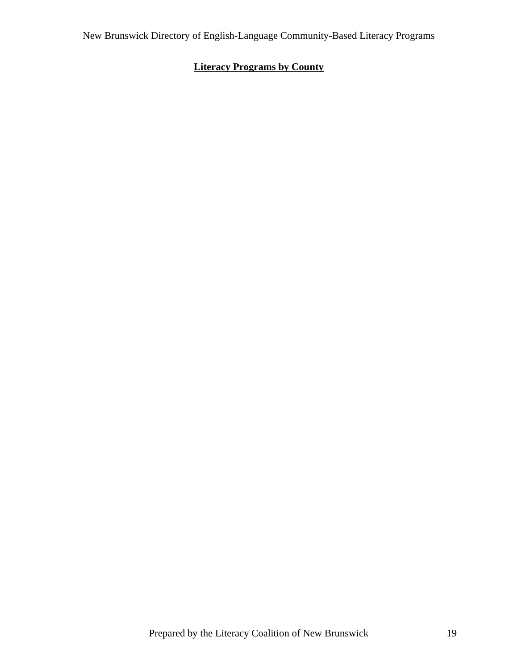# <span id="page-18-0"></span>**Literacy Programs by County**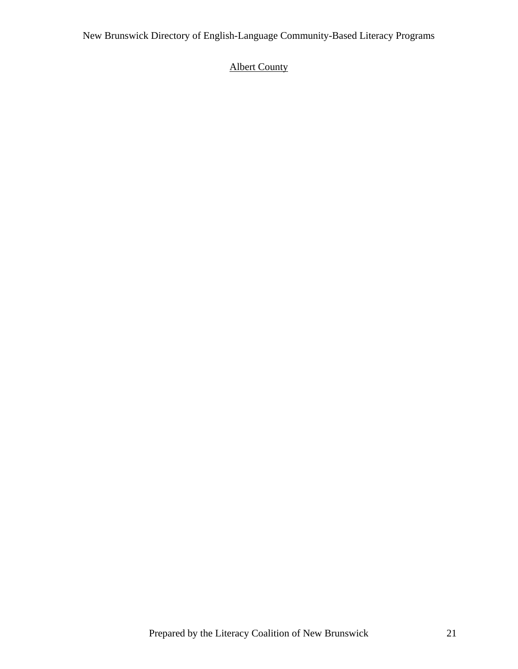# <span id="page-20-0"></span>Albert County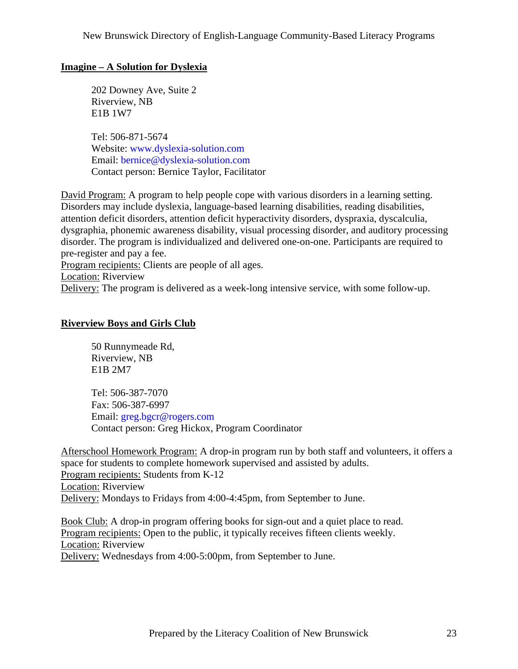### <span id="page-22-0"></span>**Imagine – A Solution for Dyslexia**

 202 Downey Ave, Suite 2 Riverview, NB E1B 1W7

 Tel: 506-871-5674 Website: [www.dyslexia-solution.com](http://www.dyslexia-solution.com)  Email: [bernice@dyslexia-solution.com](mailto:bernice@dyslexia-solution.com) Contact person: Bernice Taylor, Facilitator

David Program: A program to help people cope with various disorders in a learning setting. Disorders may include dyslexia, language-based learning disabilities, reading disabilities, attention deficit disorders, attention deficit hyperactivity disorders, dyspraxia, dyscalculia, dysgraphia, phonemic awareness disability, visual processing disorder, and auditory processing disorder. The program is individualized and delivered one-on-one. Participants are required to pre-register and pay a fee.

Program recipients: Clients are people of all ages.

Location: Riverview

Delivery: The program is delivered as a week-long intensive service, with some follow-up.

#### **Riverview Boys and Girls Club**

 50 Runnymeade Rd, Riverview, NB E1B 2M7

 Tel: 506-387-7070 Fax: 506-387-6997 Email: [greg.bgcr@rogers.com](mailto:greg.bgcr@rogers.com) Contact person: Greg Hickox, Program Coordinator

Afterschool Homework Program: A drop-in program run by both staff and volunteers, it offers a space for students to complete homework supervised and assisted by adults. Program recipients: Students from K-12 Location: Riverview Delivery: Mondays to Fridays from 4:00-4:45pm, from September to June.

Book Club: A drop-in program offering books for sign-out and a quiet place to read. Program recipients: Open to the public, it typically receives fifteen clients weekly. Location: Riverview Delivery: Wednesdays from 4:00-5:00pm, from September to June.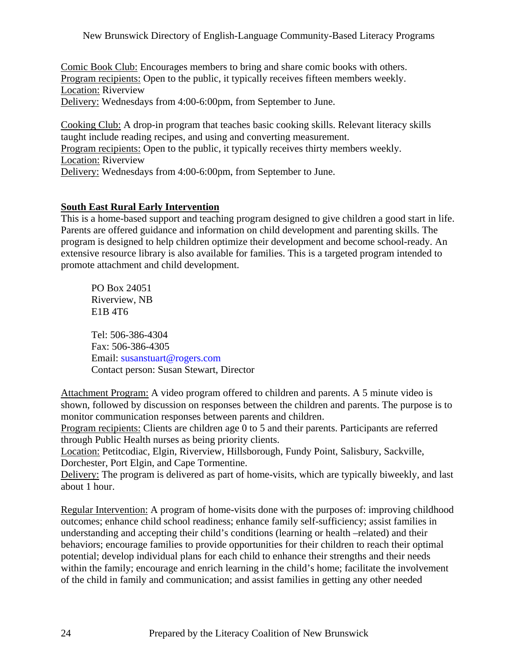<span id="page-23-0"></span>Comic Book Club: Encourages members to bring and share comic books with others. Program recipients: Open to the public, it typically receives fifteen members weekly. Location: Riverview Delivery: Wednesdays from 4:00-6:00pm, from September to June.

Cooking Club: A drop-in program that teaches basic cooking skills. Relevant literacy skills taught include reading recipes, and using and converting measurement. Program recipients: Open to the public, it typically receives thirty members weekly. Location: Riverview Delivery: Wednesdays from 4:00-6:00pm, from September to June.

## **South East Rural Early Intervention**

This is a home-based support and teaching program designed to give children a good start in life. Parents are offered guidance and information on child development and parenting skills. The program is designed to help children optimize their development and become school-ready. An extensive resource library is also available for families. This is a targeted program intended to promote attachment and child development.

 PO Box 24051 Riverview, NB E1B 4T6

 Tel: 506-386-4304 Fax: 506-386-4305 Email: [susanstuart@rogers.com](mailto:susanstuart@rogers.com) Contact person: Susan Stewart, Director

Attachment Program: A video program offered to children and parents. A 5 minute video is shown, followed by discussion on responses between the children and parents. The purpose is to monitor communication responses between parents and children.

Program recipients: Clients are children age 0 to 5 and their parents. Participants are referred through Public Health nurses as being priority clients.

Location: Petitcodiac, Elgin, Riverview, Hillsborough, Fundy Point, Salisbury, Sackville, Dorchester, Port Elgin, and Cape Tormentine.

Delivery: The program is delivered as part of home-visits, which are typically biweekly, and last about 1 hour.

Regular Intervention: A program of home-visits done with the purposes of: improving childhood outcomes; enhance child school readiness; enhance family self-sufficiency; assist families in understanding and accepting their child's conditions (learning or health –related) and their behaviors; encourage families to provide opportunities for their children to reach their optimal potential; develop individual plans for each child to enhance their strengths and their needs within the family; encourage and enrich learning in the child's home; facilitate the involvement of the child in family and communication; and assist families in getting any other needed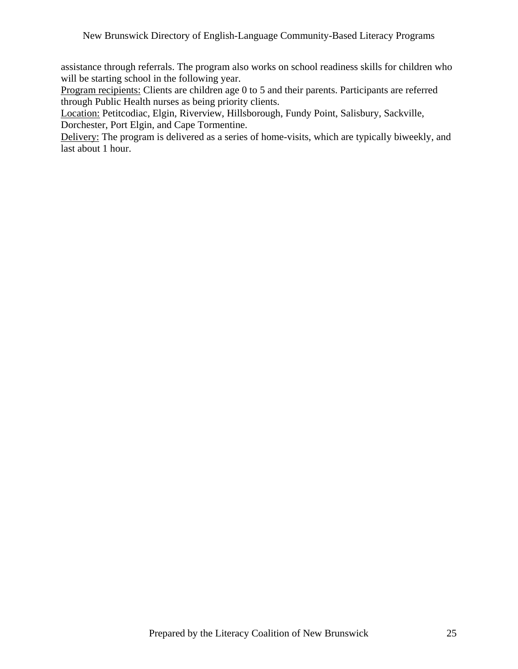assistance through referrals. The program also works on school readiness skills for children who will be starting school in the following year.

Program recipients: Clients are children age 0 to 5 and their parents. Participants are referred through Public Health nurses as being priority clients.

Location: Petitcodiac, Elgin, Riverview, Hillsborough, Fundy Point, Salisbury, Sackville, Dorchester, Port Elgin, and Cape Tormentine.

Delivery: The program is delivered as a series of home-visits, which are typically biweekly, and last about 1 hour.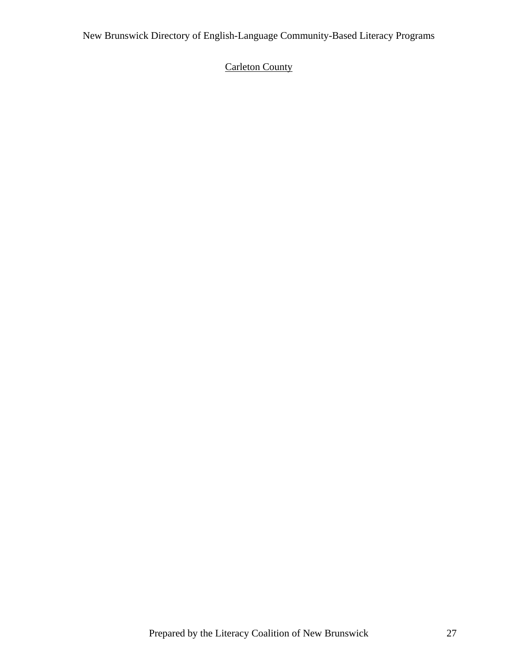# <span id="page-26-0"></span>Carleton County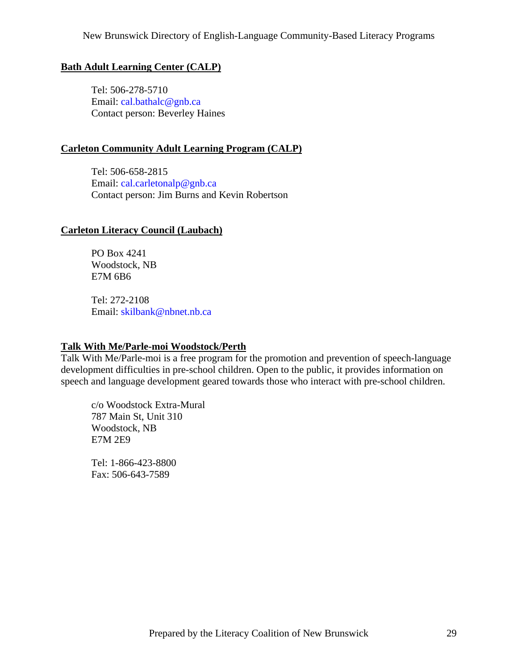### <span id="page-28-0"></span>**Bath Adult Learning Center (CALP)**

 Tel: 506-278-5710 Email: [cal.bathalc@gnb.ca](mailto:cal.bathalc@gnb.ca) Contact person: Beverley Haines

#### **Carleton Community Adult Learning Program (CALP)**

 Tel: 506-658-2815 Email: [cal.carletonalp@gnb.ca](mailto:cal.carletonalp@gnb.ca) Contact person: Jim Burns and Kevin Robertson

#### **Carleton Literacy Council (Laubach)**

 PO Box 4241 Woodstock, NB E7M 6B6

 Tel: 272-2108 Email: [skilbank@nbnet.nb.ca](mailto:skilbank@nbnet.nb.ca)

#### **Talk With Me/Parle-moi Woodstock/Perth**

Talk With Me/Parle-moi is a free program for the promotion and prevention of speech-language development difficulties in pre-school children. Open to the public, it provides information on speech and language development geared towards those who interact with pre-school children.

 c/o Woodstock Extra-Mural 787 Main St, Unit 310 Woodstock, NB E7M 2E9

 Tel: 1-866-423-8800 Fax: 506-643-7589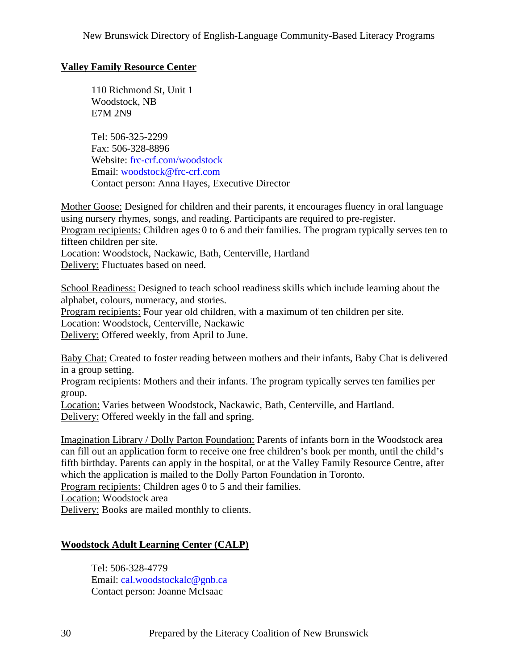## <span id="page-29-0"></span>**Valley Family Resource Center**

 110 Richmond St, Unit 1 Woodstock, NB E7M 2N9

 Tel: 506-325-2299 Fax: 506-328-8896 Website: frc-crf.com/woodstock Email: [woodstock@frc-crf.com](mailto:woodstock@frc-crf.com) Contact person: Anna Hayes, Executive Director

Mother Goose: Designed for children and their parents, it encourages fluency in oral language using nursery rhymes, songs, and reading. Participants are required to pre-register. Program recipients: Children ages 0 to 6 and their families. The program typically serves ten to fifteen children per site. Location: Woodstock, Nackawic, Bath, Centerville, Hartland Delivery: Fluctuates based on need.

School Readiness: Designed to teach school readiness skills which include learning about the alphabet, colours, numeracy, and stories. Program recipients: Four year old children, with a maximum of ten children per site. Location: Woodstock, Centerville, Nackawic Delivery: Offered weekly, from April to June.

Baby Chat: Created to foster reading between mothers and their infants, Baby Chat is delivered in a group setting.

Program recipients: Mothers and their infants. The program typically serves ten families per group.

Location: Varies between Woodstock, Nackawic, Bath, Centerville, and Hartland. Delivery: Offered weekly in the fall and spring.

Imagination Library / Dolly Parton Foundation: Parents of infants born in the Woodstock area can fill out an application form to receive one free children's book per month, until the child's fifth birthday. Parents can apply in the hospital, or at the Valley Family Resource Centre, after which the application is mailed to the Dolly Parton Foundation in Toronto.

Program recipients: Children ages 0 to 5 and their families.

Location: Woodstock area

Delivery: Books are mailed monthly to clients.

### **Woodstock Adult Learning Center (CALP)**

 Tel: 506-328-4779 Email: [cal.woodstockalc@gnb.ca](mailto:cal.woodstockalc@gnb.ca) Contact person: Joanne McIsaac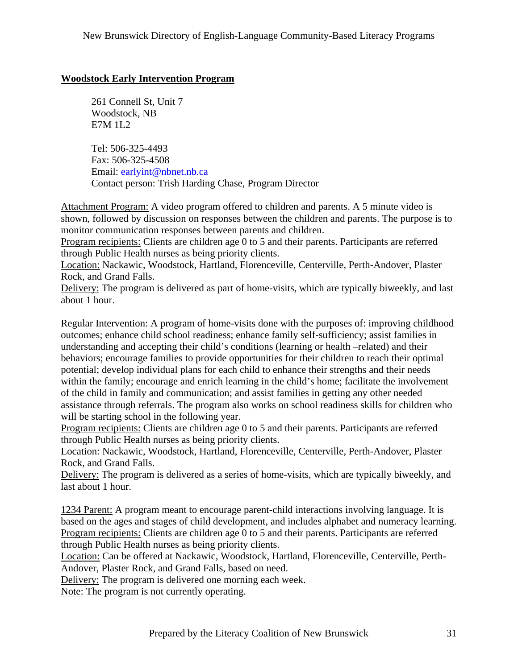### <span id="page-30-0"></span>**Woodstock Early Intervention Program**

 261 Connell St, Unit 7 Woodstock, NB E7M 1L2

 Tel: 506-325-4493 Fax: 506-325-4508 Email: [earlyint@nbnet.nb.ca](mailto:earlyint@nbnet.nb.ca) Contact person: Trish Harding Chase, Program Director

Attachment Program: A video program offered to children and parents. A 5 minute video is shown, followed by discussion on responses between the children and parents. The purpose is to monitor communication responses between parents and children.

Program recipients: Clients are children age 0 to 5 and their parents. Participants are referred through Public Health nurses as being priority clients.

Location: Nackawic, Woodstock, Hartland, Florenceville, Centerville, Perth-Andover, Plaster Rock, and Grand Falls.

Delivery: The program is delivered as part of home-visits, which are typically biweekly, and last about 1 hour.

Regular Intervention: A program of home-visits done with the purposes of: improving childhood outcomes; enhance child school readiness; enhance family self-sufficiency; assist families in understanding and accepting their child's conditions (learning or health –related) and their behaviors; encourage families to provide opportunities for their children to reach their optimal potential; develop individual plans for each child to enhance their strengths and their needs within the family; encourage and enrich learning in the child's home; facilitate the involvement of the child in family and communication; and assist families in getting any other needed assistance through referrals. The program also works on school readiness skills for children who will be starting school in the following year.

Program recipients: Clients are children age 0 to 5 and their parents. Participants are referred through Public Health nurses as being priority clients.

Location: Nackawic, Woodstock, Hartland, Florenceville, Centerville, Perth-Andover, Plaster Rock, and Grand Falls.

Delivery: The program is delivered as a series of home-visits, which are typically biweekly, and last about 1 hour.

1234 Parent: A program meant to encourage parent-child interactions involving language. It is based on the ages and stages of child development, and includes alphabet and numeracy learning. Program recipients: Clients are children age 0 to 5 and their parents. Participants are referred through Public Health nurses as being priority clients.

Location: Can be offered at Nackawic, Woodstock, Hartland, Florenceville, Centerville, Perth-Andover, Plaster Rock, and Grand Falls, based on need.

Delivery: The program is delivered one morning each week.

Note: The program is not currently operating.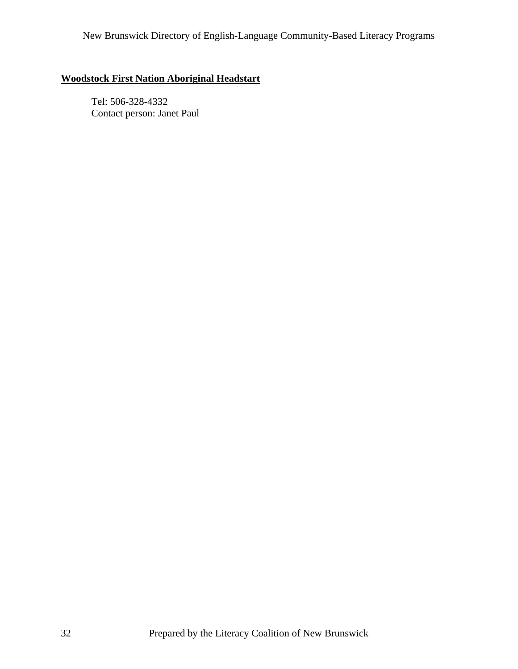## <span id="page-31-0"></span>**Woodstock First Nation Aboriginal Headstart**

 Tel: 506-328-4332 Contact person: Janet Paul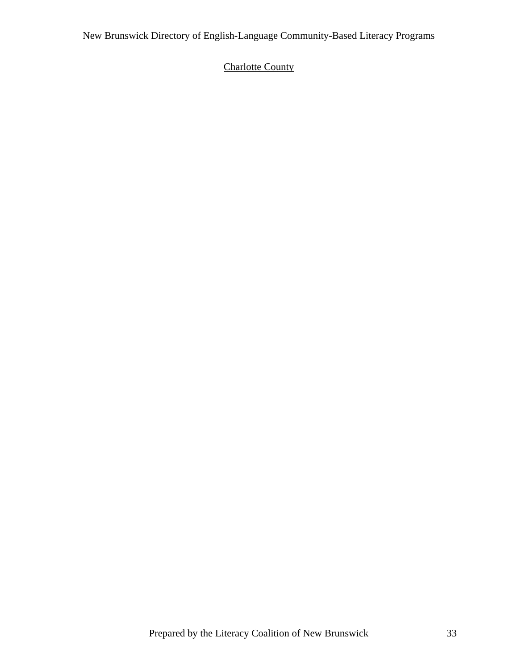# <span id="page-32-0"></span>Charlotte County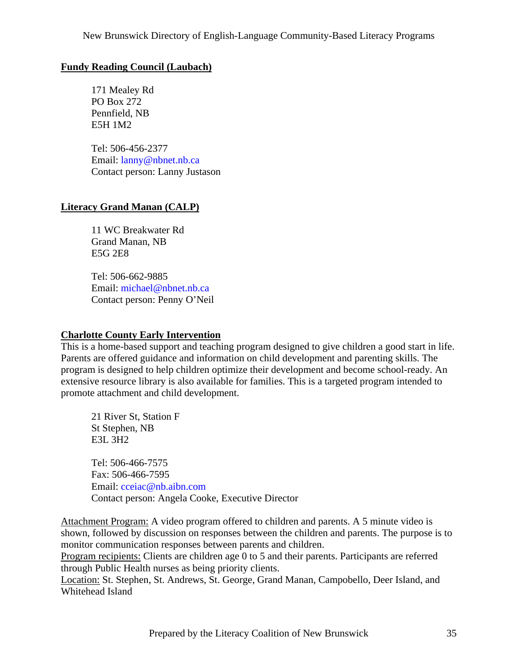## <span id="page-34-0"></span>**Fundy Reading Council (Laubach)**

 171 Mealey Rd PO Box 272 Pennfield, NB E5H 1M2

 Tel: 506-456-2377 Email: [lanny@nbnet.nb.ca](mailto:lanny@nbnet.nb.ca) Contact person: Lanny Justason

## **Literacy Grand Manan (CALP)**

 11 WC Breakwater Rd Grand Manan, NB E5G 2E8

 Tel: 506-662-9885 Email: [michael@nbnet.nb.ca](mailto:michael@nbnet.nb.ca) Contact person: Penny O'Neil

### **Charlotte County Early Intervention**

This is a home-based support and teaching program designed to give children a good start in life. Parents are offered guidance and information on child development and parenting skills. The program is designed to help children optimize their development and become school-ready. An extensive resource library is also available for families. This is a targeted program intended to promote attachment and child development.

 21 River St, Station F St Stephen, NB E3L 3H2

 Tel: 506-466-7575 Fax: 506-466-7595 Email: [cceiac@nb.aibn.com](mailto:cceiac@nb.aibn.com) Contact person: Angela Cooke, Executive Director

Attachment Program: A video program offered to children and parents. A 5 minute video is shown, followed by discussion on responses between the children and parents. The purpose is to monitor communication responses between parents and children.

Program recipients: Clients are children age 0 to 5 and their parents. Participants are referred through Public Health nurses as being priority clients.

Location: St. Stephen, St. Andrews, St. George, Grand Manan, Campobello, Deer Island, and Whitehead Island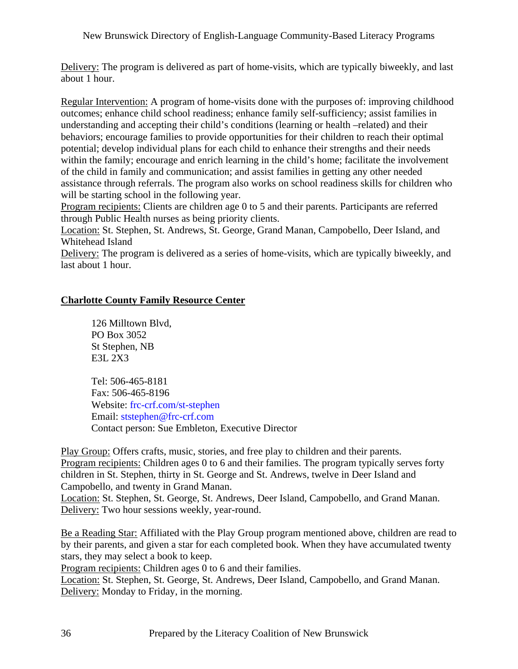<span id="page-35-0"></span>Delivery: The program is delivered as part of home-visits, which are typically biweekly, and last about 1 hour.

Regular Intervention: A program of home-visits done with the purposes of: improving childhood outcomes; enhance child school readiness; enhance family self-sufficiency; assist families in understanding and accepting their child's conditions (learning or health –related) and their behaviors; encourage families to provide opportunities for their children to reach their optimal potential; develop individual plans for each child to enhance their strengths and their needs within the family; encourage and enrich learning in the child's home; facilitate the involvement of the child in family and communication; and assist families in getting any other needed assistance through referrals. The program also works on school readiness skills for children who will be starting school in the following year.

Program recipients: Clients are children age 0 to 5 and their parents. Participants are referred through Public Health nurses as being priority clients.

Location: St. Stephen, St. Andrews, St. George, Grand Manan, Campobello, Deer Island, and Whitehead Island

Delivery: The program is delivered as a series of home-visits, which are typically biweekly, and last about 1 hour.

#### **Charlotte County Family Resource Center**

 126 Milltown Blvd, PO Box 3052 St Stephen, NB E3L 2X3

 Tel: 506-465-8181 Fax: 506-465-8196 Website: frc-crf.com/st-stephen Email: [ststephen@frc-crf.com](mailto:ststephen@frc-crf.com) Contact person: Sue Embleton, Executive Director

Play Group: Offers crafts, music, stories, and free play to children and their parents. Program recipients: Children ages 0 to 6 and their families. The program typically serves forty children in St. Stephen, thirty in St. George and St. Andrews, twelve in Deer Island and Campobello, and twenty in Grand Manan. Location: St. Stephen, St. George, St. Andrews, Deer Island, Campobello, and Grand Manan.

Delivery: Two hour sessions weekly, year-round.

Be a Reading Star: Affiliated with the Play Group program mentioned above, children are read to by their parents, and given a star for each completed book. When they have accumulated twenty stars, they may select a book to keep.

Program recipients: Children ages 0 to 6 and their families.

Location: St. Stephen, St. George, St. Andrews, Deer Island, Campobello, and Grand Manan. Delivery: Monday to Friday, in the morning.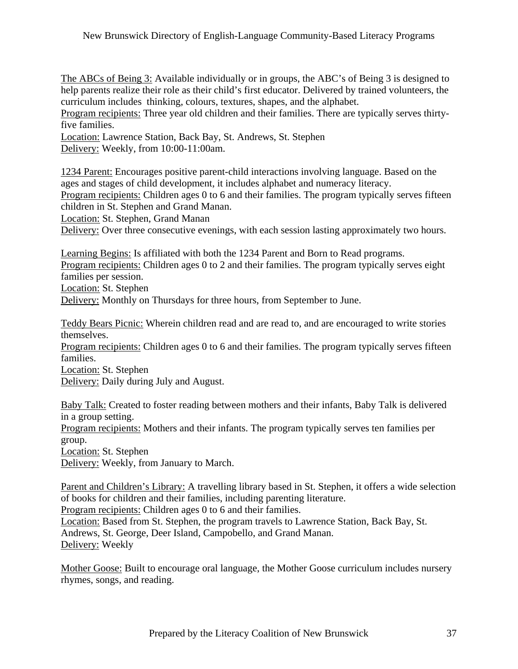The ABCs of Being 3: Available individually or in groups, the ABC's of Being 3 is designed to help parents realize their role as their child's first educator. Delivered by trained volunteers, the curriculum includes thinking, colours, textures, shapes, and the alphabet.

Program recipients: Three year old children and their families. There are typically serves thirtyfive families.

Location: Lawrence Station, Back Bay, St. Andrews, St. Stephen Delivery: Weekly, from 10:00-11:00am.

1234 Parent: Encourages positive parent-child interactions involving language. Based on the ages and stages of child development, it includes alphabet and numeracy literacy.

Program recipients: Children ages 0 to 6 and their families. The program typically serves fifteen children in St. Stephen and Grand Manan.

Location: St. Stephen, Grand Manan

Delivery: Over three consecutive evenings, with each session lasting approximately two hours.

Learning Begins: Is affiliated with both the 1234 Parent and Born to Read programs. Program recipients: Children ages 0 to 2 and their families. The program typically serves eight families per session.

Location: St. Stephen

Delivery: Monthly on Thursdays for three hours, from September to June.

Teddy Bears Picnic: Wherein children read and are read to, and are encouraged to write stories themselves.

Program recipients: Children ages 0 to 6 and their families. The program typically serves fifteen families.

Location: St. Stephen

Delivery: Daily during July and August.

Baby Talk: Created to foster reading between mothers and their infants, Baby Talk is delivered in a group setting.

Program recipients: Mothers and their infants. The program typically serves ten families per group.

Location: St. Stephen

Delivery: Weekly, from January to March.

Parent and Children's Library: A travelling library based in St. Stephen, it offers a wide selection of books for children and their families, including parenting literature.

Program recipients: Children ages 0 to 6 and their families.

Location: Based from St. Stephen, the program travels to Lawrence Station, Back Bay, St. Andrews, St. George, Deer Island, Campobello, and Grand Manan. Delivery: Weekly

Mother Goose: Built to encourage oral language, the Mother Goose curriculum includes nursery rhymes, songs, and reading.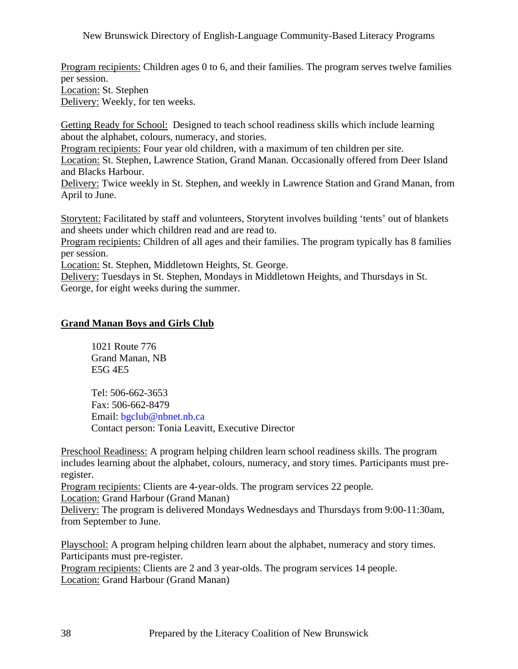Program recipients: Children ages 0 to 6, and their families. The program serves twelve families per session. Location: St. Stephen

Delivery: Weekly, for ten weeks.

Getting Ready for School: Designed to teach school readiness skills which include learning about the alphabet, colours, numeracy, and stories.

Program recipients: Four year old children, with a maximum of ten children per site.

Location: St. Stephen, Lawrence Station, Grand Manan. Occasionally offered from Deer Island and Blacks Harbour.

Delivery: Twice weekly in St. Stephen, and weekly in Lawrence Station and Grand Manan, from April to June.

Storytent: Facilitated by staff and volunteers, Storytent involves building 'tents' out of blankets and sheets under which children read and are read to.

Program recipients: Children of all ages and their families. The program typically has 8 families per session.

Location: St. Stephen, Middletown Heights, St. George.

Delivery: Tuesdays in St. Stephen, Mondays in Middletown Heights, and Thursdays in St. George, for eight weeks during the summer.

#### **Grand Manan Boys and Girls Club**

 1021 Route 776 Grand Manan, NB E5G 4E5

 Tel: 506-662-3653 Fax: 506-662-8479 Email: [bgclub@nbnet.nb.ca](mailto:bgclub@nbnet.nb.ca) Contact person: Tonia Leavitt, Executive Director

Preschool Readiness: A program helping children learn school readiness skills. The program includes learning about the alphabet, colours, numeracy, and story times. Participants must preregister.

Program recipients: Clients are 4-year-olds. The program services 22 people.

Location: Grand Harbour (Grand Manan)

Delivery: The program is delivered Mondays Wednesdays and Thursdays from 9:00-11:30am, from September to June.

Playschool: A program helping children learn about the alphabet, numeracy and story times. Participants must pre-register.

Program recipients: Clients are 2 and 3 year-olds. The program services 14 people. Location: Grand Harbour (Grand Manan)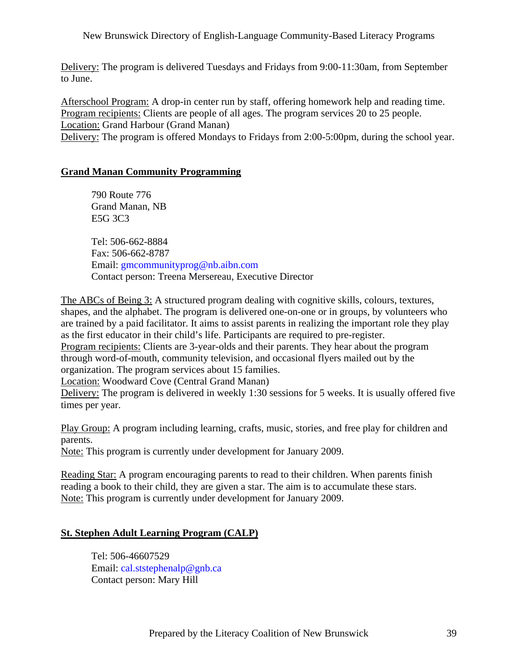Delivery: The program is delivered Tuesdays and Fridays from 9:00-11:30am, from September to June.

Afterschool Program: A drop-in center run by staff, offering homework help and reading time. Program recipients: Clients are people of all ages. The program services 20 to 25 people. Location: Grand Harbour (Grand Manan) Delivery: The program is offered Mondays to Fridays from 2:00-5:00pm, during the school year.

## **Grand Manan Community Programming**

 790 Route 776 Grand Manan, NB E5G 3C3 Tel: 506-662-8884 Fax: 506-662-8787 Email: [gmcommunityprog@nb.aibn.com](mailto:gmcommunityprog@nb.aibn.com) Contact person: Treena Mersereau, Executive Director

The ABCs of Being 3: A structured program dealing with cognitive skills, colours, textures, shapes, and the alphabet. The program is delivered one-on-one or in groups, by volunteers who are trained by a paid facilitator. It aims to assist parents in realizing the important role they play as the first educator in their child's life. Participants are required to pre-register. Program recipients: Clients are 3-year-olds and their parents. They hear about the program through word-of-mouth, community television, and occasional flyers mailed out by the organization. The program services about 15 families.

Location: Woodward Cove (Central Grand Manan)

Delivery: The program is delivered in weekly 1:30 sessions for 5 weeks. It is usually offered five times per year.

Play Group: A program including learning, crafts, music, stories, and free play for children and parents.

Note: This program is currently under development for January 2009.

Reading Star: A program encouraging parents to read to their children. When parents finish reading a book to their child, they are given a star. The aim is to accumulate these stars. Note: This program is currently under development for January 2009.

### **St. Stephen Adult Learning Program (CALP)**

 Tel: 506-46607529 Email: [cal.ststephenalp@gnb.ca](mailto:cal.ststephenalp@gnb.ca) Contact person: Mary Hill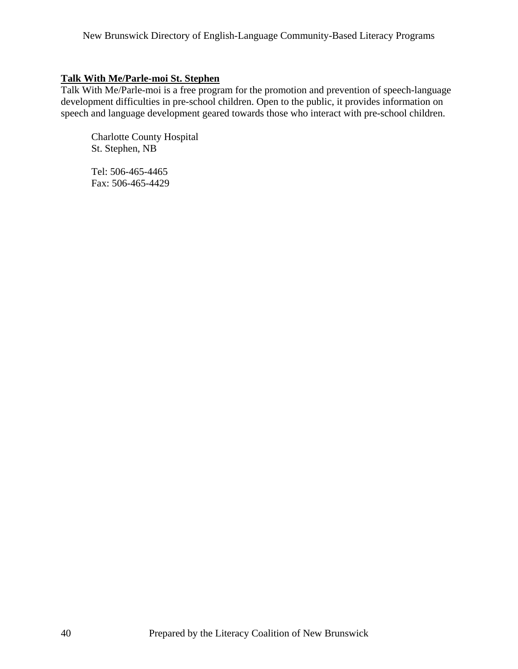## **Talk With Me/Parle-moi St. Stephen**

Talk With Me/Parle-moi is a free program for the promotion and prevention of speech-language development difficulties in pre-school children. Open to the public, it provides information on speech and language development geared towards those who interact with pre-school children.

 Charlotte County Hospital St. Stephen, NB

 Tel: 506-465-4465 Fax: 506-465-4429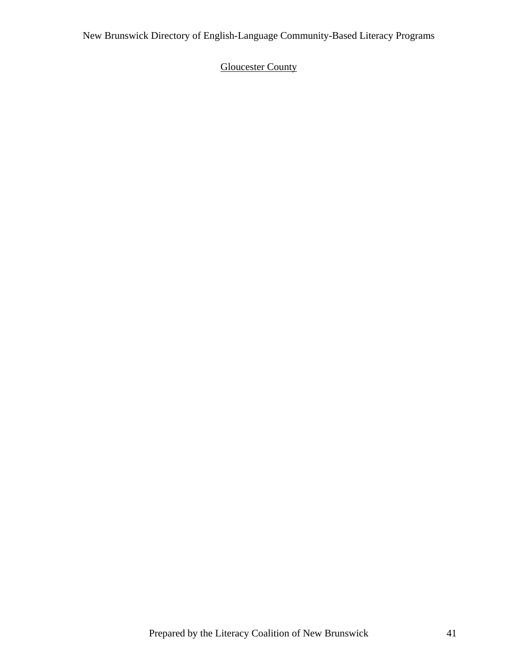# **Gloucester County**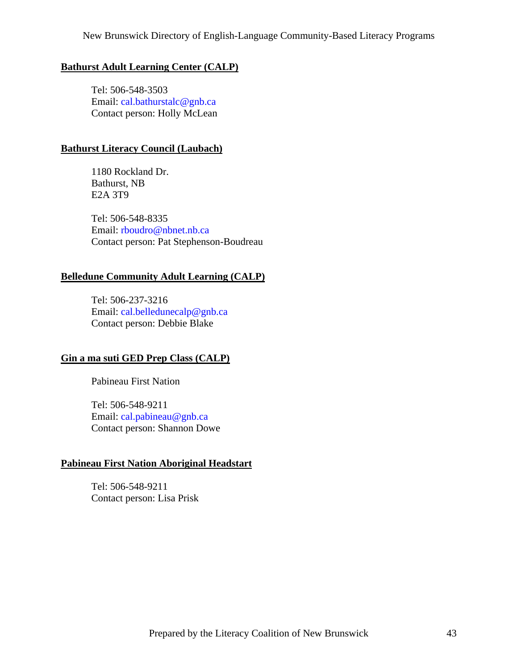#### **Bathurst Adult Learning Center (CALP)**

 Tel: 506-548-3503 Email: [cal.bathurstalc@gnb.ca](mailto:cal.bathurstalc@gnb.ca) Contact person: Holly McLean

#### **Bathurst Literacy Council (Laubach)**

 1180 Rockland Dr. Bathurst, NB E2A 3T9

 Tel: 506-548-8335 Email: [rboudro@nbnet.nb.ca](mailto:rboudro@nbnet.nb.ca) Contact person: Pat Stephenson-Boudreau

#### **Belledune Community Adult Learning (CALP)**

 Tel: 506-237-3216 Email: [cal.belledunecalp@gnb.ca](mailto:cal.belledunecalp@gnb.ca) Contact person: Debbie Blake

### **Gin a ma suti GED Prep Class (CALP)**

Pabineau First Nation

 Tel: 506-548-9211 Email: [cal.pabineau@gnb.ca](mailto:cal.pabineau@gnb.ca) Contact person: Shannon Dowe

#### **Pabineau First Nation Aboriginal Headstart**

 Tel: 506-548-9211 Contact person: Lisa Prisk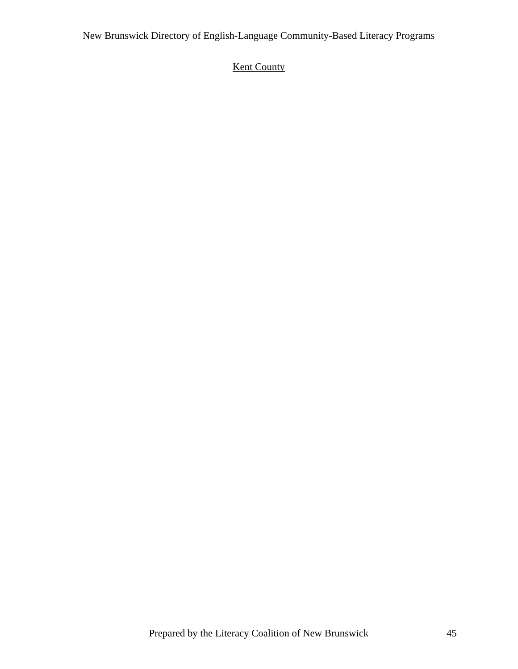# **Kent County**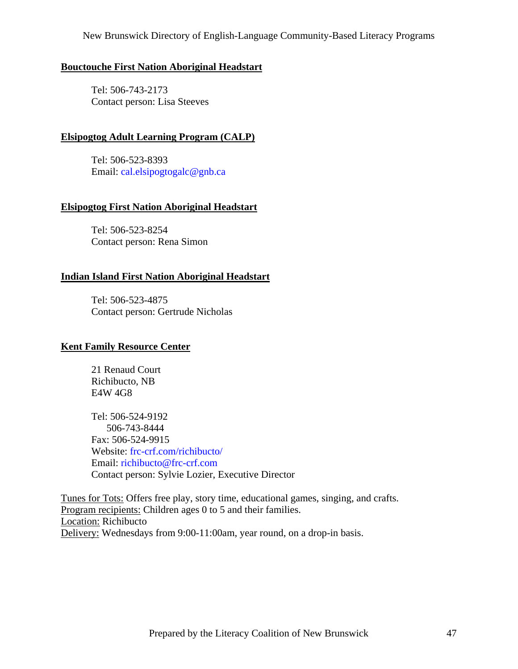#### **Bouctouche First Nation Aboriginal Headstart**

 Tel: 506-743-2173 Contact person: Lisa Steeves

### **Elsipogtog Adult Learning Program (CALP)**

 Tel: 506-523-8393 Email: [cal.elsipogtogalc@gnb.ca](mailto:cal.elsipogtogalc@gnb.ca)

#### **Elsipogtog First Nation Aboriginal Headstart**

 Tel: 506-523-8254 Contact person: Rena Simon

#### **Indian Island First Nation Aboriginal Headstart**

 Tel: 506-523-4875 Contact person: Gertrude Nicholas

#### **Kent Family Resource Center**

 21 Renaud Court Richibucto, NB E4W 4G8

 Tel: 506-524-9192 506-743-8444 Fax: 506-524-9915 Website: frc-crf.com/richibucto/ Email: [richibucto@frc-crf.com](mailto:richibucto@frc-crf.com) Contact person: Sylvie Lozier, Executive Director

Tunes for Tots: Offers free play, story time, educational games, singing, and crafts. Program recipients: Children ages 0 to 5 and their families. Location: Richibucto Delivery: Wednesdays from 9:00-11:00am, year round, on a drop-in basis.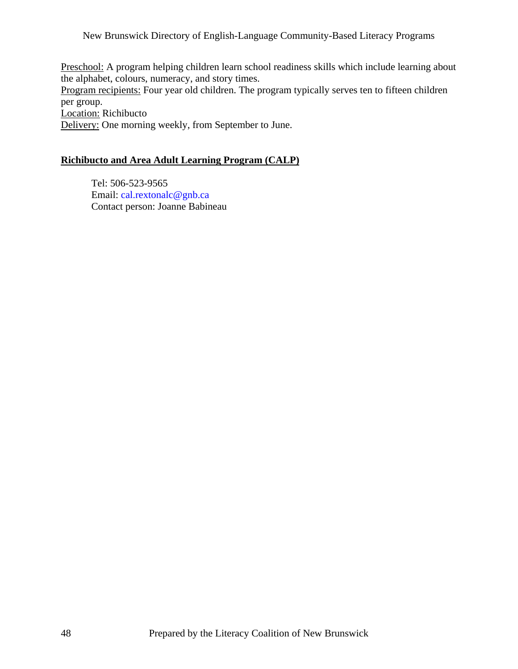Preschool: A program helping children learn school readiness skills which include learning about the alphabet, colours, numeracy, and story times. Program recipients: Four year old children. The program typically serves ten to fifteen children per group. Location: Richibucto

Delivery: One morning weekly, from September to June.

## **Richibucto and Area Adult Learning Program (CALP)**

 Tel: 506-523-9565 Email: [cal.rextonalc@gnb.ca](mailto:cal.rextonalc@gnb.ca) Contact person: Joanne Babineau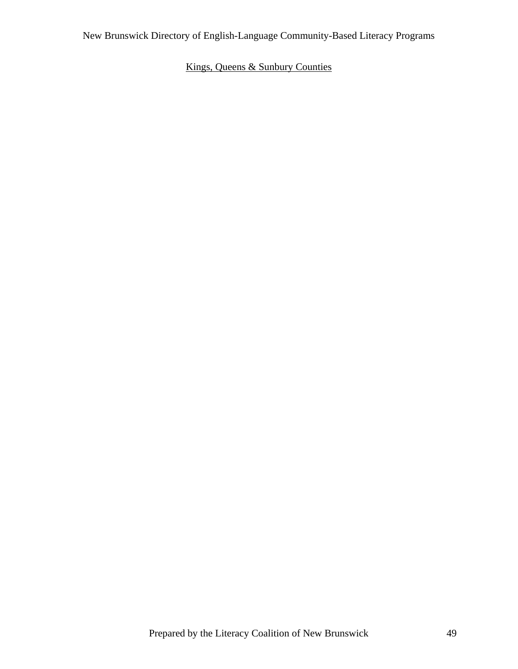# Kings, Queens & Sunbury Counties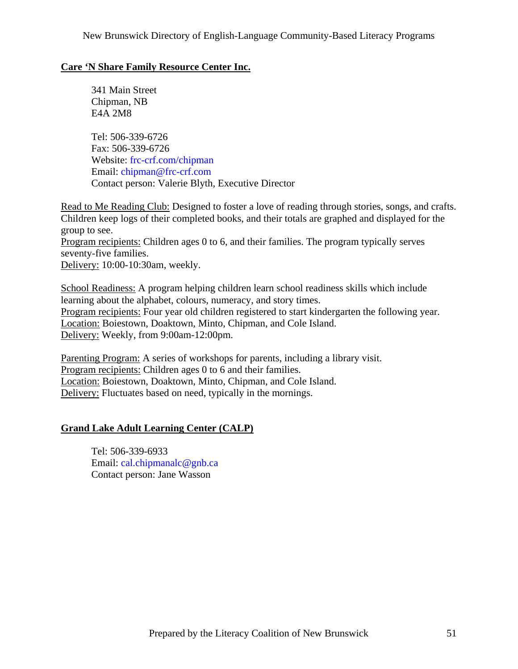## **Care 'N Share Family Resource Center Inc.**

 341 Main Street Chipman, NB E4A 2M8

 Tel: 506-339-6726 Fax: 506-339-6726 Website: frc-crf.com/chipman Email: [chipman@frc-crf.com](mailto:chipman@frc-crf.com) Contact person: Valerie Blyth, Executive Director

Read to Me Reading Club: Designed to foster a love of reading through stories, songs, and crafts. Children keep logs of their completed books, and their totals are graphed and displayed for the group to see. Program recipients: Children ages 0 to 6, and their families. The program typically serves seventy-five families.

Delivery: 10:00-10:30am, weekly.

School Readiness: A program helping children learn school readiness skills which include learning about the alphabet, colours, numeracy, and story times. Program recipients: Four year old children registered to start kindergarten the following year. Location: Boiestown, Doaktown, Minto, Chipman, and Cole Island. Delivery: Weekly, from 9:00am-12:00pm.

Parenting Program: A series of workshops for parents, including a library visit. Program recipients: Children ages 0 to 6 and their families. Location: Boiestown, Doaktown, Minto, Chipman, and Cole Island. Delivery: Fluctuates based on need, typically in the mornings.

## **Grand Lake Adult Learning Center (CALP)**

 Tel: 506-339-6933 Email: [cal.chipmanalc@gnb.ca](mailto:cal.chipmanalc@gnb.ca) Contact person: Jane Wasson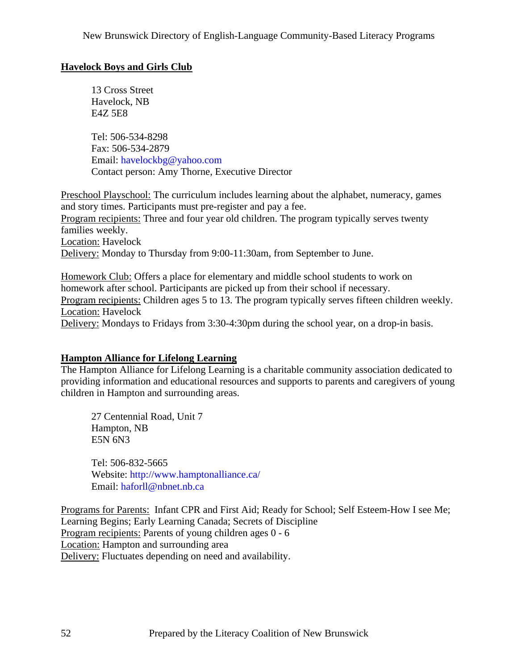## **Havelock Boys and Girls Club**

 13 Cross Street Havelock, NB E4Z 5E8

 Tel: 506-534-8298 Fax: 506-534-2879 Email: [havelockbg@yahoo.com](mailto:havelockbg@yahoo.com) Contact person: Amy Thorne, Executive Director

Preschool Playschool: The curriculum includes learning about the alphabet, numeracy, games and story times. Participants must pre-register and pay a fee. Program recipients: Three and four year old children. The program typically serves twenty families weekly. Location: Havelock Delivery: Monday to Thursday from 9:00-11:30am, from September to June.

Homework Club: Offers a place for elementary and middle school students to work on homework after school. Participants are picked up from their school if necessary. Program recipients: Children ages 5 to 13. The program typically serves fifteen children weekly. Location: Havelock Delivery: Mondays to Fridays from 3:30-4:30pm during the school year, on a drop-in basis.

### **Hampton Alliance for Lifelong Learning**

The Hampton Alliance for Lifelong Learning is a charitable community association dedicated to providing information and educational resources and supports to parents and caregivers of young children in Hampton and surrounding areas.

 27 Centennial Road, Unit 7 Hampton, NB E5N 6N3

 Tel: 506-832-5665 Website: <http://www.hamptonalliance.ca/> Email: [haforll@nbnet.nb.ca](mailto:haforll@nbnet.nb.ca)

Programs for Parents: Infant CPR and First Aid; Ready for School; Self Esteem-How I see Me; Learning Begins; Early Learning Canada; Secrets of Discipline Program recipients: Parents of young children ages 0 - 6 Location: Hampton and surrounding area Delivery: Fluctuates depending on need and availability.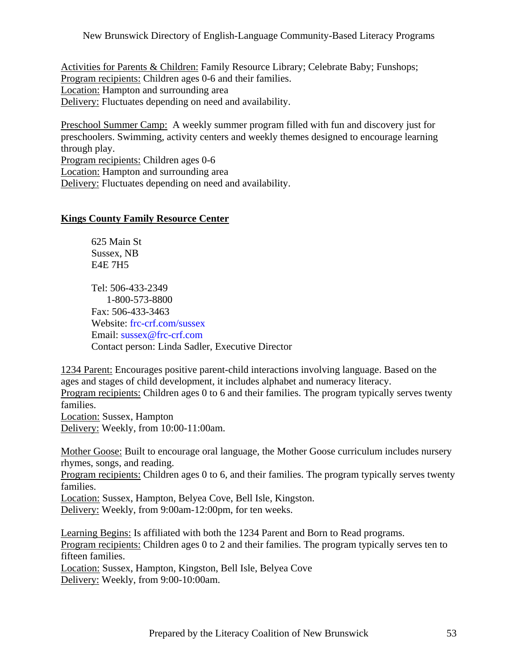Activities for Parents & Children: Family Resource Library; Celebrate Baby; Funshops; Program recipients: Children ages 0-6 and their families. Location: Hampton and surrounding area Delivery: Fluctuates depending on need and availability.

Preschool Summer Camp: A weekly summer program filled with fun and discovery just for preschoolers. Swimming, activity centers and weekly themes designed to encourage learning through play. Program recipients: Children ages 0-6 Location: Hampton and surrounding area Delivery: Fluctuates depending on need and availability.

## **Kings County Family Resource Center**

 625 Main St Sussex, NB E4E 7H5

 Tel: 506-433-2349 1-800-573-8800 Fax: 506-433-3463 Website: frc-crf.com/sussex Email: [sussex@frc-crf.com](mailto:sussex@frc-crf.com) Contact person: Linda Sadler, Executive Director

1234 Parent: Encourages positive parent-child interactions involving language. Based on the ages and stages of child development, it includes alphabet and numeracy literacy. Program recipients: Children ages 0 to 6 and their families. The program typically serves twenty families. Location: Sussex, Hampton

Delivery: Weekly, from 10:00-11:00am.

Mother Goose: Built to encourage oral language, the Mother Goose curriculum includes nursery rhymes, songs, and reading.

Program recipients: Children ages 0 to 6, and their families. The program typically serves twenty families.

Location: Sussex, Hampton, Belyea Cove, Bell Isle, Kingston. Delivery: Weekly, from 9:00am-12:00pm, for ten weeks.

Learning Begins: Is affiliated with both the 1234 Parent and Born to Read programs. Program recipients: Children ages 0 to 2 and their families. The program typically serves ten to fifteen families. Location: Sussex, Hampton, Kingston, Bell Isle, Belyea Cove Delivery: Weekly, from 9:00-10:00am.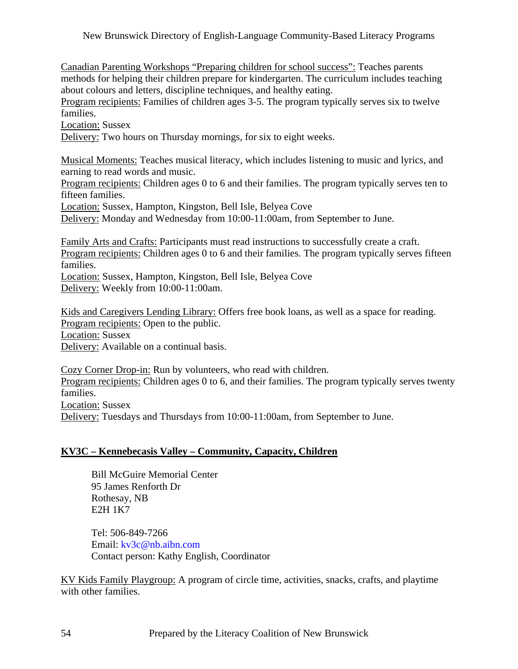Canadian Parenting Workshops "Preparing children for school success": Teaches parents methods for helping their children prepare for kindergarten. The curriculum includes teaching about colours and letters, discipline techniques, and healthy eating.

Program recipients: Families of children ages 3-5. The program typically serves six to twelve families.

Location: Sussex

Delivery: Two hours on Thursday mornings, for six to eight weeks.

Musical Moments: Teaches musical literacy, which includes listening to music and lyrics, and earning to read words and music.

Program recipients: Children ages 0 to 6 and their families. The program typically serves ten to fifteen families.

Location: Sussex, Hampton, Kingston, Bell Isle, Belyea Cove

Delivery: Monday and Wednesday from 10:00-11:00am, from September to June.

Family Arts and Crafts: Participants must read instructions to successfully create a craft. Program recipients: Children ages 0 to 6 and their families. The program typically serves fifteen families.

Location: Sussex, Hampton, Kingston, Bell Isle, Belyea Cove Delivery: Weekly from 10:00-11:00am.

Kids and Caregivers Lending Library: Offers free book loans, as well as a space for reading. Program recipients: Open to the public. Location: Sussex

Delivery: Available on a continual basis.

Cozy Corner Drop-in: Run by volunteers, who read with children. Program recipients: Children ages 0 to 6, and their families. The program typically serves twenty families. Location: Sussex Delivery: Tuesdays and Thursdays from 10:00-11:00am, from September to June.

### **KV3C – Kennebecasis Valley – Community, Capacity, Children**

 Bill McGuire Memorial Center 95 James Renforth Dr Rothesay, NB E2H 1K7

 Tel: 506-849-7266 Email: [kv3c@nb.aibn.com](mailto:kv3c@nb.aibn.com) Contact person: Kathy English, Coordinator

KV Kids Family Playgroup: A program of circle time, activities, snacks, crafts, and playtime with other families.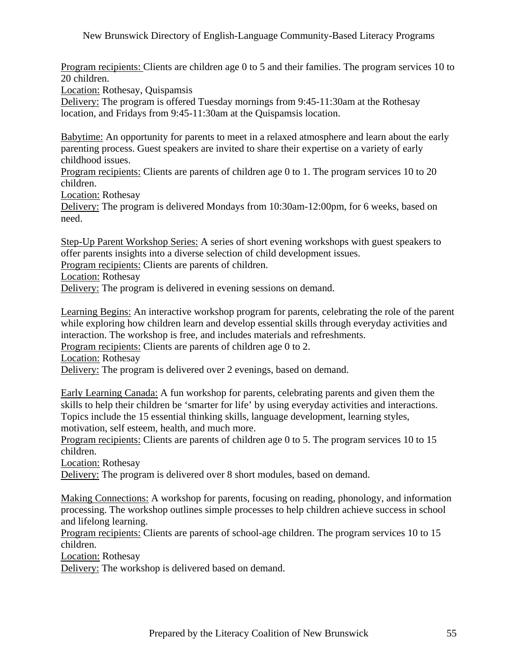Program recipients: Clients are children age 0 to 5 and their families. The program services 10 to 20 children.

Location: Rothesay, Quispamsis

Delivery: The program is offered Tuesday mornings from 9:45-11:30am at the Rothesay location, and Fridays from 9:45-11:30am at the Quispamsis location.

Babytime: An opportunity for parents to meet in a relaxed atmosphere and learn about the early parenting process. Guest speakers are invited to share their expertise on a variety of early childhood issues.

Program recipients: Clients are parents of children age 0 to 1. The program services 10 to 20 children.

Location: Rothesay

Delivery: The program is delivered Mondays from 10:30am-12:00pm, for 6 weeks, based on need.

Step-Up Parent Workshop Series: A series of short evening workshops with guest speakers to offer parents insights into a diverse selection of child development issues.

Program recipients: Clients are parents of children.

Location: Rothesay

Delivery: The program is delivered in evening sessions on demand.

Learning Begins: An interactive workshop program for parents, celebrating the role of the parent while exploring how children learn and develop essential skills through everyday activities and interaction. The workshop is free, and includes materials and refreshments.

Program recipients: Clients are parents of children age 0 to 2.

Location: Rothesay

Delivery: The program is delivered over 2 evenings, based on demand.

Early Learning Canada: A fun workshop for parents, celebrating parents and given them the skills to help their children be 'smarter for life' by using everyday activities and interactions. Topics include the 15 essential thinking skills, language development, learning styles, motivation, self esteem, health, and much more.

Program recipients: Clients are parents of children age 0 to 5. The program services 10 to 15 children.

Location: Rothesay

Delivery: The program is delivered over 8 short modules, based on demand.

Making Connections: A workshop for parents, focusing on reading, phonology, and information processing. The workshop outlines simple processes to help children achieve success in school and lifelong learning.

Program recipients: Clients are parents of school-age children. The program services 10 to 15 children.

Location: Rothesay

Delivery: The workshop is delivered based on demand.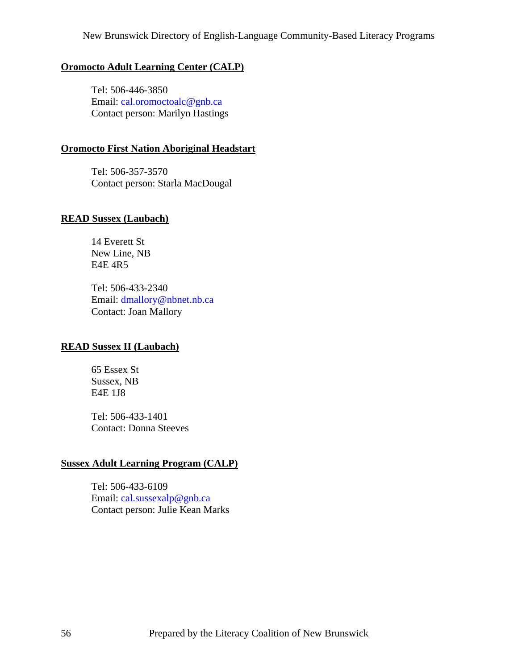#### **Oromocto Adult Learning Center (CALP)**

 Tel: 506-446-3850 Email: [cal.oromoctoalc@gnb.ca](mailto:cal.oromoctoalc@gnb.ca) Contact person: Marilyn Hastings

#### **Oromocto First Nation Aboriginal Headstart**

 Tel: 506-357-3570 Contact person: Starla MacDougal

#### **READ Sussex (Laubach)**

 14 Everett St New Line, NB E4E 4R5

 Tel: 506-433-2340 Email: [dmallory@nbnet.nb.ca](mailto:dmallory@nbnet.nb.ca) Contact: Joan Mallory

### **READ Sussex II (Laubach)**

 65 Essex St Sussex, NB E4E 1J8

 Tel: 506-433-1401 Contact: Donna Steeves

### **Sussex Adult Learning Program (CALP)**

 Tel: 506-433-6109 Email: [cal.sussexalp@gnb.ca](mailto:cal.sussexalp@gnb.ca) Contact person: Julie Kean Marks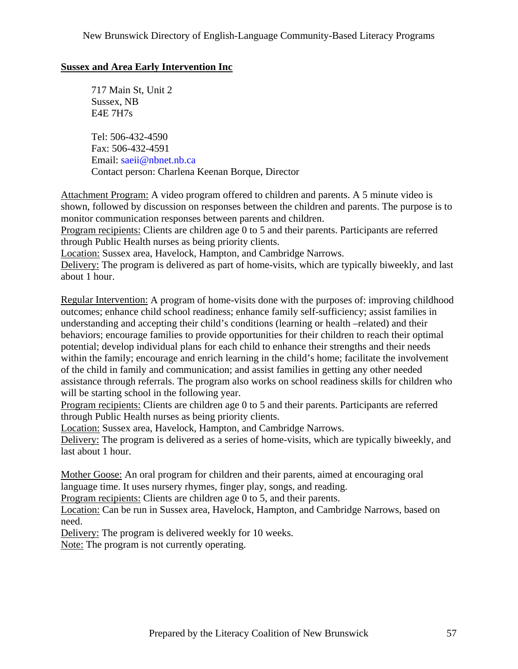## **Sussex and Area Early Intervention Inc**

 717 Main St, Unit 2 Sussex, NB E4E 7H7s

 Tel: 506-432-4590 Fax: 506-432-4591 Email: [saeii@nbnet.nb.ca](mailto:saeii@nbnet.nb.ca) Contact person: Charlena Keenan Borque, Director

Attachment Program: A video program offered to children and parents. A 5 minute video is shown, followed by discussion on responses between the children and parents. The purpose is to monitor communication responses between parents and children.

Program recipients: Clients are children age 0 to 5 and their parents. Participants are referred through Public Health nurses as being priority clients.

Location: Sussex area, Havelock, Hampton, and Cambridge Narrows.

Delivery: The program is delivered as part of home-visits, which are typically biweekly, and last about 1 hour.

Regular Intervention: A program of home-visits done with the purposes of: improving childhood outcomes; enhance child school readiness; enhance family self-sufficiency; assist families in understanding and accepting their child's conditions (learning or health –related) and their behaviors; encourage families to provide opportunities for their children to reach their optimal potential; develop individual plans for each child to enhance their strengths and their needs within the family; encourage and enrich learning in the child's home; facilitate the involvement of the child in family and communication; and assist families in getting any other needed assistance through referrals. The program also works on school readiness skills for children who will be starting school in the following year.

Program recipients: Clients are children age 0 to 5 and their parents. Participants are referred through Public Health nurses as being priority clients.

Location: Sussex area, Havelock, Hampton, and Cambridge Narrows.

Delivery: The program is delivered as a series of home-visits, which are typically biweekly, and last about 1 hour.

Mother Goose: An oral program for children and their parents, aimed at encouraging oral language time. It uses nursery rhymes, finger play, songs, and reading.

Program recipients: Clients are children age 0 to 5, and their parents.

Location: Can be run in Sussex area, Havelock, Hampton, and Cambridge Narrows, based on need.

Delivery: The program is delivered weekly for 10 weeks.

Note: The program is not currently operating.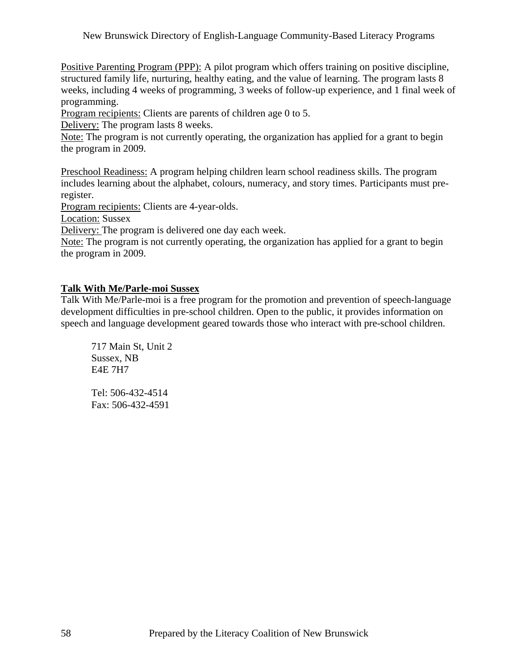Positive Parenting Program (PPP): A pilot program which offers training on positive discipline, structured family life, nurturing, healthy eating, and the value of learning. The program lasts 8 weeks, including 4 weeks of programming, 3 weeks of follow-up experience, and 1 final week of programming.

Program recipients: Clients are parents of children age 0 to 5.

Delivery: The program lasts 8 weeks.

Note: The program is not currently operating, the organization has applied for a grant to begin the program in 2009.

Preschool Readiness: A program helping children learn school readiness skills. The program includes learning about the alphabet, colours, numeracy, and story times. Participants must preregister.

Program recipients: Clients are 4-year-olds.

Location: Sussex

Delivery: The program is delivered one day each week.

Note: The program is not currently operating, the organization has applied for a grant to begin the program in 2009.

### **Talk With Me/Parle-moi Sussex**

Talk With Me/Parle-moi is a free program for the promotion and prevention of speech-language development difficulties in pre-school children. Open to the public, it provides information on speech and language development geared towards those who interact with pre-school children.

 717 Main St, Unit 2 Sussex, NB E4E 7H7

 Tel: 506-432-4514 Fax: 506-432-4591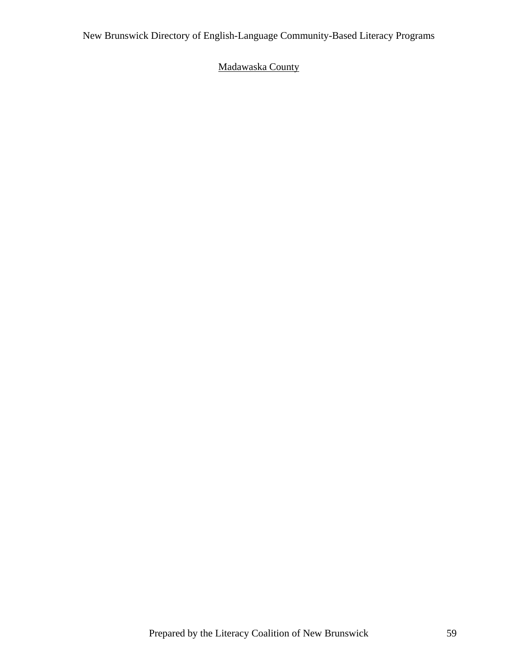# Madawaska County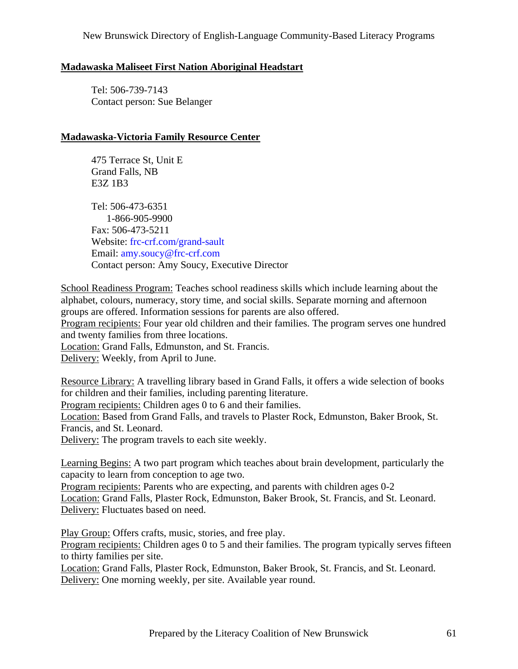## **Madawaska Maliseet First Nation Aboriginal Headstart**

 Tel: 506-739-7143 Contact person: Sue Belanger

## **Madawaska-Victoria Family Resource Center**

 475 Terrace St, Unit E Grand Falls, NB E3Z 1B3

 Tel: 506-473-6351 1-866-905-9900 Fax: 506-473-5211 Website: frc-crf.com/grand-sault Email: [amy.soucy@frc-crf.com](mailto:amy.soucy@frc-crf.com) Contact person: Amy Soucy, Executive Director

School Readiness Program: Teaches school readiness skills which include learning about the alphabet, colours, numeracy, story time, and social skills. Separate morning and afternoon groups are offered. Information sessions for parents are also offered. Program recipients: Four year old children and their families. The program serves one hundred and twenty families from three locations. Location: Grand Falls, Edmunston, and St. Francis.

Delivery: Weekly, from April to June.

Resource Library: A travelling library based in Grand Falls, it offers a wide selection of books for children and their families, including parenting literature.

Program recipients: Children ages 0 to 6 and their families.

Location: Based from Grand Falls, and travels to Plaster Rock, Edmunston, Baker Brook, St. Francis, and St. Leonard.

Delivery: The program travels to each site weekly.

Learning Begins: A two part program which teaches about brain development, particularly the capacity to learn from conception to age two.

Program recipients: Parents who are expecting, and parents with children ages 0-2 Location: Grand Falls, Plaster Rock, Edmunston, Baker Brook, St. Francis, and St. Leonard. Delivery: Fluctuates based on need.

Play Group: Offers crafts, music, stories, and free play. Program recipients: Children ages 0 to 5 and their families. The program typically serves fifteen to thirty families per site.

Location: Grand Falls, Plaster Rock, Edmunston, Baker Brook, St. Francis, and St. Leonard. Delivery: One morning weekly, per site. Available year round.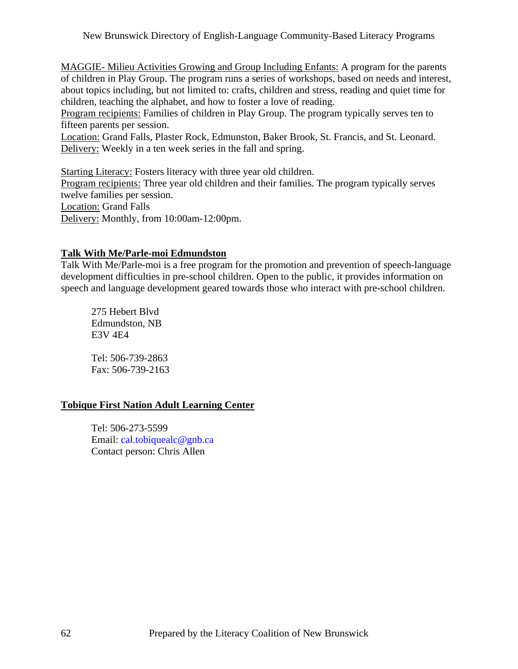MAGGIE- Milieu Activities Growing and Group Including Enfants: A program for the parents of children in Play Group. The program runs a series of workshops, based on needs and interest, about topics including, but not limited to: crafts, children and stress, reading and quiet time for children, teaching the alphabet, and how to foster a love of reading.

Program recipients: Families of children in Play Group. The program typically serves ten to fifteen parents per session.

Location: Grand Falls, Plaster Rock, Edmunston, Baker Brook, St. Francis, and St. Leonard. Delivery: Weekly in a ten week series in the fall and spring.

Starting Literacy: Fosters literacy with three year old children. Program recipients: Three year old children and their families. The program typically serves twelve families per session. Location: Grand Falls Delivery: Monthly, from 10:00am-12:00pm.

## **Talk With Me/Parle-moi Edmundston**

Talk With Me/Parle-moi is a free program for the promotion and prevention of speech-language development difficulties in pre-school children. Open to the public, it provides information on speech and language development geared towards those who interact with pre-school children.

 275 Hebert Blvd Edmundston, NB E3V 4E4

 Tel: 506-739-2863 Fax: 506-739-2163

## **Tobique First Nation Adult Learning Center**

 Tel: 506-273-5599 Email: [cal.tobiquealc@gnb.ca](mailto:cal.tobiquealc@gnb.ca) Contact person: Chris Allen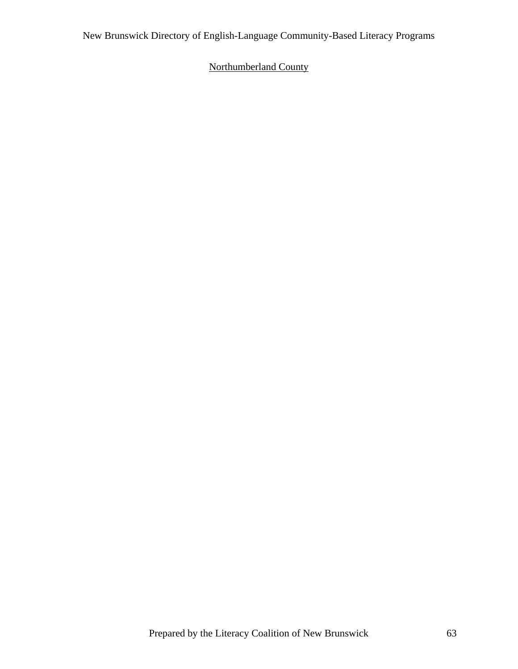# Northumberland County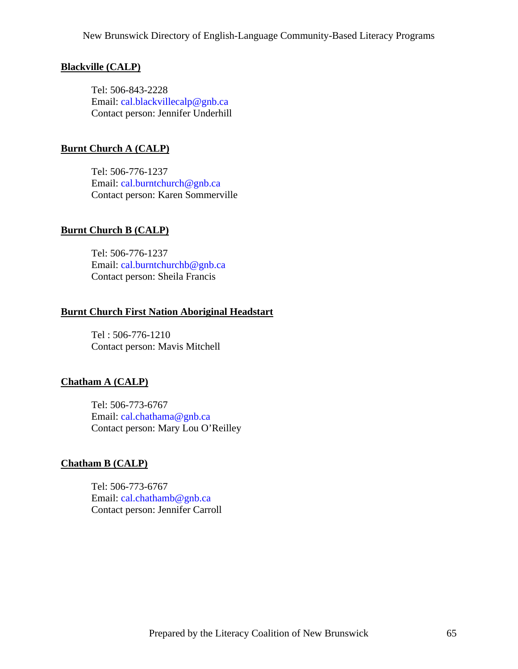#### **Blackville (CALP)**

 Tel: 506-843-2228 Email: [cal.blackvillecalp@gnb.ca](mailto:cal.blackvillecalp@gnb.ca) Contact person: Jennifer Underhill

#### **Burnt Church A (CALP)**

 Tel: 506-776-1237 Email: [cal.burntchurch@gnb.ca](mailto:cal.burntchurch@gnb.ca) Contact person: Karen Sommerville

#### **Burnt Church B (CALP)**

 Tel: 506-776-1237 Email: [cal.burntchurchb@gnb.ca](mailto:cal.burntchurchb@gnb.ca) Contact person: Sheila Francis

#### **Burnt Church First Nation Aboriginal Headstart**

 Tel : 506-776-1210 Contact person: Mavis Mitchell

#### **Chatham A (CALP)**

 Tel: 506-773-6767 Email: [cal.chathama@gnb.ca](mailto:cal.chathama@gnb.ca) Contact person: Mary Lou O'Reilley

### **Chatham B (CALP)**

 Tel: 506-773-6767 Email: [cal.chathamb@gnb.ca](mailto:cal.chathamb@gnb.ca) Contact person: Jennifer Carroll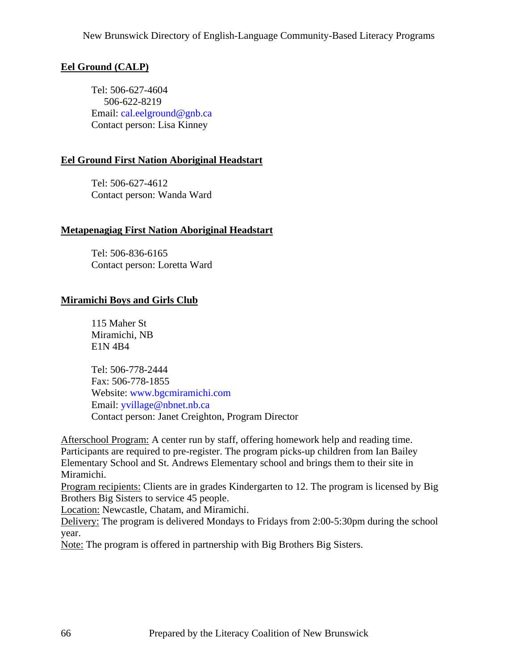# **Eel Ground (CALP)**

 Tel: 506-627-4604 506-622-8219 Email: [cal.eelground@gnb.ca](mailto:cal.eelground@gnb.ca) Contact person: Lisa Kinney

## **Eel Ground First Nation Aboriginal Headstart**

 Tel: 506-627-4612 Contact person: Wanda Ward

## **Metapenagiag First Nation Aboriginal Headstart**

 Tel: 506-836-6165 Contact person: Loretta Ward

## **Miramichi Boys and Girls Club**

 115 Maher St Miramichi, NB E1N 4B4

 Tel: 506-778-2444 Fax: 506-778-1855 Website: [www.bgcmiramichi.com](http://www.bgcmiramichi.com) Email: [yvillage@nbnet.nb.ca](mailto:yvillage@nbnet.nb.ca) Contact person: Janet Creighton, Program Director

Afterschool Program: A center run by staff, offering homework help and reading time. Participants are required to pre-register. The program picks-up children from Ian Bailey Elementary School and St. Andrews Elementary school and brings them to their site in Miramichi.

Program recipients: Clients are in grades Kindergarten to 12. The program is licensed by Big Brothers Big Sisters to service 45 people.

Location: Newcastle, Chatam, and Miramichi.

Delivery: The program is delivered Mondays to Fridays from 2:00-5:30pm during the school year.

Note: The program is offered in partnership with Big Brothers Big Sisters.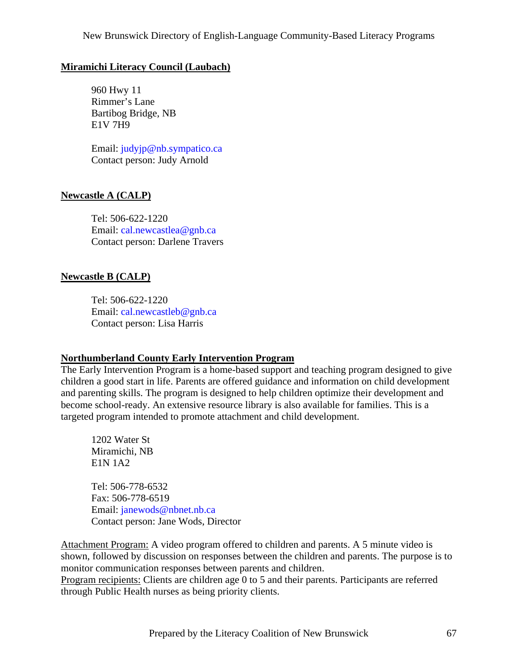## **Miramichi Literacy Council (Laubach)**

 960 Hwy 11 Rimmer's Lane Bartibog Bridge, NB E1V 7H9

 Email: [judyjp@nb.sympatico.ca](mailto:judyjp@nb.sympatico.ca) Contact person: Judy Arnold

## **Newcastle A (CALP)**

 Tel: 506-622-1220 Email: [cal.newcastlea@gnb.ca](mailto:cal.newcastlea@gnb.ca) Contact person: Darlene Travers

### **Newcastle B (CALP)**

 Tel: 506-622-1220 Email: [cal.newcastleb@gnb.ca](mailto:cal.newcastleb@gnb.ca) Contact person: Lisa Harris

### **Northumberland County Early Intervention Program**

The Early Intervention Program is a home-based support and teaching program designed to give children a good start in life. Parents are offered guidance and information on child development and parenting skills. The program is designed to help children optimize their development and become school-ready. An extensive resource library is also available for families. This is a targeted program intended to promote attachment and child development.

 1202 Water St Miramichi, NB E1N 1A2

 Tel: 506-778-6532 Fax: 506-778-6519 Email: [janewods@nbnet.nb.ca](mailto:janewods@nbnet.nb.ca) Contact person: Jane Wods, Director

Attachment Program: A video program offered to children and parents. A 5 minute video is shown, followed by discussion on responses between the children and parents. The purpose is to monitor communication responses between parents and children.

Program recipients: Clients are children age 0 to 5 and their parents. Participants are referred through Public Health nurses as being priority clients.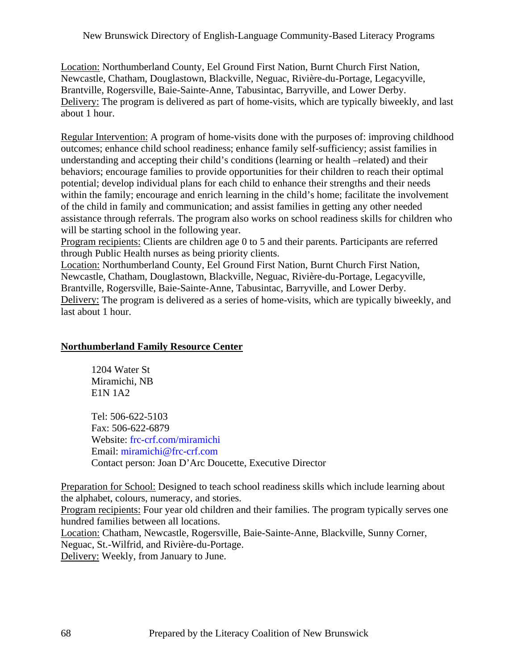Location: Northumberland County, Eel Ground First Nation, Burnt Church First Nation, Newcastle, Chatham, Douglastown, Blackville, Neguac, Rivière-du-Portage, Legacyville, Brantville, Rogersville, Baie-Sainte-Anne, Tabusintac, Barryville, and Lower Derby. Delivery: The program is delivered as part of home-visits, which are typically biweekly, and last about 1 hour.

Regular Intervention: A program of home-visits done with the purposes of: improving childhood outcomes; enhance child school readiness; enhance family self-sufficiency; assist families in understanding and accepting their child's conditions (learning or health –related) and their behaviors; encourage families to provide opportunities for their children to reach their optimal potential; develop individual plans for each child to enhance their strengths and their needs within the family; encourage and enrich learning in the child's home; facilitate the involvement of the child in family and communication; and assist families in getting any other needed assistance through referrals. The program also works on school readiness skills for children who will be starting school in the following year.

Program recipients: Clients are children age 0 to 5 and their parents. Participants are referred through Public Health nurses as being priority clients.

Location: Northumberland County, Eel Ground First Nation, Burnt Church First Nation, Newcastle, Chatham, Douglastown, Blackville, Neguac, Rivière-du-Portage, Legacyville, Brantville, Rogersville, Baie-Sainte-Anne, Tabusintac, Barryville, and Lower Derby. Delivery: The program is delivered as a series of home-visits, which are typically biweekly, and last about 1 hour.

## **Northumberland Family Resource Center**

 1204 Water St Miramichi, NB E1N 1A2

 Tel: 506-622-5103 Fax: 506-622-6879 Website: frc-crf.com/miramichi Email: [miramichi@frc-crf.com](mailto:miramichi@frc-crf.com) Contact person: Joan D'Arc Doucette, Executive Director

Preparation for School: Designed to teach school readiness skills which include learning about the alphabet, colours, numeracy, and stories.

Program recipients: Four year old children and their families. The program typically serves one hundred families between all locations.

Location: Chatham, Newcastle, Rogersville, Baie-Sainte-Anne, Blackville, Sunny Corner, Neguac, St.-Wilfrid, and Rivière-du-Portage. Delivery: Weekly, from January to June.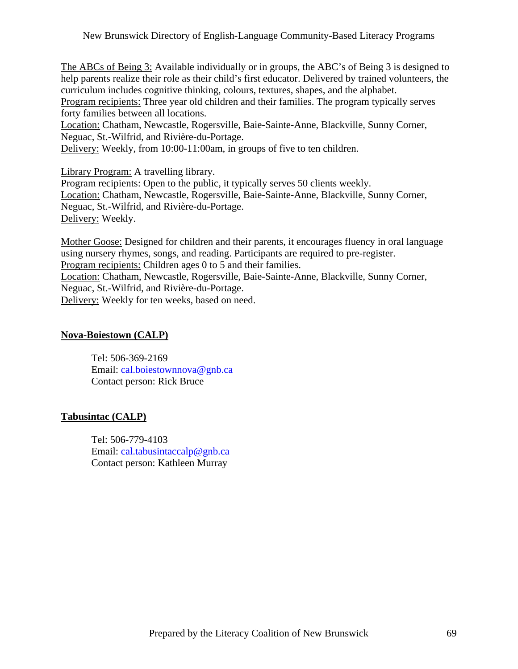The ABCs of Being 3: Available individually or in groups, the ABC's of Being 3 is designed to help parents realize their role as their child's first educator. Delivered by trained volunteers, the curriculum includes cognitive thinking, colours, textures, shapes, and the alphabet. Program recipients: Three year old children and their families. The program typically serves forty families between all locations.

Location: Chatham, Newcastle, Rogersville, Baie-Sainte-Anne, Blackville, Sunny Corner, Neguac, St.-Wilfrid, and Rivière-du-Portage.

Delivery: Weekly, from 10:00-11:00am, in groups of five to ten children.

Library Program: A travelling library.

Program recipients: Open to the public, it typically serves 50 clients weekly. Location: Chatham, Newcastle, Rogersville, Baie-Sainte-Anne, Blackville, Sunny Corner, Neguac, St.-Wilfrid, and Rivière-du-Portage. Delivery: Weekly.

Mother Goose: Designed for children and their parents, it encourages fluency in oral language using nursery rhymes, songs, and reading. Participants are required to pre-register. Program recipients: Children ages 0 to 5 and their families. Location: Chatham, Newcastle, Rogersville, Baie-Sainte-Anne, Blackville, Sunny Corner,

Neguac, St.-Wilfrid, and Rivière-du-Portage.

Delivery: Weekly for ten weeks, based on need.

#### **Nova-Boiestown (CALP)**

 Tel: 506-369-2169 Email: [cal.boiestownnova@gnb.ca](mailto:cal.boiestownnova@gnb.ca) Contact person: Rick Bruce

#### **Tabusintac (CALP)**

 Tel: 506-779-4103 Email: [cal.tabusintaccalp@gnb.ca](mailto:cal.tabusintaccalp@gnb.ca) Contact person: Kathleen Murray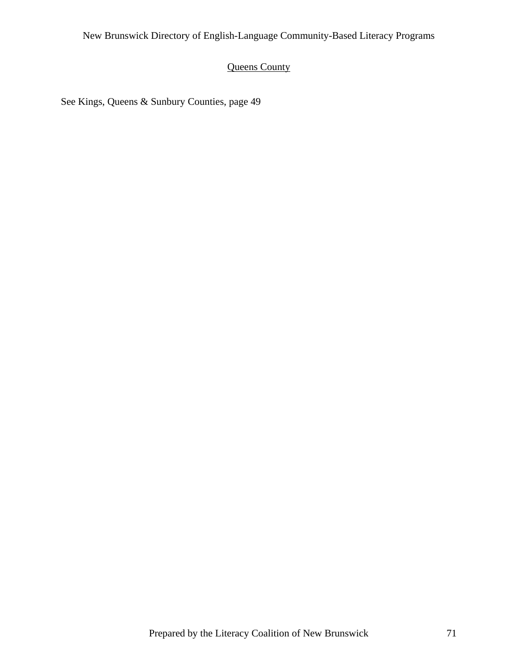# Queens County

See Kings, Queens & Sunbury Counties, page 49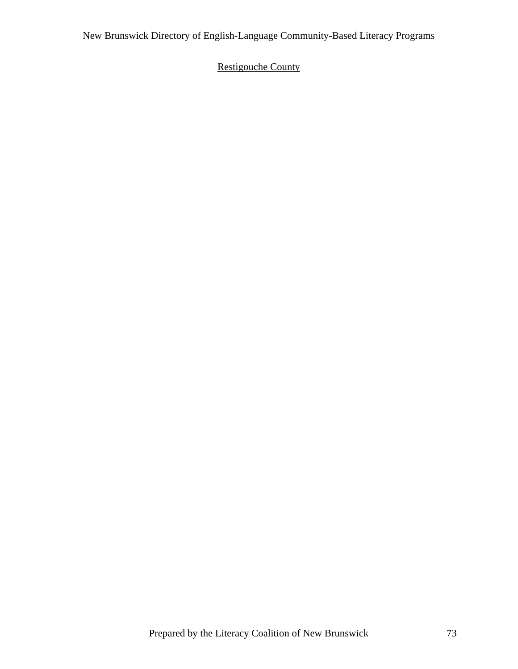# Restigouche County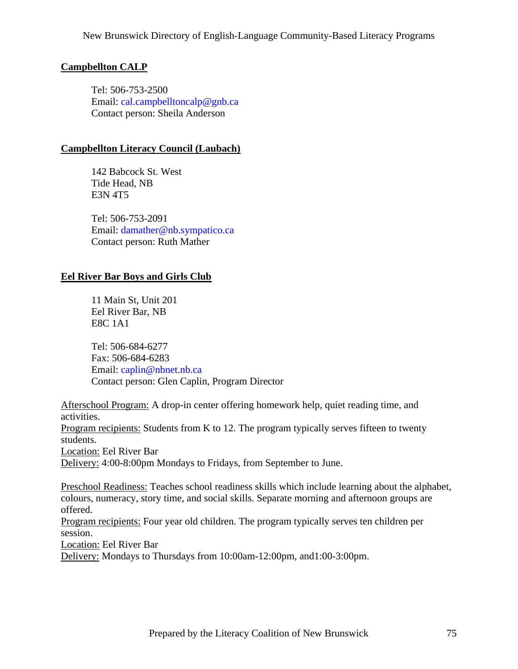# **Campbellton CALP**

 Tel: 506-753-2500 Email: [cal.campbelltoncalp@gnb.ca](mailto:cal.campbelltoncalp@gnb.ca) Contact person: Sheila Anderson

# **Campbellton Literacy Council (Laubach)**

 142 Babcock St. West Tide Head, NB E3N 4T5

 Tel: 506-753-2091 Email: [damather@nb.sympatico.ca](mailto:damather@nb.sympatico.ca) Contact person: Ruth Mather

# **Eel River Bar Boys and Girls Club**

 11 Main St, Unit 201 Eel River Bar, NB E8C 1A1

 Tel: 506-684-6277 Fax: 506-684-6283 Email: [caplin@nbnet.nb.ca](mailto:caplin@nbnet.nb.ca) Contact person: Glen Caplin, Program Director

Afterschool Program: A drop-in center offering homework help, quiet reading time, and activities.

Program recipients: Students from K to 12. The program typically serves fifteen to twenty students.

Location: Eel River Bar

Delivery: 4:00-8:00pm Mondays to Fridays, from September to June.

Preschool Readiness: Teaches school readiness skills which include learning about the alphabet, colours, numeracy, story time, and social skills. Separate morning and afternoon groups are offered.

Program recipients: Four year old children. The program typically serves ten children per session.

Location: Eel River Bar

Delivery: Mondays to Thursdays from 10:00am-12:00pm, and1:00-3:00pm.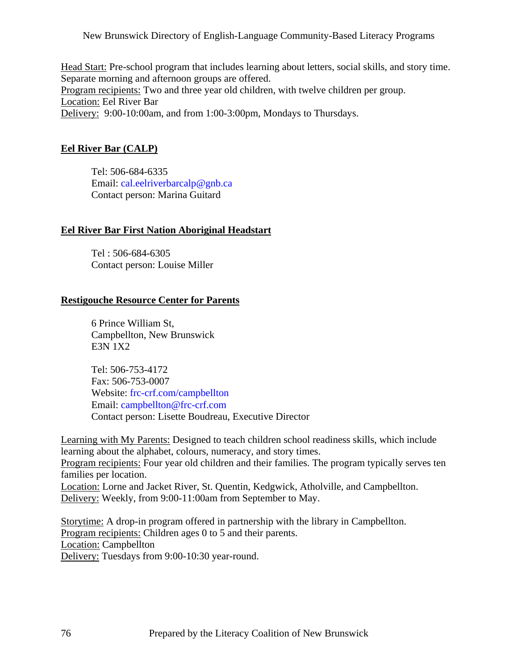Head Start: Pre-school program that includes learning about letters, social skills, and story time. Separate morning and afternoon groups are offered. Program recipients: Two and three year old children, with twelve children per group. Location: Eel River Bar Delivery: 9:00-10:00am, and from 1:00-3:00pm, Mondays to Thursdays.

## **Eel River Bar (CALP)**

 Tel: 506-684-6335 Email: [cal.eelriverbarcalp@gnb.ca](mailto:cal.eelriverbarcalp@gnb.ca) Contact person: Marina Guitard

## **Eel River Bar First Nation Aboriginal Headstart**

 Tel : 506-684-6305 Contact person: Louise Miller

## **Restigouche Resource Center for Parents**

 6 Prince William St, Campbellton, New Brunswick E3N 1X2

 Tel: 506-753-4172 Fax: 506-753-0007 Website: frc-crf.com/campbellton Email: [campbellton@frc-crf.com](mailto:campbellton@frc-crf.com) Contact person: Lisette Boudreau, Executive Director

Learning with My Parents: Designed to teach children school readiness skills, which include learning about the alphabet, colours, numeracy, and story times. Program recipients: Four year old children and their families. The program typically serves ten families per location. Location: Lorne and Jacket River, St. Quentin, Kedgwick, Atholville, and Campbellton. Delivery: Weekly, from 9:00-11:00am from September to May.

Storytime: A drop-in program offered in partnership with the library in Campbellton. Program recipients: Children ages 0 to 5 and their parents. Location: Campbellton Delivery: Tuesdays from 9:00-10:30 year-round.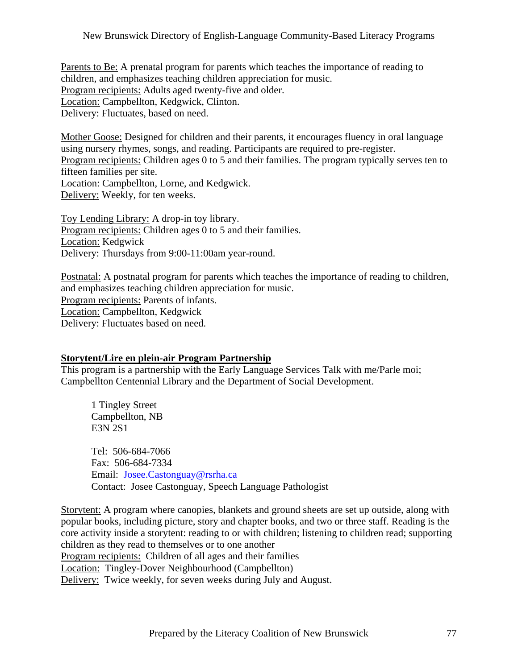Parents to Be: A prenatal program for parents which teaches the importance of reading to children, and emphasizes teaching children appreciation for music. Program recipients: Adults aged twenty-five and older. Location: Campbellton, Kedgwick, Clinton. Delivery: Fluctuates, based on need.

Mother Goose: Designed for children and their parents, it encourages fluency in oral language using nursery rhymes, songs, and reading. Participants are required to pre-register. Program recipients: Children ages 0 to 5 and their families. The program typically serves ten to fifteen families per site. Location: Campbellton, Lorne, and Kedgwick. Delivery: Weekly, for ten weeks.

Toy Lending Library: A drop-in toy library. Program recipients: Children ages 0 to 5 and their families. Location: Kedgwick Delivery: Thursdays from 9:00-11:00am year-round.

Postnatal: A postnatal program for parents which teaches the importance of reading to children, and emphasizes teaching children appreciation for music. Program recipients: Parents of infants. Location: Campbellton, Kedgwick Delivery: Fluctuates based on need.

## **Storytent/Lire en plein-air Program Partnership**

This program is a partnership with the Early Language Services Talk with me/Parle moi; Campbellton Centennial Library and the Department of Social Development.

 1 Tingley Street Campbellton, NB E3N 2S1

 Tel: 506-684-7066 Fax: 506-684-7334 Email: [Josee.Castonguay@rsrha.ca](mailto:Josee.Castonguay@rsrha.ca) Contact: Josee Castonguay, Speech Language Pathologist

Storytent: A program where canopies, blankets and ground sheets are set up outside, along with popular books, including picture, story and chapter books, and two or three staff. Reading is the core activity inside a storytent: reading to or with children; listening to children read; supporting children as they read to themselves or to one another Program recipients: Children of all ages and their families Location: Tingley-Dover Neighbourhood (Campbellton) Delivery: Twice weekly, for seven weeks during July and August.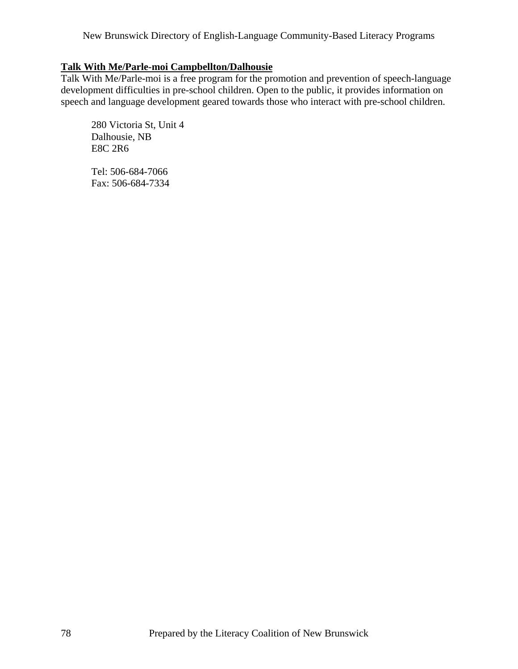# **Talk With Me/Parle-moi Campbellton/Dalhousie**

Talk With Me/Parle-moi is a free program for the promotion and prevention of speech-language development difficulties in pre-school children. Open to the public, it provides information on speech and language development geared towards those who interact with pre-school children.

 280 Victoria St, Unit 4 Dalhousie, NB E8C 2R6

 Tel: 506-684-7066 Fax: 506-684-7334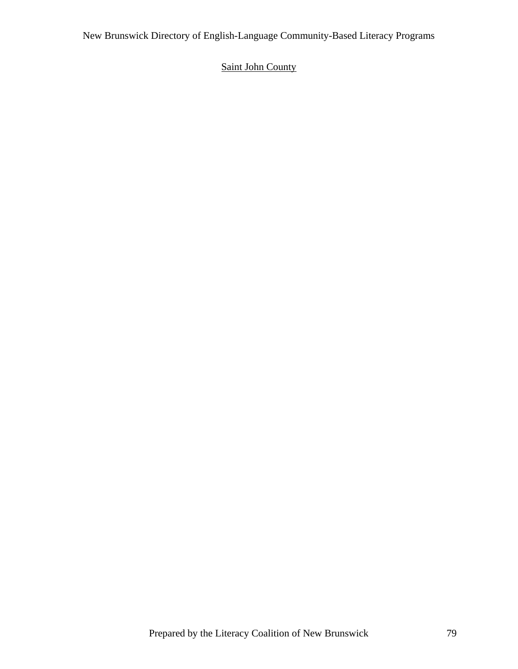# Saint John County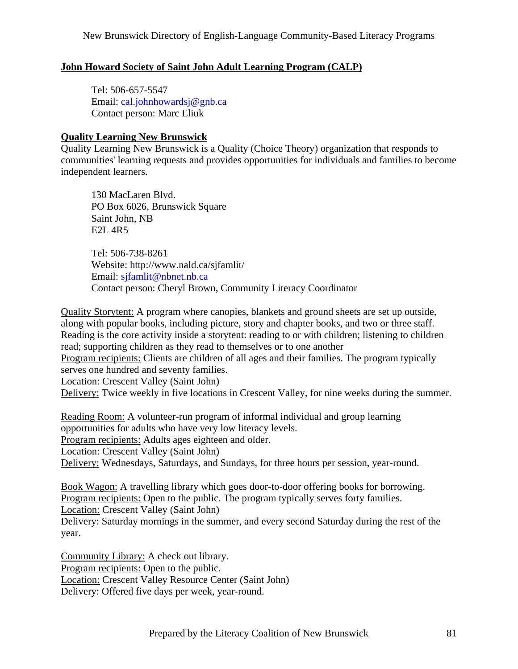# **John Howard Society of Saint John Adult Learning Program (CALP)**

 Tel: 506-657-5547 Email: [cal.johnhowardsj@gnb.ca](mailto:cal.johnhowardsj@gnb.ca) Contact person: Marc Eliuk

## **Quality Learning New Brunswick**

Quality Learning New Brunswick is a Quality (Choice Theory) organization that responds to communities' learning requests and provides opportunities for individuals and families to become independent learners.

 130 MacLaren Blvd. PO Box 6026, Brunswick Square Saint John, NB E2L 4R5

 Tel: 506-738-8261 Website: <http://www.nald.ca/sjfamlit/> Email: [sjfamlit@nbnet.nb.ca](mailto:sjfamlit@nbnet.nb.ca) Contact person: Cheryl Brown, Community Literacy Coordinator

Quality Storytent: A program where canopies, blankets and ground sheets are set up outside, along with popular books, including picture, story and chapter books, and two or three staff. Reading is the core activity inside a storytent: reading to or with children; listening to children read; supporting children as they read to themselves or to one another

Program recipients: Clients are children of all ages and their families. The program typically serves one hundred and seventy families.

Location: Crescent Valley (Saint John)

Delivery: Twice weekly in five locations in Crescent Valley, for nine weeks during the summer.

Reading Room: A volunteer-run program of informal individual and group learning opportunities for adults who have very low literacy levels. Program recipients: Adults ages eighteen and older. Location: Crescent Valley (Saint John) Delivery: Wednesdays, Saturdays, and Sundays, for three hours per session, year-round.

Book Wagon: A travelling library which goes door-to-door offering books for borrowing. Program recipients: Open to the public. The program typically serves forty families.

Location: Crescent Valley (Saint John)

Delivery: Saturday mornings in the summer, and every second Saturday during the rest of the year.

Community Library: A check out library. Program recipients: Open to the public. Location: Crescent Valley Resource Center (Saint John) Delivery: Offered five days per week, year-round.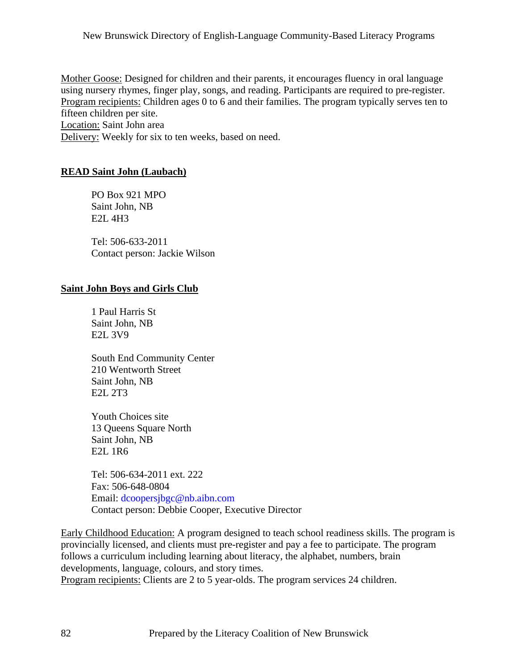Mother Goose: Designed for children and their parents, it encourages fluency in oral language using nursery rhymes, finger play, songs, and reading. Participants are required to pre-register. Program recipients: Children ages 0 to 6 and their families. The program typically serves ten to fifteen children per site.

Location: Saint John area

Delivery: Weekly for six to ten weeks, based on need.

## **READ Saint John (Laubach)**

 PO Box 921 MPO Saint John, NB E2L 4H3

 Tel: 506-633-2011 Contact person: Jackie Wilson

## **Saint John Boys and Girls Club**

 1 Paul Harris St Saint John, NB E2L 3V9

 South End Community Center 210 Wentworth Street Saint John, NB E2L 2T3

 Youth Choices site 13 Queens Square North Saint John, NB E2L 1R6

 Tel: 506-634-2011 ext. 222 Fax: 506-648-0804 Email: [dcoopersjbgc@nb.aibn.com](mailto:dcoopersjbgc@nb.aibn.com) Contact person: Debbie Cooper, Executive Director

Early Childhood Education: A program designed to teach school readiness skills. The program is provincially licensed, and clients must pre-register and pay a fee to participate. The program follows a curriculum including learning about literacy, the alphabet, numbers, brain developments, language, colours, and story times. Program recipients: Clients are 2 to 5 year-olds. The program services 24 children.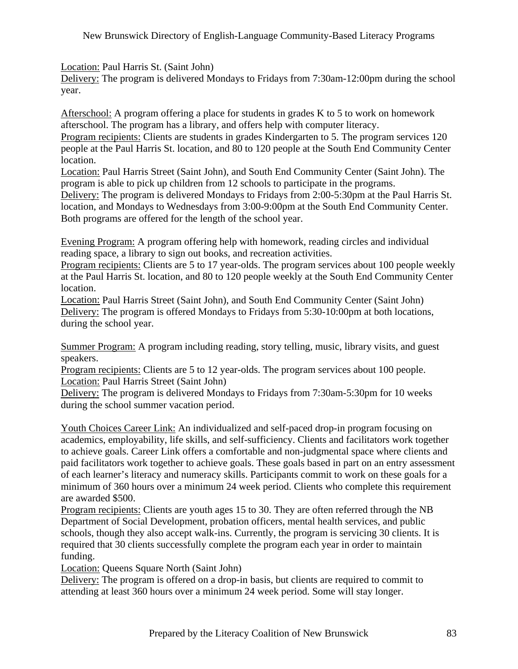Location: Paul Harris St. (Saint John)

Delivery: The program is delivered Mondays to Fridays from 7:30am-12:00pm during the school year.

Afterschool: A program offering a place for students in grades K to 5 to work on homework afterschool. The program has a library, and offers help with computer literacy.

Program recipients: Clients are students in grades Kindergarten to 5. The program services 120 people at the Paul Harris St. location, and 80 to 120 people at the South End Community Center location.

Location: Paul Harris Street (Saint John), and South End Community Center (Saint John). The program is able to pick up children from 12 schools to participate in the programs.

Delivery: The program is delivered Mondays to Fridays from 2:00-5:30pm at the Paul Harris St. location, and Mondays to Wednesdays from 3:00-9:00pm at the South End Community Center. Both programs are offered for the length of the school year.

Evening Program: A program offering help with homework, reading circles and individual reading space, a library to sign out books, and recreation activities.

Program recipients: Clients are 5 to 17 year-olds. The program services about 100 people weekly at the Paul Harris St. location, and 80 to 120 people weekly at the South End Community Center location.

Location: Paul Harris Street (Saint John), and South End Community Center (Saint John) Delivery: The program is offered Mondays to Fridays from 5:30-10:00pm at both locations, during the school year.

Summer Program: A program including reading, story telling, music, library visits, and guest speakers.

Program recipients: Clients are 5 to 12 year-olds. The program services about 100 people. Location: Paul Harris Street (Saint John)

Delivery: The program is delivered Mondays to Fridays from 7:30am-5:30pm for 10 weeks during the school summer vacation period.

Youth Choices Career Link: An individualized and self-paced drop-in program focusing on academics, employability, life skills, and self-sufficiency. Clients and facilitators work together to achieve goals. Career Link offers a comfortable and non-judgmental space where clients and paid facilitators work together to achieve goals. These goals based in part on an entry assessment of each learner's literacy and numeracy skills. Participants commit to work on these goals for a minimum of 360 hours over a minimum 24 week period. Clients who complete this requirement are awarded \$500.

Program recipients: Clients are youth ages 15 to 30. They are often referred through the NB Department of Social Development, probation officers, mental health services, and public schools, though they also accept walk-ins. Currently, the program is servicing 30 clients. It is required that 30 clients successfully complete the program each year in order to maintain funding.

Location: Queens Square North (Saint John)

Delivery: The program is offered on a drop-in basis, but clients are required to commit to attending at least 360 hours over a minimum 24 week period. Some will stay longer.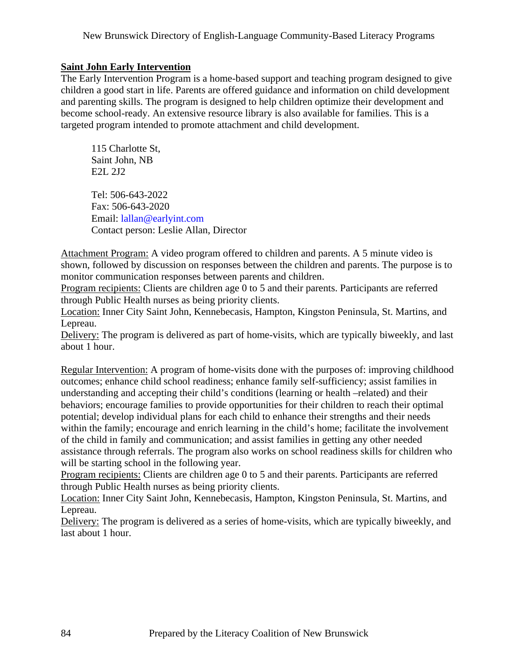## **Saint John Early Intervention**

The Early Intervention Program is a home-based support and teaching program designed to give children a good start in life. Parents are offered guidance and information on child development and parenting skills. The program is designed to help children optimize their development and become school-ready. An extensive resource library is also available for families. This is a targeted program intended to promote attachment and child development.

 115 Charlotte St, Saint John, NB E2L 2J2

 Tel: 506-643-2022 Fax: 506-643-2020 Email: [lallan@earlyint.com](mailto:lallan@earlyint.com) Contact person: Leslie Allan, Director

Attachment Program: A video program offered to children and parents. A 5 minute video is shown, followed by discussion on responses between the children and parents. The purpose is to monitor communication responses between parents and children.

Program recipients: Clients are children age 0 to 5 and their parents. Participants are referred through Public Health nurses as being priority clients.

Location: Inner City Saint John, Kennebecasis, Hampton, Kingston Peninsula, St. Martins, and Lepreau.

Delivery: The program is delivered as part of home-visits, which are typically biweekly, and last about 1 hour.

Regular Intervention: A program of home-visits done with the purposes of: improving childhood outcomes; enhance child school readiness; enhance family self-sufficiency; assist families in understanding and accepting their child's conditions (learning or health –related) and their behaviors; encourage families to provide opportunities for their children to reach their optimal potential; develop individual plans for each child to enhance their strengths and their needs within the family; encourage and enrich learning in the child's home; facilitate the involvement of the child in family and communication; and assist families in getting any other needed assistance through referrals. The program also works on school readiness skills for children who will be starting school in the following year.

Program recipients: Clients are children age 0 to 5 and their parents. Participants are referred through Public Health nurses as being priority clients.

Location: Inner City Saint John, Kennebecasis, Hampton, Kingston Peninsula, St. Martins, and Lepreau.

Delivery: The program is delivered as a series of home-visits, which are typically biweekly, and last about 1 hour.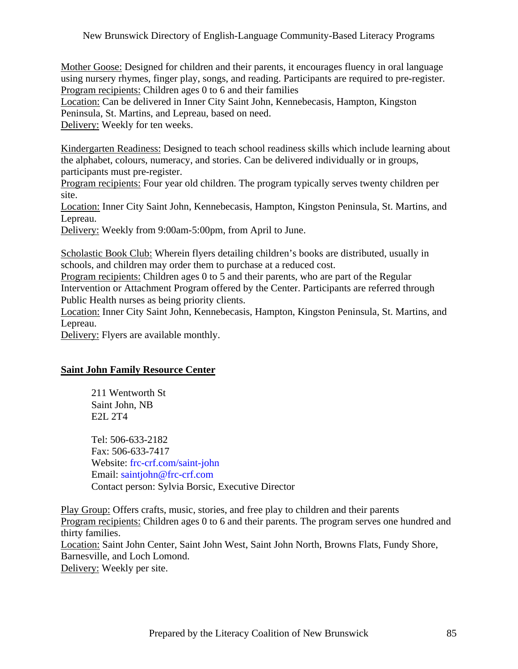Mother Goose: Designed for children and their parents, it encourages fluency in oral language using nursery rhymes, finger play, songs, and reading. Participants are required to pre-register. Program recipients: Children ages 0 to 6 and their families

Location: Can be delivered in Inner City Saint John, Kennebecasis, Hampton, Kingston Peninsula, St. Martins, and Lepreau, based on need.

Delivery: Weekly for ten weeks.

Kindergarten Readiness: Designed to teach school readiness skills which include learning about the alphabet, colours, numeracy, and stories. Can be delivered individually or in groups, participants must pre-register.

Program recipients: Four year old children. The program typically serves twenty children per site.

Location: Inner City Saint John, Kennebecasis, Hampton, Kingston Peninsula, St. Martins, and Lepreau.

Delivery: Weekly from 9:00am-5:00pm, from April to June.

Scholastic Book Club: Wherein flyers detailing children's books are distributed, usually in schools, and children may order them to purchase at a reduced cost.

Program recipients: Children ages 0 to 5 and their parents, who are part of the Regular Intervention or Attachment Program offered by the Center. Participants are referred through Public Health nurses as being priority clients.

Location: Inner City Saint John, Kennebecasis, Hampton, Kingston Peninsula, St. Martins, and Lepreau.

Delivery: Flyers are available monthly.

# **Saint John Family Resource Center**

 211 Wentworth St Saint John, NB E2L 2T4

 Tel: 506-633-2182 Fax: 506-633-7417 Website: frc-crf.com/saint-john Email: [saintjohn@frc-crf.com](mailto:saintjohn@frc-crf.com) Contact person: Sylvia Borsic, Executive Director

Play Group: Offers crafts, music, stories, and free play to children and their parents Program recipients: Children ages 0 to 6 and their parents. The program serves one hundred and thirty families. Location: Saint John Center, Saint John West, Saint John North, Browns Flats, Fundy Shore, Barnesville, and Loch Lomond.

Delivery: Weekly per site.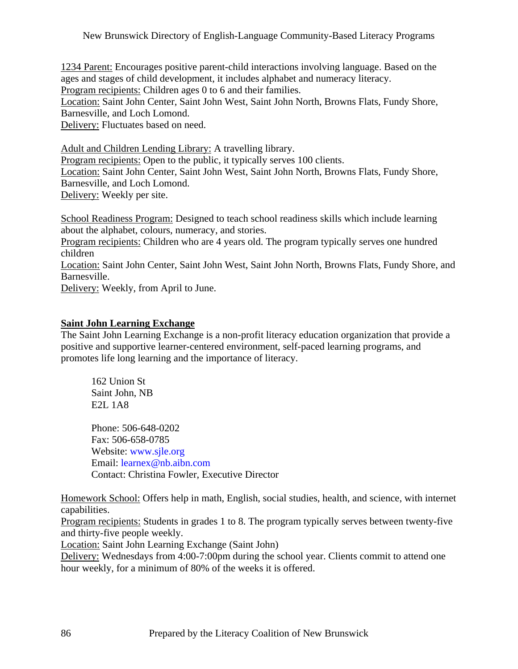1234 Parent: Encourages positive parent-child interactions involving language. Based on the ages and stages of child development, it includes alphabet and numeracy literacy.

Program recipients: Children ages 0 to 6 and their families.

Location: Saint John Center, Saint John West, Saint John North, Browns Flats, Fundy Shore, Barnesville, and Loch Lomond.

Delivery: Fluctuates based on need.

Adult and Children Lending Library: A travelling library. Program recipients: Open to the public, it typically serves 100 clients. Location: Saint John Center, Saint John West, Saint John North, Browns Flats, Fundy Shore, Barnesville, and Loch Lomond. Delivery: Weekly per site.

School Readiness Program: Designed to teach school readiness skills which include learning about the alphabet, colours, numeracy, and stories.

Program recipients: Children who are 4 years old. The program typically serves one hundred children

Location: Saint John Center, Saint John West, Saint John North, Browns Flats, Fundy Shore, and Barnesville.

Delivery: Weekly, from April to June.

## **Saint John Learning Exchange**

The Saint John Learning Exchange is a non-profit literacy education organization that provide a positive and supportive learner-centered environment, self-paced learning programs, and promotes life long learning and the importance of literacy.

 162 Union St Saint John, NB E2L 1A8

 Phone: 506-648-0202 Fax: 506-658-0785 Website: [www.sjle.org](http://www.sjle.org) Email: [learnex@nb.aibn.com](mailto:learnex@nb.aibn.com) Contact: Christina Fowler, Executive Director

Homework School: Offers help in math, English, social studies, health, and science, with internet capabilities.

Program recipients: Students in grades 1 to 8. The program typically serves between twenty-five and thirty-five people weekly.

Location: Saint John Learning Exchange (Saint John)

Delivery: Wednesdays from 4:00-7:00pm during the school year. Clients commit to attend one hour weekly, for a minimum of 80% of the weeks it is offered.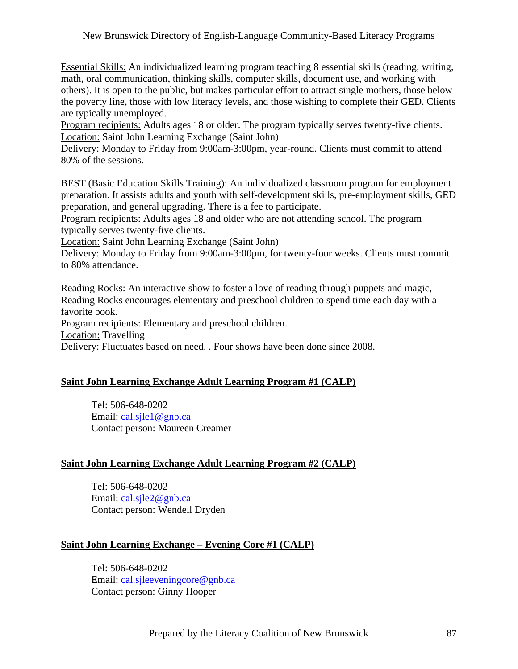Essential Skills: An individualized learning program teaching 8 essential skills (reading, writing, math, oral communication, thinking skills, computer skills, document use, and working with others). It is open to the public, but makes particular effort to attract single mothers, those below the poverty line, those with low literacy levels, and those wishing to complete their GED. Clients are typically unemployed.

Program recipients: Adults ages 18 or older. The program typically serves twenty-five clients. Location: Saint John Learning Exchange (Saint John)

Delivery: Monday to Friday from 9:00am-3:00pm, year-round. Clients must commit to attend 80% of the sessions.

BEST (Basic Education Skills Training): An individualized classroom program for employment preparation. It assists adults and youth with self-development skills, pre-employment skills, GED preparation, and general upgrading. There is a fee to participate.

Program recipients: Adults ages 18 and older who are not attending school. The program typically serves twenty-five clients.

Location: Saint John Learning Exchange (Saint John)

Delivery: Monday to Friday from 9:00am-3:00pm, for twenty-four weeks. Clients must commit to 80% attendance.

Reading Rocks: An interactive show to foster a love of reading through puppets and magic, Reading Rocks encourages elementary and preschool children to spend time each day with a favorite book.

Program recipients: Elementary and preschool children.

Location: Travelling

Delivery: Fluctuates based on need. . Four shows have been done since 2008.

# **Saint John Learning Exchange Adult Learning Program #1 (CALP)**

 Tel: 506-648-0202 Email: [cal.sjle1@gnb.ca](mailto:cal.sjle1@gnb.ca) Contact person: Maureen Creamer

# **Saint John Learning Exchange Adult Learning Program #2 (CALP)**

 Tel: 506-648-0202 Email: [cal.sjle2@gnb.ca](mailto:cal.sjle2@gnb.ca) Contact person: Wendell Dryden

# **Saint John Learning Exchange – Evening Core #1 (CALP)**

 Tel: 506-648-0202 Email: [cal.sjleeveningcore@gnb.ca](mailto:cal.sjleeveningcore@gnb.ca) Contact person: Ginny Hooper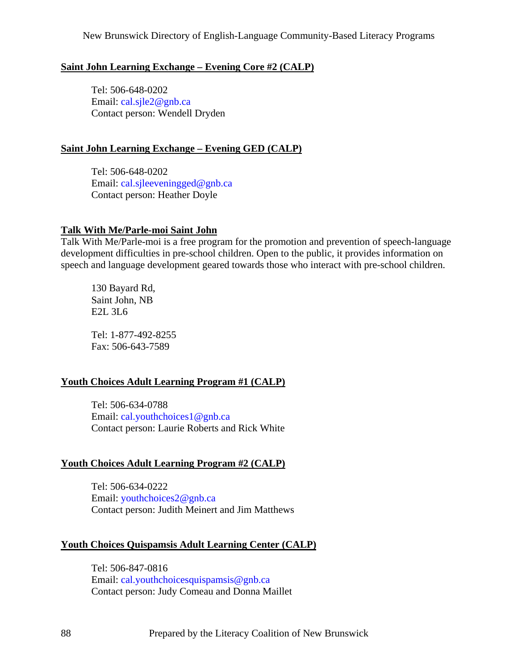## **Saint John Learning Exchange – Evening Core #2 (CALP)**

 Tel: 506-648-0202 Email: [cal.sjle2@gnb.ca](mailto:cal.sjle2@gnb.ca) Contact person: Wendell Dryden

## **Saint John Learning Exchange – Evening GED (CALP)**

 Tel: 506-648-0202 Email: [cal.sjleeveningged@gnb.ca](mailto:cal.sjleeveningged@gnb.ca) Contact person: Heather Doyle

## **Talk With Me/Parle-moi Saint John**

Talk With Me/Parle-moi is a free program for the promotion and prevention of speech-language development difficulties in pre-school children. Open to the public, it provides information on speech and language development geared towards those who interact with pre-school children.

 130 Bayard Rd, Saint John, NB E2L 3L6

 Tel: 1-877-492-8255 Fax: 506-643-7589

# **Youth Choices Adult Learning Program #1 (CALP)**

 Tel: 506-634-0788 Email: [cal.youthchoices1@gnb.ca](mailto:cal.youthchoices1@gnb.ca) Contact person: Laurie Roberts and Rick White

# **Youth Choices Adult Learning Program #2 (CALP)**

 Tel: 506-634-0222 Email: [youthchoices2@gnb.ca](mailto:youthchoices2@gnb.ca) Contact person: Judith Meinert and Jim Matthews

## **Youth Choices Quispamsis Adult Learning Center (CALP)**

 Tel: 506-847-0816 Email: [cal.youthchoicesquispamsis@gnb.ca](mailto:cal.youthchoicesquispamsis@gnb.ca) Contact person: Judy Comeau and Donna Maillet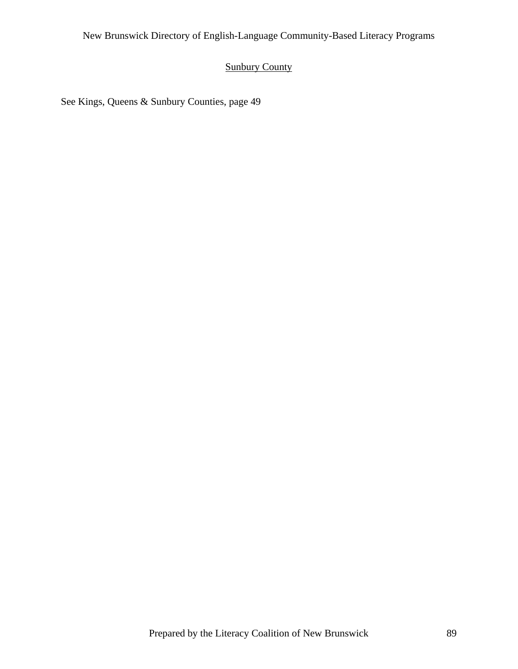# Sunbury County

See Kings, Queens & Sunbury Counties, page 49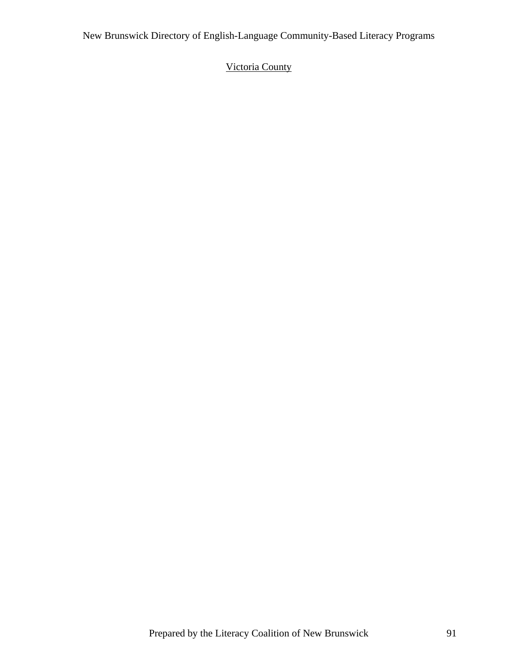# Victoria County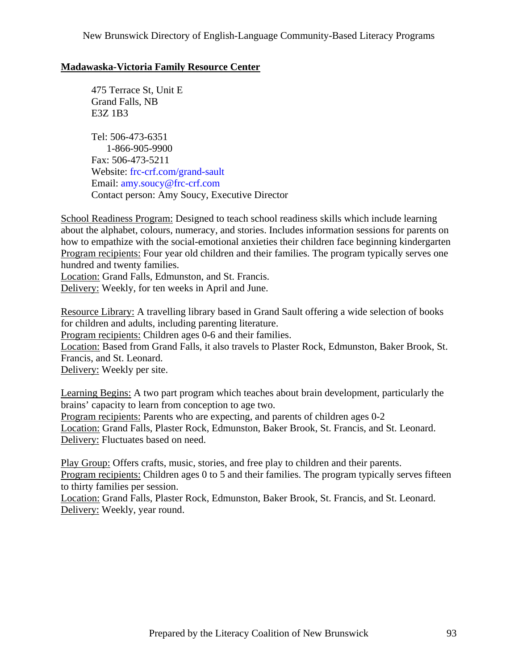# **Madawaska-Victoria Family Resource Center**

 475 Terrace St, Unit E Grand Falls, NB E3Z 1B3 Tel: 506-473-6351 1-866-905-9900 Fax: 506-473-5211 Website: frc-crf.com/grand-sault Email: [amy.soucy@frc-crf.com](mailto:amy.soucy@frc-crf.com) Contact person: Amy Soucy, Executive Director

School Readiness Program: Designed to teach school readiness skills which include learning about the alphabet, colours, numeracy, and stories. Includes information sessions for parents on how to empathize with the social-emotional anxieties their children face beginning kindergarten Program recipients: Four year old children and their families. The program typically serves one hundred and twenty families.

Location: Grand Falls, Edmunston, and St. Francis. Delivery: Weekly, for ten weeks in April and June.

Resource Library: A travelling library based in Grand Sault offering a wide selection of books for children and adults, including parenting literature.

Program recipients: Children ages 0-6 and their families.

Location: Based from Grand Falls, it also travels to Plaster Rock, Edmunston, Baker Brook, St. Francis, and St. Leonard.

Delivery: Weekly per site.

Learning Begins: A two part program which teaches about brain development, particularly the brains' capacity to learn from conception to age two.

Program recipients: Parents who are expecting, and parents of children ages 0-2 Location: Grand Falls, Plaster Rock, Edmunston, Baker Brook, St. Francis, and St. Leonard. Delivery: Fluctuates based on need.

Play Group: Offers crafts, music, stories, and free play to children and their parents. Program recipients: Children ages 0 to 5 and their families. The program typically serves fifteen to thirty families per session.

Location: Grand Falls, Plaster Rock, Edmunston, Baker Brook, St. Francis, and St. Leonard. Delivery: Weekly, year round.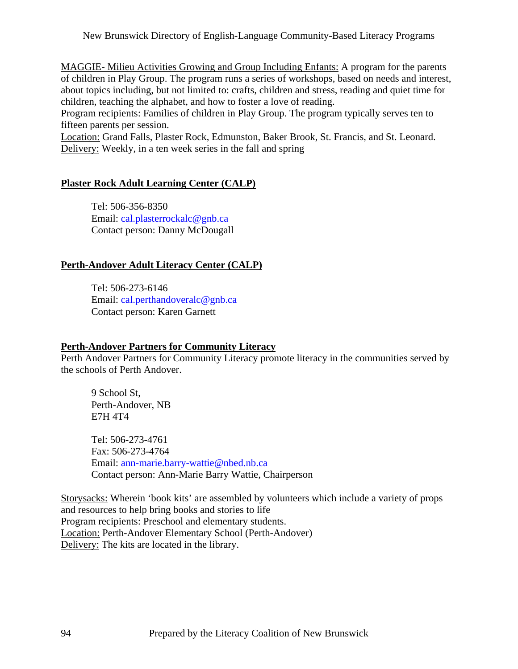MAGGIE- Milieu Activities Growing and Group Including Enfants: A program for the parents of children in Play Group. The program runs a series of workshops, based on needs and interest, about topics including, but not limited to: crafts, children and stress, reading and quiet time for children, teaching the alphabet, and how to foster a love of reading.

Program recipients: Families of children in Play Group. The program typically serves ten to fifteen parents per session.

Location: Grand Falls, Plaster Rock, Edmunston, Baker Brook, St. Francis, and St. Leonard. Delivery: Weekly, in a ten week series in the fall and spring

# **Plaster Rock Adult Learning Center (CALP)**

 Tel: 506-356-8350 Email: [cal.plasterrockalc@gnb.ca](mailto:cal.plasterrockalc@gnb.ca) Contact person: Danny McDougall

# **Perth-Andover Adult Literacy Center (CALP)**

 Tel: 506-273-6146 Email: [cal.perthandoveralc@gnb.ca](mailto:cal.perthandoveralc@gnb.ca) Contact person: Karen Garnett

# **Perth-Andover Partners for Community Literacy**

Perth Andover Partners for Community Literacy promote literacy in the communities served by the schools of Perth Andover.

 9 School St, Perth-Andover, NB E7H 4T4

 Tel: 506-273-4761 Fax: 506-273-4764 Email: [ann-marie.barry-wattie@nbed.nb.ca](mailto:ann-marie.barry-wattie@nbed.nb.ca) Contact person: Ann-Marie Barry Wattie, Chairperson

Storysacks: Wherein 'book kits' are assembled by volunteers which include a variety of props and resources to help bring books and stories to life Program recipients: Preschool and elementary students. Location: Perth-Andover Elementary School (Perth-Andover) Delivery: The kits are located in the library.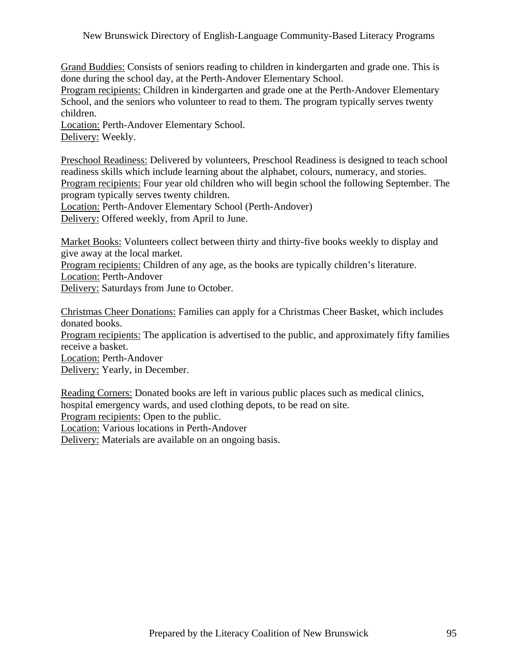Grand Buddies: Consists of seniors reading to children in kindergarten and grade one. This is done during the school day, at the Perth-Andover Elementary School.

Program recipients: Children in kindergarten and grade one at the Perth-Andover Elementary School, and the seniors who volunteer to read to them. The program typically serves twenty children.

Location: Perth-Andover Elementary School. Delivery: Weekly.

Preschool Readiness: Delivered by volunteers, Preschool Readiness is designed to teach school readiness skills which include learning about the alphabet, colours, numeracy, and stories. Program recipients: Four year old children who will begin school the following September. The program typically serves twenty children.

Location: Perth-Andover Elementary School (Perth-Andover) Delivery: Offered weekly, from April to June.

Market Books: Volunteers collect between thirty and thirty-five books weekly to display and give away at the local market.

Program recipients: Children of any age, as the books are typically children's literature.

Location: Perth-Andover

Delivery: Saturdays from June to October.

Christmas Cheer Donations: Families can apply for a Christmas Cheer Basket, which includes donated books.

Program recipients: The application is advertised to the public, and approximately fifty families receive a basket.

Location: Perth-Andover

Delivery: Yearly, in December.

Reading Corners: Donated books are left in various public places such as medical clinics, hospital emergency wards, and used clothing depots, to be read on site. Program recipients: Open to the public.

Location: Various locations in Perth-Andover

Delivery: Materials are available on an ongoing basis.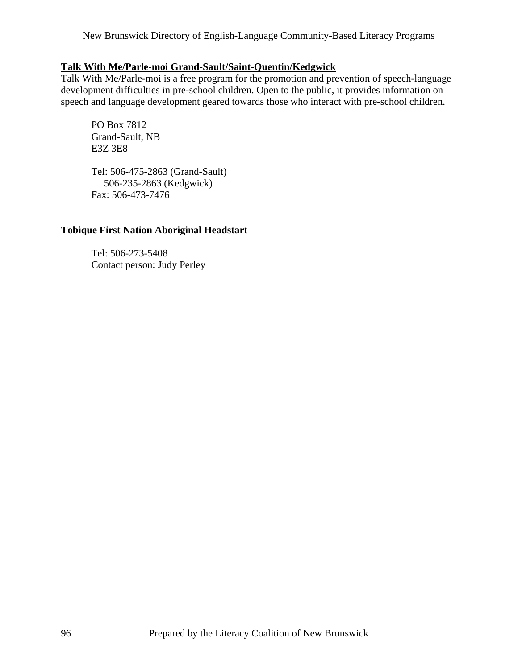# **Talk With Me/Parle-moi Grand-Sault/Saint-Quentin/Kedgwick**

Talk With Me/Parle-moi is a free program for the promotion and prevention of speech-language development difficulties in pre-school children. Open to the public, it provides information on speech and language development geared towards those who interact with pre-school children.

 PO Box 7812 Grand-Sault, NB E3Z 3E8

 Tel: 506-475-2863 (Grand-Sault) 506-235-2863 (Kedgwick) Fax: 506-473-7476

# **Tobique First Nation Aboriginal Headstart**

 Tel: 506-273-5408 Contact person: Judy Perley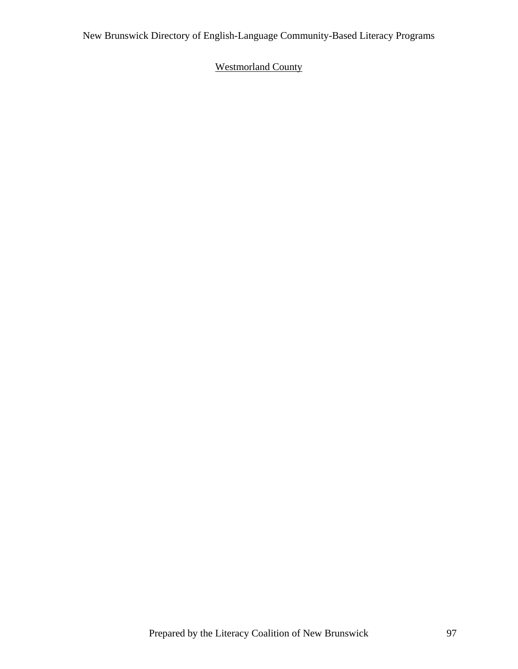# Westmorland County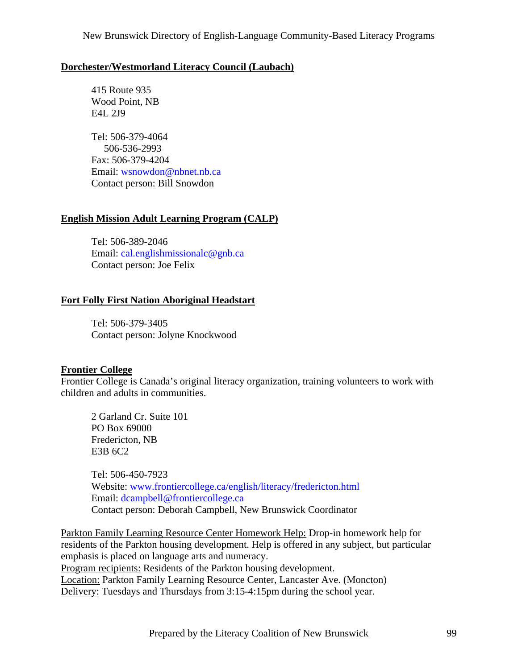# **Dorchester/Westmorland Literacy Council (Laubach)**

 415 Route 935 Wood Point, NB E4L 2J9

 Tel: 506-379-4064 506-536-2993 Fax: 506-379-4204 Email: [wsnowdon@nbnet.nb.ca](mailto:wsnowdon@nbnet.nb.ca) Contact person: Bill Snowdon

# **English Mission Adult Learning Program (CALP)**

 Tel: 506-389-2046 Email: [cal.englishmissionalc@gnb.ca](mailto:cal.englishmissionalc@gnb.ca) Contact person: Joe Felix

# **Fort Folly First Nation Aboriginal Headstart**

 Tel: 506-379-3405 Contact person: Jolyne Knockwood

# **Frontier College**

Frontier College is Canada's original literacy organization, training volunteers to work with children and adults in communities.

 2 Garland Cr. Suite 101 PO Box 69000 Fredericton, NB E3B 6C2

 Tel: 506-450-7923 Website: [www.frontiercollege.ca/english/literacy/fredericton.html](http://www.frontiercollege.ca/english/literacy/fredericton.html) Email: [dcampbell@frontiercollege.ca](mailto:dcampbell@frontiercollege.ca) Contact person: Deborah Campbell, New Brunswick Coordinator

Parkton Family Learning Resource Center Homework Help: Drop-in homework help for residents of the Parkton housing development. Help is offered in any subject, but particular emphasis is placed on language arts and numeracy. Program recipients: Residents of the Parkton housing development. Location: Parkton Family Learning Resource Center, Lancaster Ave. (Moncton) Delivery: Tuesdays and Thursdays from 3:15-4:15pm during the school year.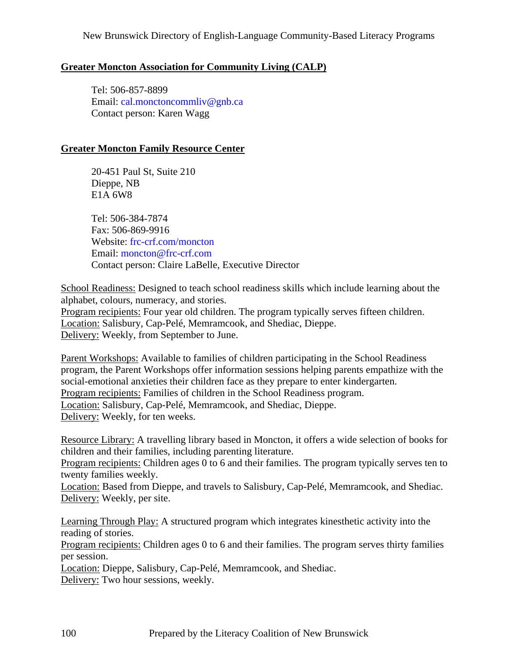# **Greater Moncton Association for Community Living (CALP)**

 Tel: 506-857-8899 Email: [cal.monctoncommliv@gnb.ca](mailto:cal.monctoncommliv@gnb.ca) Contact person: Karen Wagg

# **Greater Moncton Family Resource Center**

 20-451 Paul St, Suite 210 Dieppe, NB E1A 6W8

 Tel: 506-384-7874 Fax: 506-869-9916 Website: frc-crf.com/moncton Email: [moncton@frc-crf.com](mailto:moncton@frc-crf.com) Contact person: Claire LaBelle, Executive Director

School Readiness: Designed to teach school readiness skills which include learning about the alphabet, colours, numeracy, and stories. Program recipients: Four year old children. The program typically serves fifteen children. Location: Salisbury, Cap-Pelé, Memramcook, and Shediac, Dieppe. Delivery: Weekly, from September to June.

Parent Workshops: Available to families of children participating in the School Readiness program, the Parent Workshops offer information sessions helping parents empathize with the social-emotional anxieties their children face as they prepare to enter kindergarten. Program recipients: Families of children in the School Readiness program. Location: Salisbury, Cap-Pelé, Memramcook, and Shediac, Dieppe. Delivery: Weekly, for ten weeks.

Resource Library: A travelling library based in Moncton, it offers a wide selection of books for children and their families, including parenting literature.

Program recipients: Children ages 0 to 6 and their families. The program typically serves ten to twenty families weekly.

Location: Based from Dieppe, and travels to Salisbury, Cap-Pelé, Memramcook, and Shediac. Delivery: Weekly, per site.

Learning Through Play: A structured program which integrates kinesthetic activity into the reading of stories.

Program recipients: Children ages 0 to 6 and their families. The program serves thirty families per session.

Location: Dieppe, Salisbury, Cap-Pelé, Memramcook, and Shediac.

Delivery: Two hour sessions, weekly.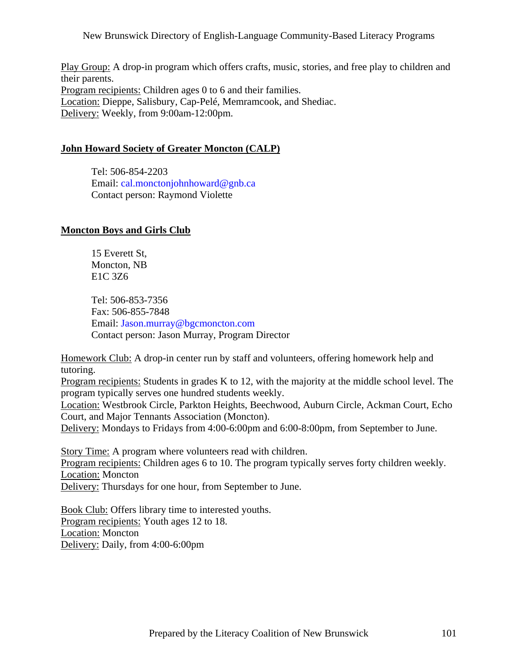Play Group: A drop-in program which offers crafts, music, stories, and free play to children and their parents. Program recipients: Children ages 0 to 6 and their families. Location: Dieppe, Salisbury, Cap-Pelé, Memramcook, and Shediac. Delivery: Weekly, from 9:00am-12:00pm.

## **John Howard Society of Greater Moncton (CALP)**

 Tel: 506-854-2203 Email: [cal.monctonjohnhoward@gnb.ca](mailto:cal.monctonjohnhoward@gnb.ca) Contact person: Raymond Violette

## **Moncton Boys and Girls Club**

 15 Everett St, Moncton, NB E1C 3Z6

 Tel: 506-853-7356 Fax: 506-855-7848 Email: [Jason.murray@bgcmoncton.com](mailto:Jason.murray@bgcmoncton.com) Contact person: Jason Murray, Program Director

Homework Club: A drop-in center run by staff and volunteers, offering homework help and tutoring.

Program recipients: Students in grades K to 12, with the majority at the middle school level. The program typically serves one hundred students weekly.

Location: Westbrook Circle, Parkton Heights, Beechwood, Auburn Circle, Ackman Court, Echo Court, and Major Tennants Association (Moncton).

Delivery: Mondays to Fridays from 4:00-6:00pm and 6:00-8:00pm, from September to June.

Story Time: A program where volunteers read with children. Program recipients: Children ages 6 to 10. The program typically serves forty children weekly. Location: Moncton Delivery: Thursdays for one hour, from September to June.

Book Club: Offers library time to interested youths. Program recipients: Youth ages 12 to 18. Location: Moncton Delivery: Daily, from 4:00-6:00pm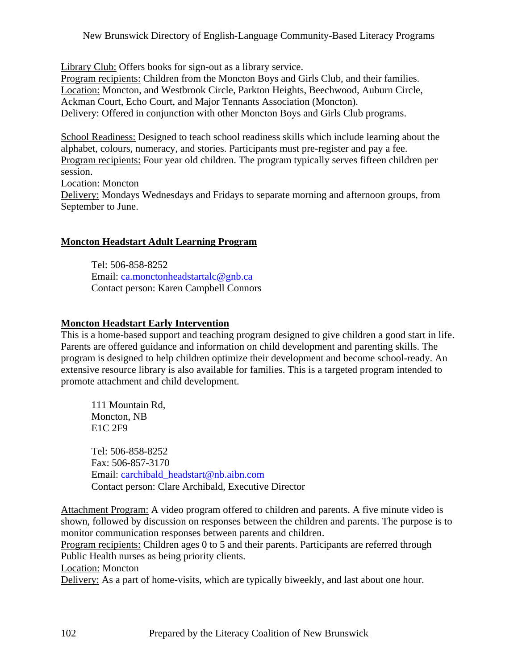Library Club: Offers books for sign-out as a library service. Program recipients: Children from the Moncton Boys and Girls Club, and their families. Location: Moncton, and Westbrook Circle, Parkton Heights, Beechwood, Auburn Circle, Ackman Court, Echo Court, and Major Tennants Association (Moncton). Delivery: Offered in conjunction with other Moncton Boys and Girls Club programs.

School Readiness: Designed to teach school readiness skills which include learning about the alphabet, colours, numeracy, and stories. Participants must pre-register and pay a fee. Program recipients: Four year old children. The program typically serves fifteen children per session. Location: Moncton Delivery: Mondays Wednesdays and Fridays to separate morning and afternoon groups, from September to June.

## **Moncton Headstart Adult Learning Program**

 Tel: 506-858-8252 Email: [ca.monctonheadstartalc@gnb.ca](mailto:ca.monctonheadstartalc@gnb.ca) Contact person: Karen Campbell Connors

## **Moncton Headstart Early Intervention**

This is a home-based support and teaching program designed to give children a good start in life. Parents are offered guidance and information on child development and parenting skills. The program is designed to help children optimize their development and become school-ready. An extensive resource library is also available for families. This is a targeted program intended to promote attachment and child development.

 111 Mountain Rd, Moncton, NB E1C 2F9

 Tel: 506-858-8252 Fax: 506-857-3170 Email: [carchibald\\_headstart@nb.aibn.com](mailto:carchibald_headstart@nb.aibn.com) Contact person: Clare Archibald, Executive Director

Attachment Program: A video program offered to children and parents. A five minute video is shown, followed by discussion on responses between the children and parents. The purpose is to monitor communication responses between parents and children.

Program recipients: Children ages 0 to 5 and their parents. Participants are referred through Public Health nurses as being priority clients.

Location: Moncton

Delivery: As a part of home-visits, which are typically biweekly, and last about one hour.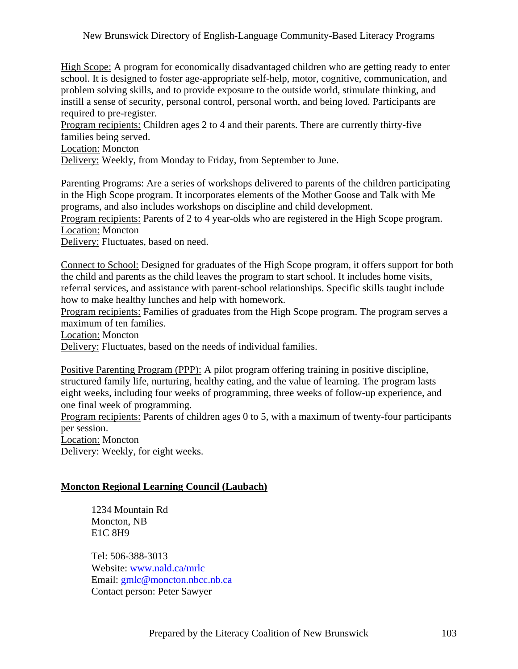High Scope: A program for economically disadvantaged children who are getting ready to enter school. It is designed to foster age-appropriate self-help, motor, cognitive, communication, and problem solving skills, and to provide exposure to the outside world, stimulate thinking, and instill a sense of security, personal control, personal worth, and being loved. Participants are required to pre-register.

Program recipients: Children ages 2 to 4 and their parents. There are currently thirty-five families being served.

Location: Moncton

Delivery: Weekly, from Monday to Friday, from September to June.

Parenting Programs: Are a series of workshops delivered to parents of the children participating in the High Scope program. It incorporates elements of the Mother Goose and Talk with Me programs, and also includes workshops on discipline and child development. Program recipients: Parents of 2 to 4 year-olds who are registered in the High Scope program. Location: Moncton

Delivery: Fluctuates, based on need.

Connect to School: Designed for graduates of the High Scope program, it offers support for both the child and parents as the child leaves the program to start school. It includes home visits, referral services, and assistance with parent-school relationships. Specific skills taught include how to make healthy lunches and help with homework.

Program recipients: Families of graduates from the High Scope program. The program serves a maximum of ten families.

Location: Moncton

Delivery: Fluctuates, based on the needs of individual families.

Positive Parenting Program (PPP): A pilot program offering training in positive discipline, structured family life, nurturing, healthy eating, and the value of learning. The program lasts eight weeks, including four weeks of programming, three weeks of follow-up experience, and one final week of programming.

Program recipients: Parents of children ages 0 to 5, with a maximum of twenty-four participants per session.

Location: Moncton

Delivery: Weekly, for eight weeks.

## **Moncton Regional Learning Council (Laubach)**

 1234 Mountain Rd Moncton, NB E1C 8H9

 Tel: 506-388-3013 Website: [www.nald.ca/mrlc](http://www.nald.ca/mrlc) Email: [gmlc@moncton.nbcc.nb.ca](mailto:gmlc@moncton.nbcc.nb.ca) Contact person: Peter Sawyer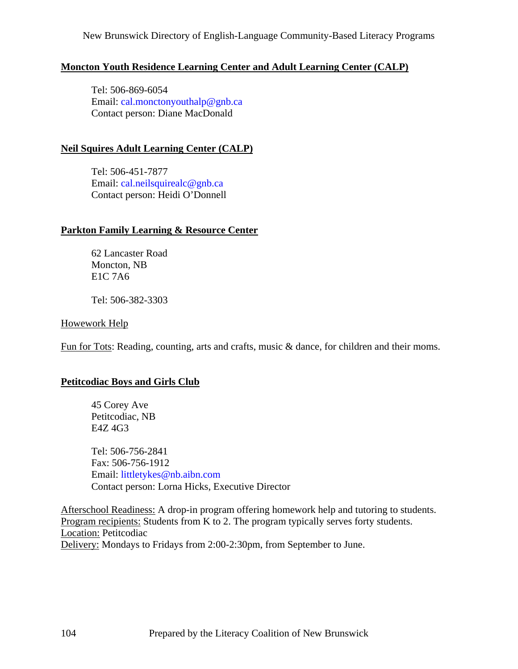# **Moncton Youth Residence Learning Center and Adult Learning Center (CALP)**

 Tel: 506-869-6054 Email: [cal.monctonyouthalp@gnb.ca](mailto:cal.monctonyouthalp@gnb.ca) Contact person: Diane MacDonald

# **Neil Squires Adult Learning Center (CALP)**

 Tel: 506-451-7877 Email: [cal.neilsquirealc@gnb.ca](mailto:cal.neilsquirealc@gnb.ca) Contact person: Heidi O'Donnell

# **Parkton Family Learning & Resource Center**

 62 Lancaster Road Moncton, NB E1C 7A6

Tel: 506-382-3303

## Howework Help

Fun for Tots: Reading, counting, arts and crafts, music & dance, for children and their moms.

# **Petitcodiac Boys and Girls Club**

 45 Corey Ave Petitcodiac, NB E4Z 4G3

 Tel: 506-756-2841 Fax: 506-756-1912 Email: [littletykes@nb.aibn.com](mailto:littletykes@nb.aibn.com) Contact person: Lorna Hicks, Executive Director

Afterschool Readiness: A drop-in program offering homework help and tutoring to students. Program recipients: Students from K to 2. The program typically serves forty students. Location: Petitcodiac Delivery: Mondays to Fridays from 2:00-2:30pm, from September to June.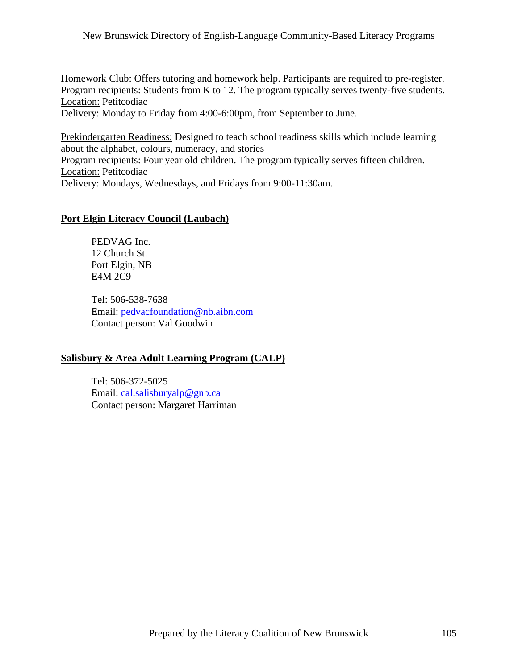Homework Club: Offers tutoring and homework help. Participants are required to pre-register. Program recipients: Students from K to 12. The program typically serves twenty-five students. Location: Petitcodiac

Delivery: Monday to Friday from 4:00-6:00pm, from September to June.

Prekindergarten Readiness: Designed to teach school readiness skills which include learning about the alphabet, colours, numeracy, and stories Program recipients: Four year old children. The program typically serves fifteen children. Location: Petitcodiac Delivery: Mondays, Wednesdays, and Fridays from 9:00-11:30am.

# **Port Elgin Literacy Council (Laubach)**

 PEDVAG Inc. 12 Church St. Port Elgin, NB E4M 2C9

 Tel: 506-538-7638 Email: [pedvacfoundation@nb.aibn.com](mailto:pedvacfoundation@nb.aibn.com) Contact person: Val Goodwin

# **Salisbury & Area Adult Learning Program (CALP)**

 Tel: 506-372-5025 Email: [cal.salisburyalp@gnb.ca](mailto:cal.salisburyalp@gnb.ca) Contact person: Margaret Harriman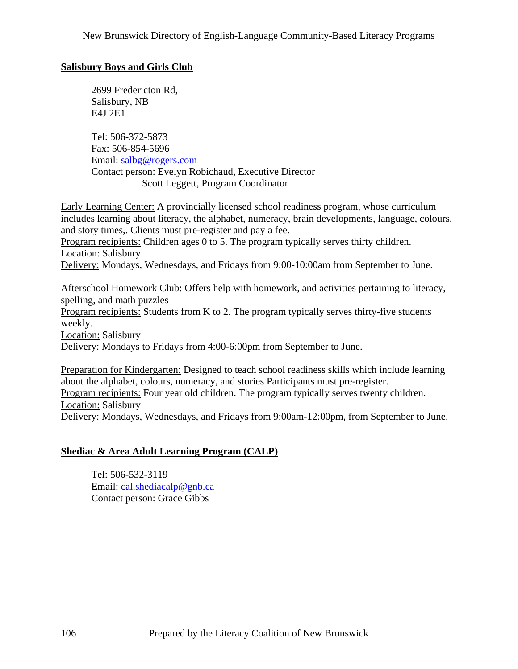# **Salisbury Boys and Girls Club**

 2699 Fredericton Rd, Salisbury, NB E4J 2E1

 Tel: 506-372-5873 Fax: 506-854-5696 Email: [salbg@rogers.com](mailto:salbg@rogers.com) Contact person: Evelyn Robichaud, Executive Director Scott Leggett, Program Coordinator

Early Learning Center: A provincially licensed school readiness program, whose curriculum includes learning about literacy, the alphabet, numeracy, brain developments, language, colours, and story times,. Clients must pre-register and pay a fee. Program recipients: Children ages 0 to 5. The program typically serves thirty children. Location: Salisbury Delivery: Mondays, Wednesdays, and Fridays from 9:00-10:00am from September to June.

Afterschool Homework Club: Offers help with homework, and activities pertaining to literacy, spelling, and math puzzles Program recipients: Students from K to 2. The program typically serves thirty-five students weekly. Location: Salisbury Delivery: Mondays to Fridays from 4:00-6:00pm from September to June.

Preparation for Kindergarten: Designed to teach school readiness skills which include learning about the alphabet, colours, numeracy, and stories Participants must pre-register. Program recipients: Four year old children. The program typically serves twenty children. Location: Salisbury Delivery: Mondays, Wednesdays, and Fridays from 9:00am-12:00pm, from September to June.

# **Shediac & Area Adult Learning Program (CALP)**

 Tel: 506-532-3119 Email: [cal.shediacalp@gnb.ca](mailto:cal.shediacalp@gnb.ca) Contact person: Grace Gibbs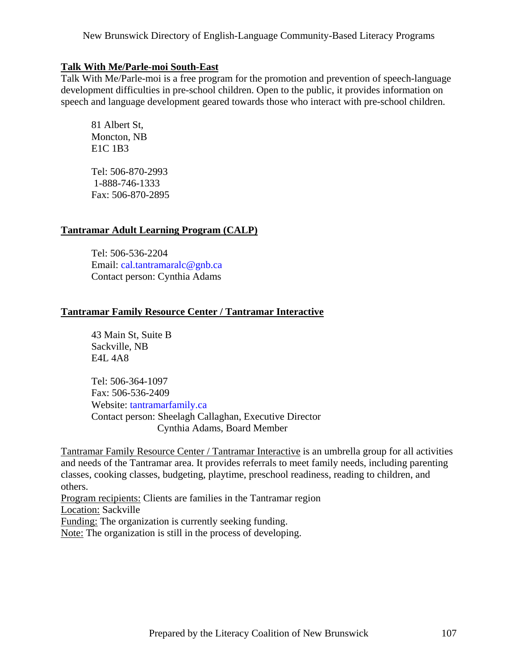## **Talk With Me/Parle-moi South-East**

Talk With Me/Parle-moi is a free program for the promotion and prevention of speech-language development difficulties in pre-school children. Open to the public, it provides information on speech and language development geared towards those who interact with pre-school children.

 81 Albert St, Moncton, NB E1C 1B3

 Tel: 506-870-2993 1-888-746-1333 Fax: 506-870-2895

# **Tantramar Adult Learning Program (CALP)**

 Tel: 506-536-2204 Email: [cal.tantramaralc@gnb.ca](mailto:cal.tantramaralc@gnb.ca) Contact person: Cynthia Adams

## **Tantramar Family Resource Center / Tantramar Interactive**

 43 Main St, Suite B Sackville, NB E4L 4A8

 Tel: 506-364-1097 Fax: 506-536-2409 Website: tantramarfamily.ca Contact person: Sheelagh Callaghan, Executive Director Cynthia Adams, Board Member

Tantramar Family Resource Center / Tantramar Interactive is an umbrella group for all activities and needs of the Tantramar area. It provides referrals to meet family needs, including parenting classes, cooking classes, budgeting, playtime, preschool readiness, reading to children, and others.

Program recipients: Clients are families in the Tantramar region Location: Sackville Funding: The organization is currently seeking funding.

Note: The organization is still in the process of developing.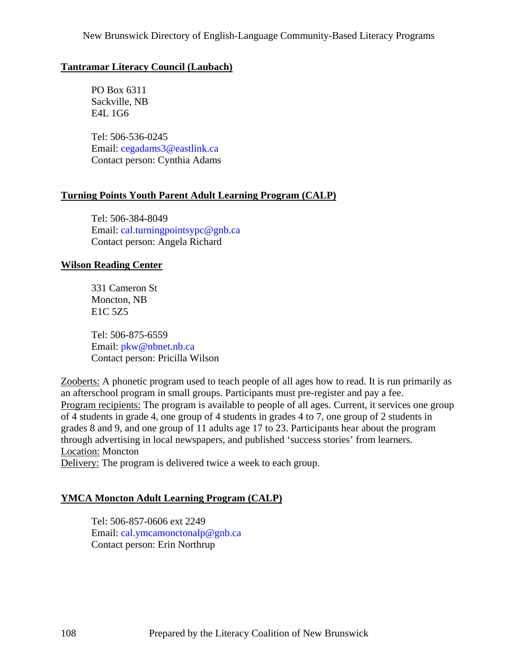## **Tantramar Literacy Council (Laubach)**

 PO Box 6311 Sackville, NB E4L 1G6

 Tel: 506-536-0245 Email: [cegadams3@eastlink.ca](mailto:cegadams3@eastlink.ca) Contact person: Cynthia Adams

## **Turning Points Youth Parent Adult Learning Program (CALP)**

 Tel: 506-384-8049 Email: [cal.turningpointsypc@gnb.ca](mailto:cal.turningpointsypc@gnb.ca) Contact person: Angela Richard

## **Wilson Reading Center**

 331 Cameron St Moncton, NB E1C 5Z5

 Tel: 506-875-6559 Email: [pkw@nbnet.nb.ca](mailto:pkw@nbnet.nb.ca) Contact person: Pricilla Wilson

Zooberts: A phonetic program used to teach people of all ages how to read. It is run primarily as an afterschool program in small groups. Participants must pre-register and pay a fee. Program recipients: The program is available to people of all ages. Current, it services one group of 4 students in grade 4, one group of 4 students in grades 4 to 7, one group of 2 students in grades 8 and 9, and one group of 11 adults age 17 to 23. Participants hear about the program through advertising in local newspapers, and published 'success stories' from learners. Location: Moncton Delivery: The program is delivered twice a week to each group.

# **YMCA Moncton Adult Learning Program (CALP)**

 Tel: 506-857-0606 ext 2249 Email: [cal.ymcamonctonalp@gnb.ca](mailto:cal.ymcamonctonalp@gnb.ca) Contact person: Erin Northrup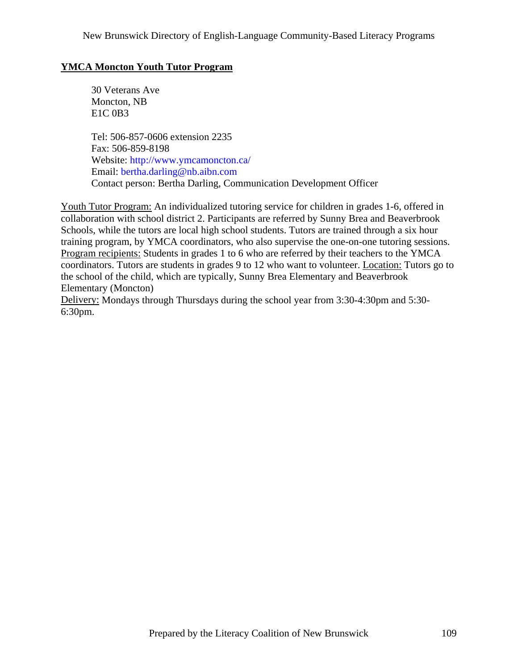# **YMCA Moncton Youth Tutor Program**

 30 Veterans Ave Moncton, NB E1C 0B3

 Tel: 506-857-0606 extension 2235 Fax: 506-859-8198 Website: <http://www.ymcamoncton.ca/> Email: [bertha.darling@nb.aibn.com](mailto:bertha.darling@nb.aibn.com) Contact person: Bertha Darling, Communication Development Officer

Youth Tutor Program: An individualized tutoring service for children in grades 1-6, offered in collaboration with school district 2. Participants are referred by Sunny Brea and Beaverbrook Schools, while the tutors are local high school students. Tutors are trained through a six hour training program, by YMCA coordinators, who also supervise the one-on-one tutoring sessions. Program recipients: Students in grades 1 to 6 who are referred by their teachers to the YMCA coordinators. Tutors are students in grades 9 to 12 who want to volunteer. Location: Tutors go to the school of the child, which are typically, Sunny Brea Elementary and Beaverbrook Elementary (Moncton)

Delivery: Mondays through Thursdays during the school year from 3:30-4:30pm and 5:30- 6:30pm.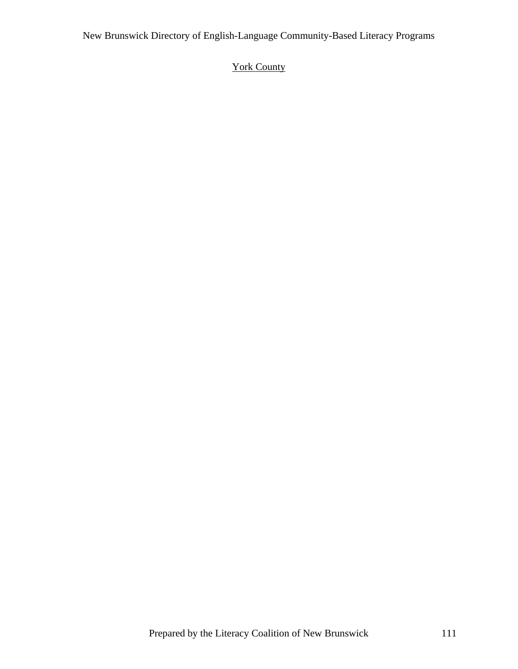# York County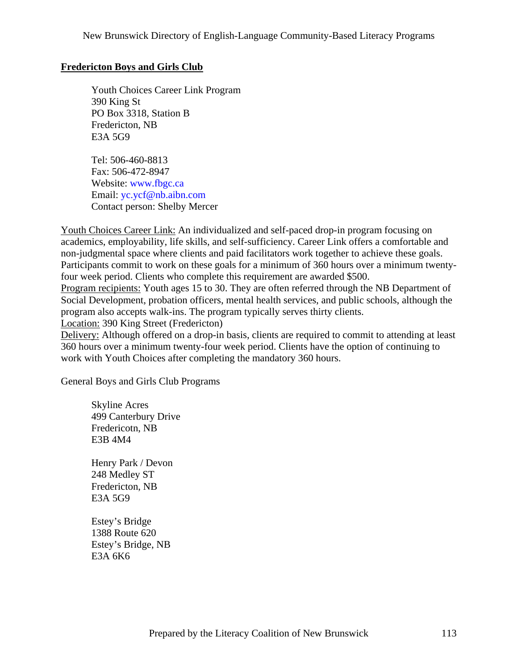### **Fredericton Boys and Girls Club**

 Youth Choices Career Link Program 390 King St PO Box 3318, Station B Fredericton, NB E3A 5G9

 Tel: 506-460-8813 Fax: 506-472-8947 Website: [www.fbgc.ca](http://www.fbgc.ca) Email: [yc.ycf@nb.aibn.com](mailto:yc.ycf@nb.aibn.com) Contact person: Shelby Mercer

Youth Choices Career Link: An individualized and self-paced drop-in program focusing on academics, employability, life skills, and self-sufficiency. Career Link offers a comfortable and non-judgmental space where clients and paid facilitators work together to achieve these goals. Participants commit to work on these goals for a minimum of 360 hours over a minimum twentyfour week period. Clients who complete this requirement are awarded \$500. Program recipients: Youth ages 15 to 30. They are often referred through the NB Department of Social Development, probation officers, mental health services, and public schools, although the program also accepts walk-ins. The program typically serves thirty clients. Location: 390 King Street (Fredericton)

Delivery: Although offered on a drop-in basis, clients are required to commit to attending at least 360 hours over a minimum twenty-four week period. Clients have the option of continuing to work with Youth Choices after completing the mandatory 360 hours.

General Boys and Girls Club Programs

 Skyline Acres 499 Canterbury Drive Fredericotn, NB E3B 4M4

 Henry Park / Devon 248 Medley ST Fredericton, NB E3A 5G9

 Estey's Bridge 1388 Route 620 Estey's Bridge, NB E3A 6K6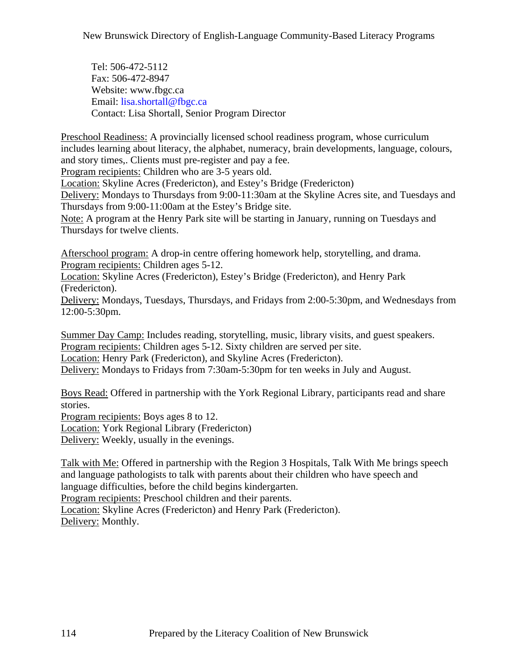Tel: 506-472-5112 Fax: 506-472-8947 Website: [www.fbgc.ca](http://www.fbgc.ca)  Email: [lisa.shortall@fbgc.ca](mailto:lisa.shortall@fbgc.ca) Contact: Lisa Shortall, Senior Program Director

Preschool Readiness: A provincially licensed school readiness program, whose curriculum includes learning about literacy, the alphabet, numeracy, brain developments, language, colours, and story times,. Clients must pre-register and pay a fee.

Program recipients: Children who are 3-5 years old.

Location: Skyline Acres (Fredericton), and Estey's Bridge (Fredericton)

Delivery: Mondays to Thursdays from 9:00-11:30am at the Skyline Acres site, and Tuesdays and Thursdays from 9:00-11:00am at the Estey's Bridge site.

Note: A program at the Henry Park site will be starting in January, running on Tuesdays and Thursdays for twelve clients.

Afterschool program: A drop-in centre offering homework help, storytelling, and drama. Program recipients: Children ages 5-12.

Location: Skyline Acres (Fredericton), Estey's Bridge (Fredericton), and Henry Park (Fredericton).

Delivery: Mondays, Tuesdays, Thursdays, and Fridays from 2:00-5:30pm, and Wednesdays from 12:00-5:30pm.

Summer Day Camp: Includes reading, storytelling, music, library visits, and guest speakers. Program recipients: Children ages 5-12. Sixty children are served per site. Location: Henry Park (Fredericton), and Skyline Acres (Fredericton). Delivery: Mondays to Fridays from 7:30am-5:30pm for ten weeks in July and August.

Boys Read: Offered in partnership with the York Regional Library, participants read and share stories.

Program recipients: Boys ages 8 to 12. Location: York Regional Library (Fredericton) Delivery: Weekly, usually in the evenings.

Talk with Me: Offered in partnership with the Region 3 Hospitals, Talk With Me brings speech and language pathologists to talk with parents about their children who have speech and language difficulties, before the child begins kindergarten.

Program recipients: Preschool children and their parents.

Location: Skyline Acres (Fredericton) and Henry Park (Fredericton). Delivery: Monthly.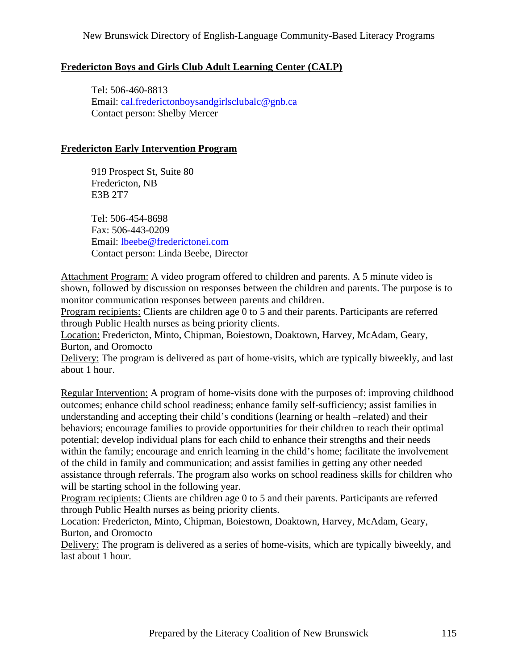# **Fredericton Boys and Girls Club Adult Learning Center (CALP)**

 Tel: 506-460-8813 Email: [cal.frederictonboysandgirlsclubalc@gnb.ca](mailto:cal.frederictonboysandgirlsclubalc@gnb.ca) Contact person: Shelby Mercer

### **Fredericton Early Intervention Program**

 919 Prospect St, Suite 80 Fredericton, NB E3B 2T7

 Tel: 506-454-8698 Fax: 506-443-0209 Email: [lbeebe@frederictonei.com](mailto:lbeebe@frederictonei.com) Contact person: Linda Beebe, Director

Attachment Program: A video program offered to children and parents. A 5 minute video is shown, followed by discussion on responses between the children and parents. The purpose is to monitor communication responses between parents and children.

Program recipients: Clients are children age 0 to 5 and their parents. Participants are referred through Public Health nurses as being priority clients.

Location: Fredericton, Minto, Chipman, Boiestown, Doaktown, Harvey, McAdam, Geary, Burton, and Oromocto

Delivery: The program is delivered as part of home-visits, which are typically biweekly, and last about 1 hour.

Regular Intervention: A program of home-visits done with the purposes of: improving childhood outcomes; enhance child school readiness; enhance family self-sufficiency; assist families in understanding and accepting their child's conditions (learning or health –related) and their behaviors; encourage families to provide opportunities for their children to reach their optimal potential; develop individual plans for each child to enhance their strengths and their needs within the family; encourage and enrich learning in the child's home; facilitate the involvement of the child in family and communication; and assist families in getting any other needed assistance through referrals. The program also works on school readiness skills for children who will be starting school in the following year.

Program recipients: Clients are children age 0 to 5 and their parents. Participants are referred through Public Health nurses as being priority clients.

Location: Fredericton, Minto, Chipman, Boiestown, Doaktown, Harvey, McAdam, Geary, Burton, and Oromocto

Delivery: The program is delivered as a series of home-visits, which are typically biweekly, and last about 1 hour.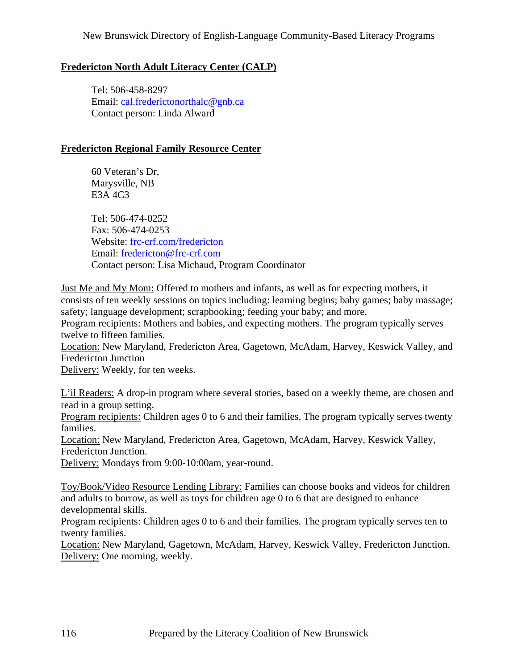# **Fredericton North Adult Literacy Center (CALP)**

 Tel: 506-458-8297 Email: [cal.frederictonorthalc@gnb.ca](mailto:cal.frederictonorthalc@gnb.ca) Contact person: Linda Alward

### **Fredericton Regional Family Resource Center**

 60 Veteran's Dr, Marysville, NB E3A 4C3

 Tel: 506-474-0252 Fax: 506-474-0253 Website: frc-crf.com/fredericton Email: [fredericton@frc-crf.com](mailto:fredericton@frc-crf.com) Contact person: Lisa Michaud, Program Coordinator

Just Me and My Mom: Offered to mothers and infants, as well as for expecting mothers, it consists of ten weekly sessions on topics including: learning begins; baby games; baby massage; safety; language development; scrapbooking; feeding your baby; and more.

Program recipients: Mothers and babies, and expecting mothers. The program typically serves twelve to fifteen families.

Location: New Maryland, Fredericton Area, Gagetown, McAdam, Harvey, Keswick Valley, and Fredericton Junction

Delivery: Weekly, for ten weeks.

L'il Readers: A drop-in program where several stories, based on a weekly theme, are chosen and read in a group setting.

Program recipients: Children ages 0 to 6 and their families. The program typically serves twenty families.

Location: New Maryland, Fredericton Area, Gagetown, McAdam, Harvey, Keswick Valley, Fredericton Junction.

Delivery: Mondays from 9:00-10:00am, year-round.

Toy/Book/Video Resource Lending Library: Families can choose books and videos for children and adults to borrow, as well as toys for children age 0 to 6 that are designed to enhance developmental skills.

Program recipients: Children ages 0 to 6 and their families. The program typically serves ten to twenty families.

Location: New Maryland, Gagetown, McAdam, Harvey, Keswick Valley, Fredericton Junction. Delivery: One morning, weekly.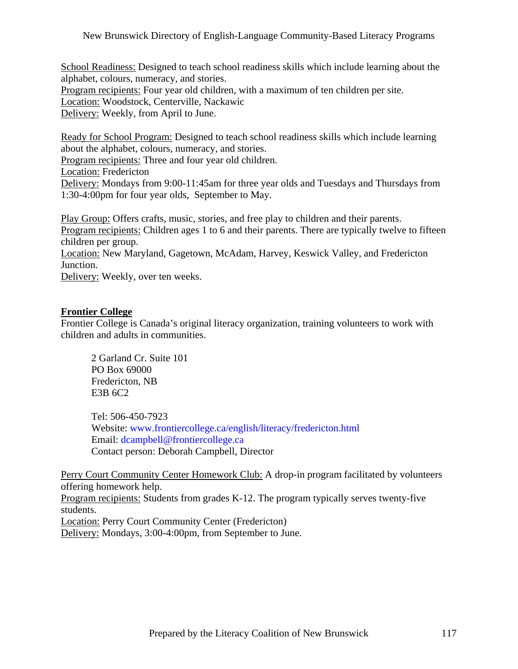School Readiness: Designed to teach school readiness skills which include learning about the alphabet, colours, numeracy, and stories. Program recipients: Four year old children, with a maximum of ten children per site. Location: Woodstock, Centerville, Nackawic Delivery: Weekly, from April to June.

Ready for School Program: Designed to teach school readiness skills which include learning about the alphabet, colours, numeracy, and stories.

Program recipients: Three and four year old children.

Location: Fredericton

Delivery: Mondays from 9:00-11:45am for three year olds and Tuesdays and Thursdays from 1:30-4:00pm for four year olds, September to May.

Play Group: Offers crafts, music, stories, and free play to children and their parents. Program recipients: Children ages 1 to 6 and their parents. There are typically twelve to fifteen children per group. Location: New Maryland, Gagetown, McAdam, Harvey, Keswick Valley, and Fredericton Junction. Delivery: Weekly, over ten weeks.

### **Frontier College**

Frontier College is Canada's original literacy organization, training volunteers to work with children and adults in communities.

 2 Garland Cr. Suite 101 PO Box 69000 Fredericton, NB E3B 6C2

 Tel: 506-450-7923 Website: [www.frontiercollege.ca/english/literacy/fredericton.html](http://www.frontiercollege.ca/english/literacy/fredericton.html) Email: [dcampbell@frontiercollege.ca](mailto:dcampbell@frontiercollege.ca) Contact person: Deborah Campbell, Director

Perry Court Community Center Homework Club: A drop-in program facilitated by volunteers offering homework help.

Program recipients: Students from grades K-12. The program typically serves twenty-five students.

Location: Perry Court Community Center (Fredericton)

Delivery: Mondays, 3:00-4:00pm, from September to June.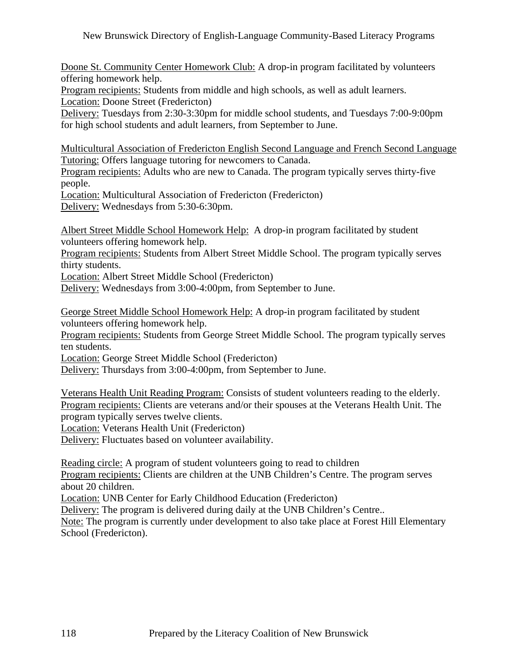Doone St. Community Center Homework Club: A drop-in program facilitated by volunteers offering homework help.

Program recipients: Students from middle and high schools, as well as adult learners. Location: Doone Street (Fredericton)

Delivery: Tuesdays from 2:30-3:30pm for middle school students, and Tuesdays 7:00-9:00pm for high school students and adult learners, from September to June.

Multicultural Association of Fredericton English Second Language and French Second Language Tutoring: Offers language tutoring for newcomers to Canada.

Program recipients: Adults who are new to Canada. The program typically serves thirty-five people.

Location: Multicultural Association of Fredericton (Fredericton) Delivery: Wednesdays from 5:30-6:30pm.

Albert Street Middle School Homework Help: A drop-in program facilitated by student

volunteers offering homework help.

Program recipients: Students from Albert Street Middle School. The program typically serves thirty students.

Location: Albert Street Middle School (Fredericton)

Delivery: Wednesdays from 3:00-4:00pm, from September to June.

George Street Middle School Homework Help: A drop-in program facilitated by student volunteers offering homework help.

Program recipients: Students from George Street Middle School. The program typically serves ten students.

Location: George Street Middle School (Fredericton)

Delivery: Thursdays from 3:00-4:00pm, from September to June.

Veterans Health Unit Reading Program: Consists of student volunteers reading to the elderly. Program recipients: Clients are veterans and/or their spouses at the Veterans Health Unit. The program typically serves twelve clients.

Location: Veterans Health Unit (Fredericton)

Delivery: Fluctuates based on volunteer availability.

Reading circle: A program of student volunteers going to read to children

Program recipients: Clients are children at the UNB Children's Centre. The program serves about 20 children.

Location: UNB Center for Early Childhood Education (Fredericton)

Delivery: The program is delivered during daily at the UNB Children's Centre..

Note: The program is currently under development to also take place at Forest Hill Elementary School (Fredericton).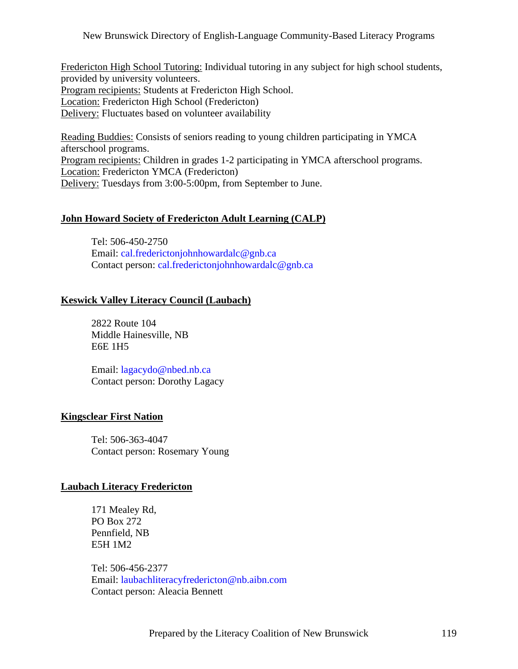Fredericton High School Tutoring: Individual tutoring in any subject for high school students, provided by university volunteers. Program recipients: Students at Fredericton High School. Location: Fredericton High School (Fredericton) Delivery: Fluctuates based on volunteer availability

Reading Buddies: Consists of seniors reading to young children participating in YMCA afterschool programs. Program recipients: Children in grades 1-2 participating in YMCA afterschool programs. Location: Fredericton YMCA (Fredericton) Delivery: Tuesdays from 3:00-5:00pm, from September to June.

### **John Howard Society of Fredericton Adult Learning (CALP)**

 Tel: 506-450-2750 Email: [cal.frederictonjohnhowardalc@gnb.ca](mailto:cal.frederictonjohnhowardalc@gnb.ca) Contact person: [cal.frederictonjohnhowardalc@gnb.ca](mailto:cal.frederictonjohnhowardalc@gnb.ca)

#### **Keswick Valley Literacy Council (Laubach)**

 2822 Route 104 Middle Hainesville, NB E6E 1H5

 Email: [lagacydo@nbed.nb.ca](mailto:lagacydo@nbed.nb.ca) Contact person: Dorothy Lagacy

#### **Kingsclear First Nation**

 Tel: 506-363-4047 Contact person: Rosemary Young

#### **Laubach Literacy Fredericton**

 171 Mealey Rd, PO Box 272 Pennfield, NB E5H 1M2

 Tel: 506-456-2377 Email: [laubachliteracyfredericton@nb.aibn.com](mailto:laubachliteracyfredericton@nb.aibn.com) Contact person: Aleacia Bennett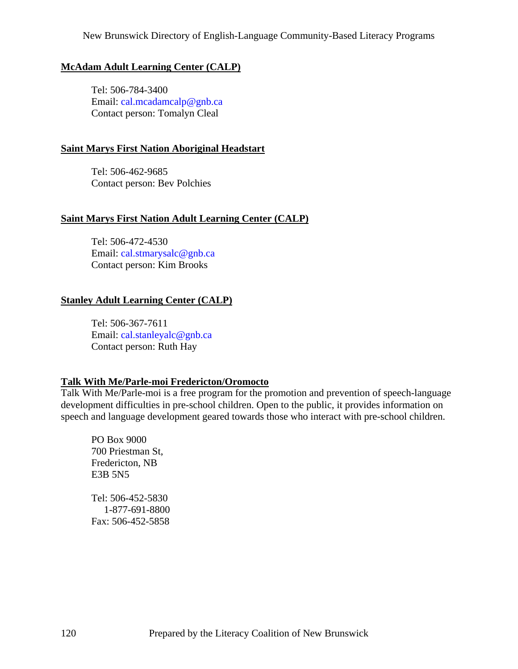### **McAdam Adult Learning Center (CALP)**

 Tel: 506-784-3400 Email: [cal.mcadamcalp@gnb.ca](mailto:cal.mcadamcalp@gnb.ca) Contact person: Tomalyn Cleal

### **Saint Marys First Nation Aboriginal Headstart**

 Tel: 506-462-9685 Contact person: Bev Polchies

# **Saint Marys First Nation Adult Learning Center (CALP)**

 Tel: 506-472-4530 Email: [cal.stmarysalc@gnb.ca](mailto:cal.stmarysalc@gnb.ca) Contact person: Kim Brooks

# **Stanley Adult Learning Center (CALP)**

 Tel: 506-367-7611 Email: [cal.stanleyalc@gnb.ca](mailto:cal.stanleyalc@gnb.ca) Contact person: Ruth Hay

### **Talk With Me/Parle-moi Fredericton/Oromocto**

Talk With Me/Parle-moi is a free program for the promotion and prevention of speech-language development difficulties in pre-school children. Open to the public, it provides information on speech and language development geared towards those who interact with pre-school children.

 PO Box 9000 700 Priestman St, Fredericton, NB E3B 5N5

 Tel: 506-452-5830 1-877-691-8800 Fax: 506-452-5858